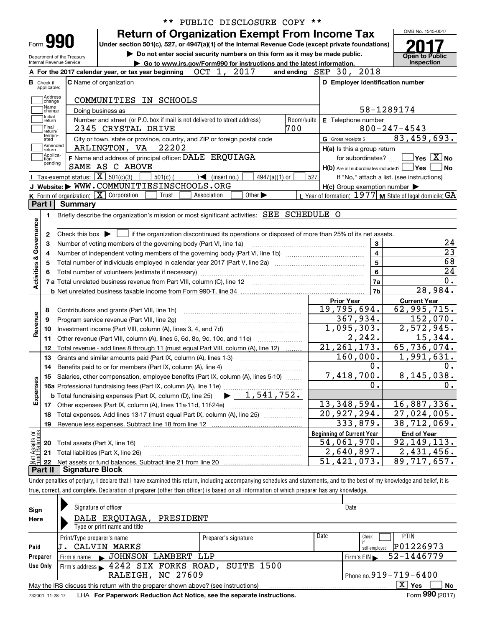| Form 990                                       |                | Under section 501(c), 527, or 4947(a)(1) of the Internal Revenue Code (except private foundations)               |            |                                   |                                                                             |            |                                  |                                                     |                                                           |
|------------------------------------------------|----------------|------------------------------------------------------------------------------------------------------------------|------------|-----------------------------------|-----------------------------------------------------------------------------|------------|----------------------------------|-----------------------------------------------------|-----------------------------------------------------------|
| Department of the Treasury                     |                |                                                                                                                  |            |                                   | Do not enter social security numbers on this form as it may be made public. |            |                                  |                                                     | <b>Open to Public</b>                                     |
| Internal Revenue Service                       |                | A For the 2017 calendar year, or tax year beginning                                                              |            | OCT 1, 2017                       | Go to www.irs.gov/Form990 for instructions and the latest information.      |            | and ending SEP 30, 2018          |                                                     | Inspection                                                |
|                                                |                |                                                                                                                  |            |                                   |                                                                             |            |                                  |                                                     |                                                           |
| <b>B</b> Check if<br>applicable:               |                | C Name of organization                                                                                           |            |                                   |                                                                             |            |                                  |                                                     | D Employer identification number                          |
| Address                                        |                | COMMUNITIES IN SCHOOLS                                                                                           |            |                                   |                                                                             |            |                                  |                                                     |                                                           |
| change<br>Name                                 |                |                                                                                                                  |            |                                   |                                                                             |            |                                  |                                                     | 58-1289174                                                |
| change<br>Initial                              |                | Doing business as                                                                                                |            |                                   |                                                                             | Room/suite |                                  |                                                     |                                                           |
| return<br>Final                                |                | Number and street (or P.O. box if mail is not delivered to street address)<br>2345 CRYSTAL DRIVE                 |            |                                   |                                                                             | 700        |                                  | E Telephone number                                  | $800 - 247 - 4543$                                        |
| return/<br>termin-                             |                | City or town, state or province, country, and ZIP or foreign postal code                                         |            |                                   |                                                                             |            | G Gross receipts \$              |                                                     | 83,459,693.                                               |
| ated<br> Amended                               |                | ARLINGTON, VA 22202                                                                                              |            |                                   |                                                                             |            |                                  | H(a) Is this a group return                         |                                                           |
| return<br>Applica-                             |                | F Name and address of principal officer: DALE ERQUIAGA                                                           |            |                                   |                                                                             |            |                                  | for subordinates?                                   | $\overline{\ }$ Yes $\overline{\ \ X}$ No                 |
| tion<br>pending                                |                | SAME AS C ABOVE                                                                                                  |            |                                   |                                                                             |            |                                  |                                                     | $H(b)$ Are all subordinates included? $\Box$ Yes          |
|                                                |                | Tax-exempt status: $\boxed{\mathbf{X}}$ 501(c)(3)                                                                | $501(c)$ ( | $\sqrt{\frac{1}{1}}$ (insert no.) | $4947(a)(1)$ or                                                             |            | 527                              |                                                     | If "No," attach a list. (see instructions)                |
|                                                |                | J Website: WWW.COMMUNITIESINSCHOOLS.ORG                                                                          |            |                                   |                                                                             |            |                                  | $H(c)$ Group exemption number $\blacktriangleright$ |                                                           |
|                                                |                | K Form of organization: $\boxed{\mathbf{X}}$ Corporation                                                         | Trust      | Association                       | Other $\blacktriangleright$                                                 |            |                                  |                                                     | L Year of formation: $1977$ M State of legal domicile: GA |
| Part I                                         | <b>Summary</b> |                                                                                                                  |            |                                   |                                                                             |            |                                  |                                                     |                                                           |
| 1.                                             |                | Briefly describe the organization's mission or most significant activities: SEE SCHEDULE O                       |            |                                   |                                                                             |            |                                  |                                                     |                                                           |
| 2                                              |                |                                                                                                                  |            |                                   |                                                                             |            |                                  |                                                     |                                                           |
| з<br>4                                         |                | Number of voting members of the governing body (Part VI, line 1a)                                                |            |                                   |                                                                             |            |                                  | 3<br>$\overline{4}$                                 |                                                           |
| 5                                              |                | Total number of individuals employed in calendar year 2017 (Part V, line 2a) manufacture controller to intervent |            |                                   |                                                                             |            |                                  | $\overline{\mathbf{5}}$                             |                                                           |
|                                                |                |                                                                                                                  |            |                                   |                                                                             |            |                                  | $6\phantom{a}$                                      |                                                           |
|                                                |                |                                                                                                                  |            |                                   |                                                                             |            |                                  | 7a<br>7b                                            | 28,984.                                                   |
|                                                |                |                                                                                                                  |            |                                   |                                                                             |            | <b>Prior Year</b>                |                                                     | <b>Current Year</b>                                       |
| 8                                              |                | Contributions and grants (Part VIII, line 1h)                                                                    |            |                                   |                                                                             |            | 19,795,694.                      |                                                     | 62,995,715.                                               |
| 9                                              |                | Program service revenue (Part VIII, line 2g)                                                                     |            |                                   |                                                                             |            |                                  | 367,934.                                            | 152,070.                                                  |
| 10                                             |                |                                                                                                                  |            |                                   |                                                                             |            |                                  | 1,095,303.                                          | 2,572,945.                                                |
| 11                                             |                | Other revenue (Part VIII, column (A), lines 5, 6d, 8c, 9c, 10c, and 11e)                                         |            |                                   |                                                                             |            |                                  | 2, 242.                                             | 15,344.                                                   |
| 12                                             |                | Total revenue - add lines 8 through 11 (must equal Part VIII, column (A), line 12)                               |            |                                   |                                                                             |            | 21, 261, 173.                    |                                                     | 65,736,074.                                               |
| 13                                             |                | Grants and similar amounts paid (Part IX, column (A), lines 1-3)                                                 |            |                                   |                                                                             |            |                                  | 160,000.                                            | $\overline{1,991},631.$                                   |
| 14                                             |                | Benefits paid to or for members (Part IX, column (A), line 4)                                                    |            |                                   |                                                                             |            |                                  | 0.                                                  |                                                           |
|                                                |                | 15 Salaries, other compensation, employee benefits (Part IX, column (A), lines 5-10)                             |            |                                   |                                                                             |            |                                  | 7,418,700.                                          | 8,145,038.                                                |
|                                                |                |                                                                                                                  |            |                                   |                                                                             |            |                                  | 0.                                                  |                                                           |
|                                                |                |                                                                                                                  |            |                                   |                                                                             |            |                                  |                                                     |                                                           |
| 17                                             |                |                                                                                                                  |            |                                   |                                                                             |            | 13, 348, 594.                    |                                                     | 16,887,336.                                               |
| 18                                             |                | Total expenses. Add lines 13-17 (must equal Part IX, column (A), line 25)                                        |            |                                   |                                                                             |            | $\overline{20,927,294}$ .        |                                                     | 27,024,005.                                               |
| 19                                             |                | Revenue less expenses. Subtract line 18 from line 12                                                             |            |                                   |                                                                             |            |                                  | 333,879.                                            | 38,712,069.                                               |
| Activities & Governance<br>Revenue<br>Expenses |                |                                                                                                                  |            |                                   |                                                                             |            | <b>Beginning of Current Year</b> |                                                     | <b>End of Year</b>                                        |
| 20                                             |                | Total assets (Part X, line 16)                                                                                   |            |                                   |                                                                             |            | 54,061,970.                      |                                                     | 92,149,113.                                               |
| Net Assets or<br>Eund Balances<br>21           |                | Total liabilities (Part X, line 26)                                                                              |            |                                   |                                                                             |            | 51,421,073.                      | 2,640,897.                                          | 2,431,456.<br>89,717,657.                                 |

|              | Signature of officer                                                                                           |                      | Date                           |                                   |  |  |  |  |  |  |
|--------------|----------------------------------------------------------------------------------------------------------------|----------------------|--------------------------------|-----------------------------------|--|--|--|--|--|--|
| Sign<br>Here | DALE ERQUIAGA, PRESIDENT<br>Type or print name and title                                                       |                      |                                |                                   |  |  |  |  |  |  |
| Paid         | Print/Type preparer's name<br>CALVIN MARKS                                                                     | Preparer's signature | Date<br>Check<br>self-emploved | <b>PTIN</b><br>P01226973          |  |  |  |  |  |  |
| Preparer     | JOHNSON LAMBERT LLP<br>Firm's name                                                                             |                      | Firm's $EIN$                   | 52-1446779                        |  |  |  |  |  |  |
| Use Only     | Firm's address 1242 SIX FORKS ROAD, SUITE 1500<br>Phone no. $919 - 719 - 6400$<br>RALEIGH, NC 27609            |                      |                                |                                   |  |  |  |  |  |  |
|              | May the IRS discuss this return with the preparer shown above? (see instructions)                              |                      |                                | $\overline{\mathrm{X}}$ Yes<br>No |  |  |  |  |  |  |
|              | and the contract of the companion of the contract of the Master and the contract the street of the contract of |                      |                                | $F = 000 \text{ (001.7)}$         |  |  |  |  |  |  |

732001 11-28-17 **For Paperwork Reduction Act Notice, see the separate instructions.** LHA Form (2017)

**990**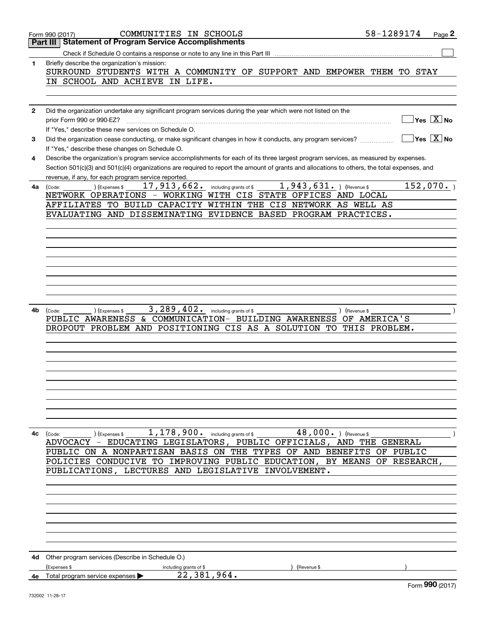|              | COMMUNITIES IN SCHOOLS<br>Form 990 (2017)                                                                                                    | 58-1289174 | Page 2                                 |
|--------------|----------------------------------------------------------------------------------------------------------------------------------------------|------------|----------------------------------------|
|              | <b>Statement of Program Service Accomplishments</b><br>Part III                                                                              |            |                                        |
|              |                                                                                                                                              |            |                                        |
| $\mathbf{1}$ | Briefly describe the organization's mission:                                                                                                 |            |                                        |
|              | SURROUND STUDENTS WITH A COMMUNITY OF SUPPORT AND EMPOWER THEM TO STAY                                                                       |            |                                        |
|              | IN SCHOOL AND ACHIEVE IN LIFE.                                                                                                               |            |                                        |
|              |                                                                                                                                              |            |                                        |
|              |                                                                                                                                              |            |                                        |
| $\mathbf{2}$ | Did the organization undertake any significant program services during the year which were not listed on the                                 |            |                                        |
|              | prior Form 990 or 990-EZ?                                                                                                                    |            | $\sqrt{}$ Yes $\sqrt{}$ X $\sqrt{}$ No |
|              | If "Yes," describe these new services on Schedule O.                                                                                         |            |                                        |
|              |                                                                                                                                              |            | $\sqrt{}$ Yes $\sqrt{}$ X $\sqrt{}$ No |
| 3            | Did the organization cease conducting, or make significant changes in how it conducts, any program services?                                 |            |                                        |
|              | If "Yes," describe these changes on Schedule O.                                                                                              |            |                                        |
| 4            | Describe the organization's program service accomplishments for each of its three largest program services, as measured by expenses.         |            |                                        |
|              | Section 501(c)(3) and 501(c)(4) organizations are required to report the amount of grants and allocations to others, the total expenses, and |            |                                        |
|              | revenue, if any, for each program service reported.                                                                                          |            |                                        |
| 4a           | 17,913,662. including grants of $$1,943,631.$ (Revenue \$<br>$\begin{pmatrix} \text{Code:} \\ \end{pmatrix}$ (Expenses \$                    |            | 152,070.                               |
|              | NETWORK OPERATIONS - WORKING WITH CIS STATE OFFICES AND LOCAL                                                                                |            |                                        |
|              | AFFILIATES TO BUILD CAPACITY WITHIN THE CIS NETWORK AS WELL AS                                                                               |            |                                        |
|              | EVALUATING AND DISSEMINATING EVIDENCE BASED PROGRAM PRACTICES.                                                                               |            |                                        |
|              |                                                                                                                                              |            |                                        |
|              |                                                                                                                                              |            |                                        |
|              |                                                                                                                                              |            |                                        |
|              |                                                                                                                                              |            |                                        |
|              |                                                                                                                                              |            |                                        |
|              |                                                                                                                                              |            |                                        |
|              |                                                                                                                                              |            |                                        |
|              |                                                                                                                                              |            |                                        |
|              |                                                                                                                                              |            |                                        |
|              |                                                                                                                                              |            |                                        |
| 4b           | ) (Expenses \$<br>) (Revenue \$<br>(Code:                                                                                                    |            |                                        |
|              | PUBLIC AWARENESS & COMMUNICATION- BUILDING AWARENESS OF AMERICA'S                                                                            |            |                                        |
|              | DROPOUT PROBLEM AND POSITIONING CIS AS A SOLUTION TO THIS PROBLEM.                                                                           |            |                                        |
|              |                                                                                                                                              |            |                                        |
|              |                                                                                                                                              |            |                                        |
|              |                                                                                                                                              |            |                                        |
|              |                                                                                                                                              |            |                                        |
|              |                                                                                                                                              |            |                                        |
|              |                                                                                                                                              |            |                                        |
|              |                                                                                                                                              |            |                                        |
|              |                                                                                                                                              |            |                                        |
|              |                                                                                                                                              |            |                                        |
|              |                                                                                                                                              |            |                                        |
| 4с           | 1, 178, 900. including grants of \$ 48, 000. ) (Revenue \$<br>(Expenses \$<br>(Code:                                                         |            |                                        |
|              | ADVOCACY - EDUCATING LEGISLATORS, PUBLIC OFFICIALS, AND THE GENERAL                                                                          |            |                                        |
|              | PUBLIC ON A NONPARTISAN BASIS ON THE TYPES OF AND BENEFITS OF PUBLIC                                                                         |            |                                        |
|              | POLICIES CONDUCIVE TO IMPROVING PUBLIC EDUCATION, BY MEANS OF RESEARCH,                                                                      |            |                                        |
|              | PUBLICATIONS, LECTURES AND LEGISLATIVE INVOLVEMENT.                                                                                          |            |                                        |
|              |                                                                                                                                              |            |                                        |
|              |                                                                                                                                              |            |                                        |
|              |                                                                                                                                              |            |                                        |
|              |                                                                                                                                              |            |                                        |
|              |                                                                                                                                              |            |                                        |
|              |                                                                                                                                              |            |                                        |
|              |                                                                                                                                              |            |                                        |
|              |                                                                                                                                              |            |                                        |
|              |                                                                                                                                              |            |                                        |
|              | <b>4d</b> Other program services (Describe in Schedule O.)                                                                                   |            |                                        |
|              | (Expenses \$<br>including grants of \$<br>(Revenue \$                                                                                        |            |                                        |
| 4e -         | 22,381,964.<br>Total program service expenses                                                                                                |            |                                        |
|              |                                                                                                                                              |            | Form 990 (2017)                        |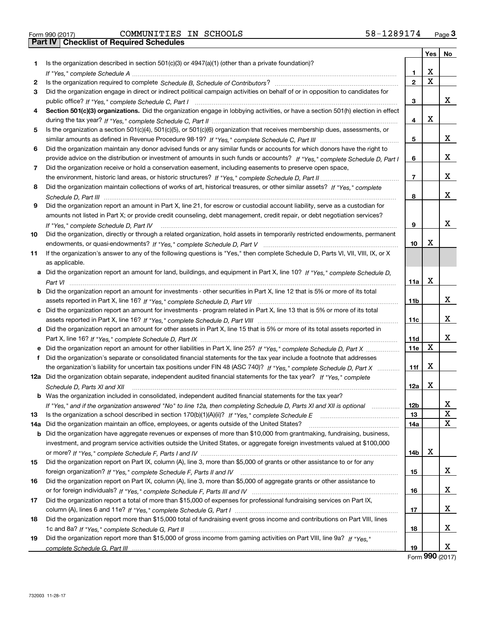|       |                                                                                                                                      |              | Yes         | No          |
|-------|--------------------------------------------------------------------------------------------------------------------------------------|--------------|-------------|-------------|
| 1.    | Is the organization described in section $501(c)(3)$ or $4947(a)(1)$ (other than a private foundation)?                              |              |             |             |
|       |                                                                                                                                      | 1            | X           |             |
| 2     |                                                                                                                                      | $\mathbf{2}$ | $\mathbf X$ |             |
| 3     | Did the organization engage in direct or indirect political campaign activities on behalf of or in opposition to candidates for      |              |             |             |
|       |                                                                                                                                      | 3            |             | x           |
| 4     | Section 501(c)(3) organizations. Did the organization engage in lobbying activities, or have a section 501(h) election in effect     |              |             |             |
|       |                                                                                                                                      | 4            | x           |             |
| 5     | Is the organization a section 501(c)(4), 501(c)(5), or 501(c)(6) organization that receives membership dues, assessments, or         |              |             |             |
|       |                                                                                                                                      | 5            |             | x           |
| 6     | Did the organization maintain any donor advised funds or any similar funds or accounts for which donors have the right to            |              |             |             |
|       | provide advice on the distribution or investment of amounts in such funds or accounts? If "Yes," complete Schedule D, Part I         | 6            |             | x           |
| 7     | Did the organization receive or hold a conservation easement, including easements to preserve open space,                            |              |             |             |
|       |                                                                                                                                      | 7            |             | x           |
| 8     | Did the organization maintain collections of works of art, historical treasures, or other similar assets? If "Yes," complete         |              |             |             |
|       |                                                                                                                                      | 8            |             | x           |
| 9     | Did the organization report an amount in Part X, line 21, for escrow or custodial account liability, serve as a custodian for        |              |             |             |
|       | amounts not listed in Part X; or provide credit counseling, debt management, credit repair, or debt negotiation services?            |              |             |             |
|       | If "Yes," complete Schedule D, Part IV                                                                                               | 9            |             | x           |
| 10    | Did the organization, directly or through a related organization, hold assets in temporarily restricted endowments, permanent        |              |             |             |
|       |                                                                                                                                      | 10           | x           |             |
| 11    | If the organization's answer to any of the following questions is "Yes," then complete Schedule D, Parts VI, VIII, VIII, IX, or X    |              |             |             |
|       | as applicable.                                                                                                                       |              |             |             |
|       | a Did the organization report an amount for land, buildings, and equipment in Part X, line 10? If "Yes," complete Schedule D,        |              |             |             |
|       |                                                                                                                                      | 11a          | X           |             |
|       | <b>b</b> Did the organization report an amount for investments - other securities in Part X, line 12 that is 5% or more of its total |              |             |             |
|       |                                                                                                                                      | 11b          |             | x           |
|       | c Did the organization report an amount for investments - program related in Part X, line 13 that is 5% or more of its total         |              |             |             |
|       |                                                                                                                                      | 11c          |             | x           |
|       | d Did the organization report an amount for other assets in Part X, line 15 that is 5% or more of its total assets reported in       |              |             |             |
|       |                                                                                                                                      | 11d          | X           | x           |
|       | e Did the organization report an amount for other liabilities in Part X, line 25? If "Yes," complete Schedule D, Part X              | 11e          |             |             |
| f     | Did the organization's separate or consolidated financial statements for the tax year include a footnote that addresses              |              | x           |             |
|       | the organization's liability for uncertain tax positions under FIN 48 (ASC 740)? If "Yes," complete Schedule D, Part X               | 11f          |             |             |
|       | 12a Did the organization obtain separate, independent audited financial statements for the tax year? If "Yes," complete              |              | X           |             |
|       | Schedule D, Parts XI and XII                                                                                                         | 12a          |             |             |
|       | <b>b</b> Was the organization included in consolidated, independent audited financial statements for the tax year?                   | 12b          |             | X           |
| 13    | If "Yes," and if the organization answered "No" to line 12a, then completing Schedule D, Parts XI and XII is optional                | 13           |             | $\mathbf X$ |
| 14a l | Did the organization maintain an office, employees, or agents outside of the United States?                                          | 14a          |             | Χ           |
|       | <b>b</b> Did the organization have aggregate revenues or expenses of more than \$10,000 from grantmaking, fundraising, business,     |              |             |             |
|       | investment, and program service activities outside the United States, or aggregate foreign investments valued at \$100,000           |              |             |             |
|       |                                                                                                                                      | 14b          | х           |             |
| 15    | Did the organization report on Part IX, column (A), line 3, more than \$5,000 of grants or other assistance to or for any            |              |             |             |
|       |                                                                                                                                      | 15           |             | х           |
| 16    | Did the organization report on Part IX, column (A), line 3, more than \$5,000 of aggregate grants or other assistance to             |              |             |             |
|       |                                                                                                                                      | 16           |             | x           |
| 17    | Did the organization report a total of more than \$15,000 of expenses for professional fundraising services on Part IX,              |              |             |             |
|       |                                                                                                                                      | 17           |             | x           |
| 18    | Did the organization report more than \$15,000 total of fundraising event gross income and contributions on Part VIII, lines         |              |             |             |
|       |                                                                                                                                      | 18           |             | x           |
| 19    | Did the organization report more than \$15,000 of gross income from gaming activities on Part VIII, line 9a? If "Yes."               |              |             |             |
|       |                                                                                                                                      | 19           |             | x           |

Form (2017) **990**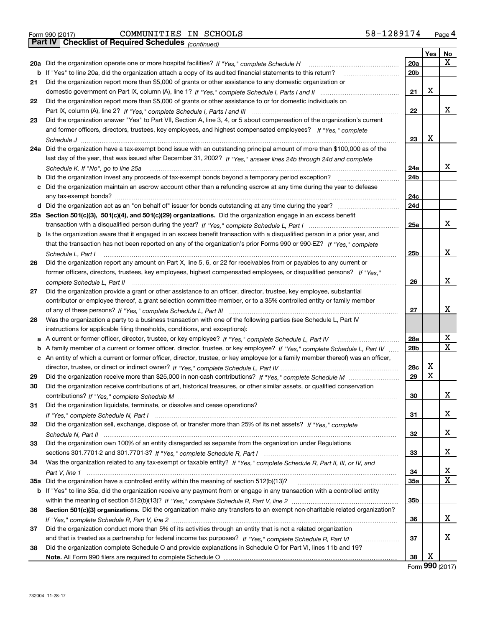Form 990 (2017) COMMUNITIES IN SCHOOLS 58-1289174 <sub>Page</sub> 4<br>**Part IV | Checklist of Required Schedules** <sub>(continued)</sub>

*(continued)*

|     |                                                                                                                                 |                 | Yes | No |
|-----|---------------------------------------------------------------------------------------------------------------------------------|-----------------|-----|----|
|     | 20a Did the organization operate one or more hospital facilities? If "Yes," complete Schedule H                                 | 20a             |     | Χ  |
| b   | If "Yes" to line 20a, did the organization attach a copy of its audited financial statements to this return?                    | 20 <sub>b</sub> |     |    |
| 21  | Did the organization report more than \$5,000 of grants or other assistance to any domestic organization or                     |                 |     |    |
|     |                                                                                                                                 | 21              | х   |    |
| 22  | Did the organization report more than \$5,000 of grants or other assistance to or for domestic individuals on                   |                 |     |    |
|     |                                                                                                                                 | 22              |     | х  |
| 23  | Did the organization answer "Yes" to Part VII, Section A, line 3, 4, or 5 about compensation of the organization's current      |                 |     |    |
|     | and former officers, directors, trustees, key employees, and highest compensated employees? If "Yes." complete                  |                 |     |    |
|     |                                                                                                                                 | 23              | X   |    |
| 24a | Did the organization have a tax-exempt bond issue with an outstanding principal amount of more than \$100,000 as of the         |                 |     |    |
|     | last day of the year, that was issued after December 31, 2002? If "Yes," answer lines 24b through 24d and complete              |                 |     |    |
|     | Schedule K. If "No", go to line 25a                                                                                             | 24a             |     | х  |
| b   | Did the organization invest any proceeds of tax-exempt bonds beyond a temporary period exception?                               | 24 <sub>b</sub> |     |    |
| c   | Did the organization maintain an escrow account other than a refunding escrow at any time during the year to defease            |                 |     |    |
|     |                                                                                                                                 | 24c             |     |    |
|     |                                                                                                                                 | 24d             |     |    |
|     | 25a Section 501(c)(3), 501(c)(4), and 501(c)(29) organizations. Did the organization engage in an excess benefit                |                 |     |    |
|     |                                                                                                                                 | 25a             |     | x  |
| b   | Is the organization aware that it engaged in an excess benefit transaction with a disqualified person in a prior year, and      |                 |     |    |
|     | that the transaction has not been reported on any of the organization's prior Forms 990 or 990-EZ? If "Yes," complete           |                 |     |    |
|     | Schedule L. Part I                                                                                                              | 25 <sub>b</sub> |     | х  |
| 26  | Did the organization report any amount on Part X, line 5, 6, or 22 for receivables from or payables to any current or           |                 |     |    |
|     | former officers, directors, trustees, key employees, highest compensated employees, or disqualified persons? If "Yes."          |                 |     |    |
|     | complete Schedule L, Part II                                                                                                    | 26              |     | x  |
| 27  | Did the organization provide a grant or other assistance to an officer, director, trustee, key employee, substantial            |                 |     |    |
|     | contributor or employee thereof, a grant selection committee member, or to a 35% controlled entity or family member             |                 |     |    |
|     |                                                                                                                                 | 27              |     | x  |
| 28  | Was the organization a party to a business transaction with one of the following parties (see Schedule L, Part IV               |                 |     |    |
|     | instructions for applicable filing thresholds, conditions, and exceptions):                                                     |                 |     |    |
|     | a A current or former officer, director, trustee, or key employee? If "Yes," complete Schedule L, Part IV                       | 28a             |     | х  |
| b   | A family member of a current or former officer, director, trustee, or key employee? If "Yes," complete Schedule L, Part IV      | 28 <sub>b</sub> |     | Χ  |
| c   | An entity of which a current or former officer, director, trustee, or key employee (or a family member thereof) was an officer, |                 |     |    |
|     |                                                                                                                                 | 28c             | X   |    |
| 29  |                                                                                                                                 | 29              | х   |    |
| 30  | Did the organization receive contributions of art, historical treasures, or other similar assets, or qualified conservation     |                 |     |    |
|     |                                                                                                                                 | 30              |     | x. |
| 31  | Did the organization liquidate, terminate, or dissolve and cease operations?                                                    |                 |     |    |
|     |                                                                                                                                 | 31              |     | х  |
| 32  | Did the organization sell, exchange, dispose of, or transfer more than 25% of its net assets? If "Yes," complete                |                 |     |    |
|     |                                                                                                                                 | 32              |     | X. |
| 33  | Did the organization own 100% of an entity disregarded as separate from the organization under Regulations                      |                 |     |    |
|     |                                                                                                                                 | 33              |     | X. |
| 34  | Was the organization related to any tax-exempt or taxable entity? If "Yes," complete Schedule R, Part II, III, or IV, and       |                 |     |    |
|     |                                                                                                                                 | 34              |     | x  |
| 35a |                                                                                                                                 | 35a             |     | x  |
|     | b If "Yes" to line 35a, did the organization receive any payment from or engage in any transaction with a controlled entity     |                 |     |    |
|     |                                                                                                                                 | 35b             |     |    |
| 36  | Section 501(c)(3) organizations. Did the organization make any transfers to an exempt non-charitable related organization?      |                 |     |    |
|     |                                                                                                                                 | 36              |     | X. |
| 37  | Did the organization conduct more than 5% of its activities through an entity that is not a related organization                |                 |     |    |
|     |                                                                                                                                 | 37              |     | х  |
| 38  | Did the organization complete Schedule O and provide explanations in Schedule O for Part VI, lines 11b and 19?                  |                 |     |    |
|     |                                                                                                                                 | 38              | х   |    |

Form (2017) **990**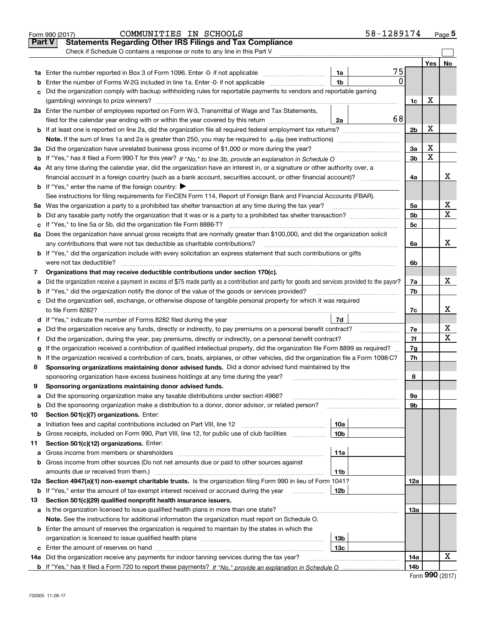|     | COMMUNITIES IN SCHOOLS<br>Form 990 (2017)                                                                                                         | 58-1289174 |                      |     | $_{\text{Page}}$ 5 |  |  |  |
|-----|---------------------------------------------------------------------------------------------------------------------------------------------------|------------|----------------------|-----|--------------------|--|--|--|
|     | <b>Statements Regarding Other IRS Filings and Tax Compliance</b><br><b>Part V</b>                                                                 |            |                      |     |                    |  |  |  |
|     | Check if Schedule O contains a response or note to any line in this Part V                                                                        |            |                      |     |                    |  |  |  |
|     |                                                                                                                                                   |            |                      | Yes | <b>No</b>          |  |  |  |
|     |                                                                                                                                                   | 75<br>1a   |                      |     |                    |  |  |  |
| b   | Enter the number of Forms W-2G included in line 1a. Enter -0- if not applicable                                                                   | 0<br>1b    |                      |     |                    |  |  |  |
| c   | Did the organization comply with backup withholding rules for reportable payments to vendors and reportable gaming                                |            |                      |     |                    |  |  |  |
|     |                                                                                                                                                   |            |                      |     |                    |  |  |  |
|     | 2a Enter the number of employees reported on Form W-3, Transmittal of Wage and Tax Statements,                                                    |            | 1c                   | х   |                    |  |  |  |
|     | filed for the calendar year ending with or within the year covered by this return                                                                 | 68<br>2a   |                      |     |                    |  |  |  |
|     | <b>b</b> If at least one is reported on line 2a, did the organization file all required federal employment tax returns?                           |            | 2 <sub>b</sub>       | X   |                    |  |  |  |
|     | <b>Note.</b> If the sum of lines 1a and 2a is greater than 250, you may be required to $e$ - <i>file</i> (see instructions)                       |            |                      |     |                    |  |  |  |
|     | 3a Did the organization have unrelated business gross income of \$1,000 or more during the year?                                                  |            | 3a                   | X   |                    |  |  |  |
|     | b If "Yes," has it filed a Form 990-T for this year? If "No," to line 3b, provide an explanation in Schedule O                                    |            | 3 <sub>b</sub>       | X   |                    |  |  |  |
|     | 4a At any time during the calendar year, did the organization have an interest in, or a signature or other authority over, a                      |            |                      |     |                    |  |  |  |
|     |                                                                                                                                                   |            | 4a                   |     | x                  |  |  |  |
|     |                                                                                                                                                   |            |                      |     |                    |  |  |  |
|     | <b>b</b> If "Yes," enter the name of the foreign country: $\blacktriangleright$                                                                   |            |                      |     |                    |  |  |  |
|     | See instructions for filing requirements for FinCEN Form 114, Report of Foreign Bank and Financial Accounts (FBAR).                               |            |                      |     | х                  |  |  |  |
|     | 5a Was the organization a party to a prohibited tax shelter transaction at any time during the tax year?                                          |            | 5a<br>5 <sub>b</sub> |     | X                  |  |  |  |
| b   | Did any taxable party notify the organization that it was or is a party to a prohibited tax shelter transaction?                                  |            |                      |     |                    |  |  |  |
|     | c If "Yes," to line 5a or 5b, did the organization file Form 8886-T?                                                                              |            | 5c                   |     |                    |  |  |  |
|     | 6a Does the organization have annual gross receipts that are normally greater than \$100,000, and did the organization solicit                    |            |                      |     | X                  |  |  |  |
|     | any contributions that were not tax deductible as charitable contributions?                                                                       |            | 6a                   |     |                    |  |  |  |
|     | b If "Yes," did the organization include with every solicitation an express statement that such contributions or gifts                            |            |                      |     |                    |  |  |  |
|     | were not tax deductible?                                                                                                                          |            | 6b                   |     |                    |  |  |  |
| 7   | Organizations that may receive deductible contributions under section 170(c).                                                                     |            |                      |     |                    |  |  |  |
|     | a Did the organization receive a payment in excess of \$75 made partly as a contribution and partly for goods and services provided to the payor? |            | 7a                   |     | X                  |  |  |  |
|     | <b>b</b> If "Yes," did the organization notify the donor of the value of the goods or services provided?                                          |            | 7b                   |     |                    |  |  |  |
|     | c Did the organization sell, exchange, or otherwise dispose of tangible personal property for which it was required                               |            |                      |     |                    |  |  |  |
|     | to file Form 8282?                                                                                                                                |            | 7c                   |     | х                  |  |  |  |
|     |                                                                                                                                                   | 7d         |                      |     |                    |  |  |  |
|     | e Did the organization receive any funds, directly or indirectly, to pay premiums on a personal benefit contract?                                 |            | 7e                   |     | х<br>X             |  |  |  |
| f   | Did the organization, during the year, pay premiums, directly or indirectly, on a personal benefit contract?                                      |            | 7f                   |     |                    |  |  |  |
| g   | If the organization received a contribution of qualified intellectual property, did the organization file Form 8899 as required?                  |            | 7g                   |     |                    |  |  |  |
|     | h If the organization received a contribution of cars, boats, airplanes, or other vehicles, did the organization file a Form 1098-C?              |            | 7h                   |     |                    |  |  |  |
| 8   | Sponsoring organizations maintaining donor advised funds. Did a donor advised fund maintained by the                                              |            |                      |     |                    |  |  |  |
|     | sponsoring organization have excess business holdings at any time during the year?                                                                |            | 8                    |     |                    |  |  |  |
| 9   | Sponsoring organizations maintaining donor advised funds.                                                                                         |            |                      |     |                    |  |  |  |
| а   | Did the sponsoring organization make any taxable distributions under section 4966?                                                                |            | 9а                   |     |                    |  |  |  |
| b   | Did the sponsoring organization make a distribution to a donor, donor advisor, or related person?                                                 |            | 9b                   |     |                    |  |  |  |
| 10  | Section 501(c)(7) organizations. Enter:                                                                                                           |            |                      |     |                    |  |  |  |
| а   |                                                                                                                                                   | 10a        |                      |     |                    |  |  |  |
| b   | Gross receipts, included on Form 990, Part VIII, line 12, for public use of club facilities                                                       | 10b        |                      |     |                    |  |  |  |
| 11  | Section 501(c)(12) organizations. Enter:                                                                                                          |            |                      |     |                    |  |  |  |
| а   |                                                                                                                                                   | 11a        |                      |     |                    |  |  |  |
| b   | Gross income from other sources (Do not net amounts due or paid to other sources against                                                          |            |                      |     |                    |  |  |  |
|     | amounts due or received from them.)                                                                                                               | 11b        |                      |     |                    |  |  |  |
|     | 12a Section 4947(a)(1) non-exempt charitable trusts. Is the organization filing Form 990 in lieu of Form 1041?                                    |            | 12a                  |     |                    |  |  |  |
| b   | If "Yes," enter the amount of tax-exempt interest received or accrued during the year                                                             | 12b        |                      |     |                    |  |  |  |
| 13  | Section 501(c)(29) qualified nonprofit health insurance issuers.                                                                                  |            |                      |     |                    |  |  |  |
| а   |                                                                                                                                                   |            | 13а                  |     |                    |  |  |  |
|     | Note. See the instructions for additional information the organization must report on Schedule O.                                                 |            |                      |     |                    |  |  |  |
|     | <b>b</b> Enter the amount of reserves the organization is required to maintain by the states in which the                                         |            |                      |     |                    |  |  |  |
|     |                                                                                                                                                   | 13b        |                      |     |                    |  |  |  |
|     |                                                                                                                                                   | 13c        |                      |     |                    |  |  |  |
| 14a | Did the organization receive any payments for indoor tanning services during the tax year?                                                        |            | 14a                  |     | х                  |  |  |  |
|     |                                                                                                                                                   |            | 14b                  |     |                    |  |  |  |

| Form 990 (2017) |  |  |
|-----------------|--|--|
|-----------------|--|--|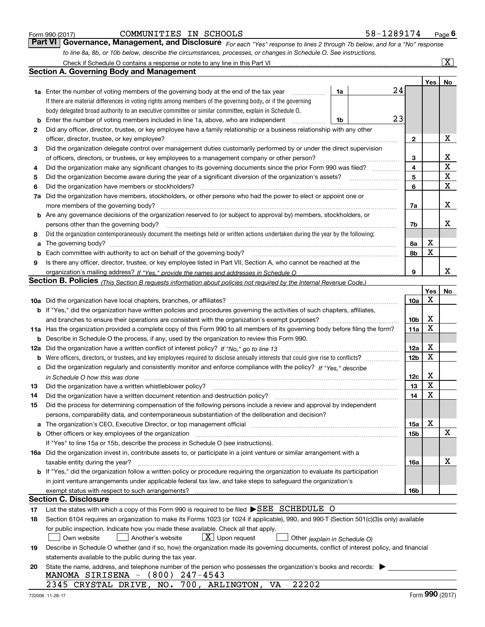|  | Form 990 (2017) |  |
|--|-----------------|--|
|  |                 |  |

| Form 990 (2017) | COMMUNITIES IN SCHOOLS |  | 58-1289174                                                                                                                  | $P_{\text{aqe}}$ 6 |
|-----------------|------------------------|--|-----------------------------------------------------------------------------------------------------------------------------|--------------------|
|                 |                        |  | Part VI Governance, Management, and Disclosure For each "Yes" response to lines 2 through 7b below, and for a "No" response |                    |
|                 |                        |  | to line 8a, 8b, or 10b below, describe the circumstances, processes, or changes in Schedule O. See instructions.            |                    |

|     | Check if Schedule O contains a response or note to any line in this Part VI                                                                                           |    |    |                 |     | $ {\bf X} $ |  |  |  |
|-----|-----------------------------------------------------------------------------------------------------------------------------------------------------------------------|----|----|-----------------|-----|-------------|--|--|--|
|     | <b>Section A. Governing Body and Management</b>                                                                                                                       |    |    |                 |     |             |  |  |  |
|     |                                                                                                                                                                       |    |    |                 | Yes | No          |  |  |  |
|     | 1a Enter the number of voting members of the governing body at the end of the tax year                                                                                | 1a |    | 24              |     |             |  |  |  |
|     | If there are material differences in voting rights among members of the governing body, or if the governing                                                           |    |    |                 |     |             |  |  |  |
|     | body delegated broad authority to an executive committee or similar committee, explain in Schedule O.                                                                 |    |    |                 |     |             |  |  |  |
| b   | Enter the number of voting members included in line 1a, above, who are independent                                                                                    | 1b | 23 |                 |     |             |  |  |  |
| 2   | Did any officer, director, trustee, or key employee have a family relationship or a business relationship with any other                                              |    |    |                 |     |             |  |  |  |
|     | officer, director, trustee, or key employee?                                                                                                                          |    |    | 2               |     | X           |  |  |  |
| 3   | Did the organization delegate control over management duties customarily performed by or under the direct supervision                                                 |    |    |                 |     |             |  |  |  |
|     |                                                                                                                                                                       |    |    | 3               |     | x           |  |  |  |
| 4   | Did the organization make any significant changes to its governing documents since the prior Form 990 was filed?                                                      |    |    | $\overline{4}$  |     | $\mathbf X$ |  |  |  |
| 5   |                                                                                                                                                                       |    |    | 5               |     | X           |  |  |  |
| 6   | Did the organization have members or stockholders?                                                                                                                    |    |    | 6               |     | X           |  |  |  |
| 7a  | Did the organization have members, stockholders, or other persons who had the power to elect or appoint one or                                                        |    |    |                 |     |             |  |  |  |
|     | more members of the governing body?                                                                                                                                   |    |    | 7a              |     | x           |  |  |  |
| b   | Are any governance decisions of the organization reserved to (or subject to approval by) members, stockholders, or                                                    |    |    |                 |     |             |  |  |  |
|     | persons other than the governing body?                                                                                                                                |    |    | 7b              |     | х           |  |  |  |
| 8   | Did the organization contemporaneously document the meetings held or written actions undertaken during the year by the following:                                     |    |    |                 |     |             |  |  |  |
| a   |                                                                                                                                                                       |    |    | 8a              | х   |             |  |  |  |
| b   |                                                                                                                                                                       |    |    | 8b              | x   |             |  |  |  |
| 9   | Is there any officer, director, trustee, or key employee listed in Part VII, Section A, who cannot be reached at the                                                  |    |    |                 |     |             |  |  |  |
|     |                                                                                                                                                                       |    |    | 9               |     | x           |  |  |  |
|     | <b>Section B. Policies</b> (This Section B requests information about policies not required by the Internal Revenue Code.)                                            |    |    |                 |     |             |  |  |  |
|     |                                                                                                                                                                       |    |    |                 | Yes | No          |  |  |  |
|     |                                                                                                                                                                       |    |    | 10a             | X   |             |  |  |  |
|     | <b>b</b> If "Yes," did the organization have written policies and procedures governing the activities of such chapters, affiliates,                                   |    |    |                 |     |             |  |  |  |
|     | and branches to ensure their operations are consistent with the organization's exempt purposes?                                                                       |    |    | 10 <sub>b</sub> | х   |             |  |  |  |
|     | 11a Has the organization provided a complete copy of this Form 990 to all members of its governing body before filing the form?                                       |    |    | 11a             | X   |             |  |  |  |
| b   | Describe in Schedule O the process, if any, used by the organization to review this Form 990.                                                                         |    |    |                 |     |             |  |  |  |
| 12a | Did the organization have a written conflict of interest policy? If "No," go to line 13                                                                               |    |    | 12a             | X   |             |  |  |  |
| b   |                                                                                                                                                                       |    |    | 12 <sub>b</sub> | X   |             |  |  |  |
| с   | Did the organization regularly and consistently monitor and enforce compliance with the policy? If "Yes." describe                                                    |    |    |                 |     |             |  |  |  |
|     | in Schedule O how this was done measured and continuum control to the control of the state of the state of the                                                        |    |    | 12c             | х   |             |  |  |  |
| 13  | Did the organization have a written whistleblower policy?                                                                                                             |    |    | 13              | x   |             |  |  |  |
| 14  | Did the organization have a written document retention and destruction policy?                                                                                        |    |    | 14              | X   |             |  |  |  |
| 15  | Did the process for determining compensation of the following persons include a review and approval by independent                                                    |    |    |                 |     |             |  |  |  |
|     | persons, comparability data, and contemporaneous substantiation of the deliberation and decision?                                                                     |    |    |                 |     |             |  |  |  |
| a   | The organization's CEO, Executive Director, or top management official manufactured content of the organization's CEO, Executive Director, or top management official |    |    | 15a             | х   |             |  |  |  |
|     | Other officers or key employees of the organization                                                                                                                   |    |    | 15b             |     | х           |  |  |  |
|     | If "Yes" to line 15a or 15b, describe the process in Schedule O (see instructions).                                                                                   |    |    |                 |     |             |  |  |  |
|     | 16a Did the organization invest in, contribute assets to, or participate in a joint venture or similar arrangement with a                                             |    |    |                 |     |             |  |  |  |
|     | taxable entity during the year?                                                                                                                                       |    |    | 16a             |     | х           |  |  |  |
|     | b If "Yes," did the organization follow a written policy or procedure requiring the organization to evaluate its participation                                        |    |    |                 |     |             |  |  |  |
|     | in joint venture arrangements under applicable federal tax law, and take steps to safeguard the organization's                                                        |    |    |                 |     |             |  |  |  |
|     | exempt status with respect to such arrangements?                                                                                                                      |    |    | 16b             |     |             |  |  |  |
|     | <b>Section C. Disclosure</b>                                                                                                                                          |    |    |                 |     |             |  |  |  |
| 17  | List the states with which a copy of this Form 990 is required to be filed SEE SCHEDULE O                                                                             |    |    |                 |     |             |  |  |  |
| 18  | Section 6104 requires an organization to make its Forms 1023 (or 1024 if applicable), 990, and 990-T (Section 501(c)(3)s only) available                              |    |    |                 |     |             |  |  |  |
|     | for public inspection. Indicate how you made these available. Check all that apply.                                                                                   |    |    |                 |     |             |  |  |  |
|     | $X$ Upon request<br>Another's website<br>Own website<br>Other (explain in Schedule O)                                                                                 |    |    |                 |     |             |  |  |  |
| 19  | Describe in Schedule O whether (and if so, how) the organization made its governing documents, conflict of interest policy, and financial                             |    |    |                 |     |             |  |  |  |
|     | statements available to the public during the tax year.                                                                                                               |    |    |                 |     |             |  |  |  |
| 20  | State the name, address, and telephone number of the person who possesses the organization's books and records:                                                       |    |    |                 |     |             |  |  |  |
|     | MANOMA SIRISENA - (800) 247-4543                                                                                                                                      |    |    |                 |     |             |  |  |  |
|     | 2345 CRYSTAL DRIVE, NO. 700, ARLINGTON, VA<br>22202                                                                                                                   |    |    |                 |     |             |  |  |  |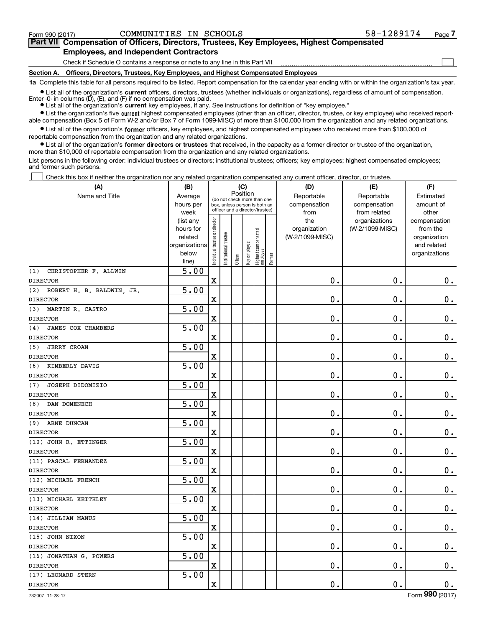$\mathcal{L}^{\text{max}}$ 

| Form 990 (2017) | COMMUNITIES IN SCHOOLS                                                                     |  | 58-1289174 | Page 7 |
|-----------------|--------------------------------------------------------------------------------------------|--|------------|--------|
|                 | Part VII Compensation of Officers, Directors, Trustees, Key Employees, Highest Compensated |  |            |        |
|                 | <b>Employees, and Independent Contractors</b>                                              |  |            |        |

Check if Schedule O contains a response or note to any line in this Part VII

**Section A. Officers, Directors, Trustees, Key Employees, and Highest Compensated Employees**

**1a**  Complete this table for all persons required to be listed. Report compensation for the calendar year ending with or within the organization's tax year.

**•** List all of the organization's current officers, directors, trustees (whether individuals or organizations), regardless of amount of compensation. Enter -0- in columns  $(D)$ ,  $(E)$ , and  $(F)$  if no compensation was paid.

● List all of the organization's **current** key employees, if any. See instructions for definition of "key employee."

**•** List the organization's five current highest compensated employees (other than an officer, director, trustee, or key employee) who received reportable compensation (Box 5 of Form W-2 and/or Box 7 of Form 1099-MISC) of more than \$100,000 from the organization and any related organizations.

 $\bullet$  List all of the organization's **former** officers, key employees, and highest compensated employees who received more than \$100,000 of reportable compensation from the organization and any related organizations.

**•** List all of the organization's former directors or trustees that received, in the capacity as a former director or trustee of the organization, more than \$10,000 of reportable compensation from the organization and any related organizations.

List persons in the following order: individual trustees or directors; institutional trustees; officers; key employees; highest compensated employees; and former such persons.

Check this box if neither the organization nor any related organization compensated any current officer, director, or trustee.  $\mathcal{L}^{\text{max}}$ 

| (A)                              | (B)                                                                  |                                                                                                             |                      | (C)     |              |                                  |        | (D)                                    | (E)                                        | (F)                                                                      |
|----------------------------------|----------------------------------------------------------------------|-------------------------------------------------------------------------------------------------------------|----------------------|---------|--------------|----------------------------------|--------|----------------------------------------|--------------------------------------------|--------------------------------------------------------------------------|
| Name and Title                   | Average<br>hours per<br>week                                         | Position<br>(do not check more than one<br>box, unless person is both an<br>officer and a director/trustee) |                      |         |              |                                  |        | Reportable<br>compensation<br>from     | Reportable<br>compensation<br>from related | Estimated<br>amount of<br>other                                          |
|                                  | (list any<br>hours for<br>related<br>organizations<br>below<br>line) | ndividual trustee or director                                                                               | nstitutional trustee | Officer | Key employee | Highest compensated<br> employee | Former | the<br>organization<br>(W-2/1099-MISC) | organizations<br>(W-2/1099-MISC)           | compensation<br>from the<br>organization<br>and related<br>organizations |
| (1)<br>CHRISTOPHER F. ALLWIN     | 5.00                                                                 |                                                                                                             |                      |         |              |                                  |        |                                        |                                            |                                                                          |
| <b>DIRECTOR</b>                  |                                                                      | $\overline{\textbf{X}}$                                                                                     |                      |         |              |                                  |        | $\mathbf 0$ .                          | $\mathbf 0$ .                              | 0.                                                                       |
| (2)<br>ROBERT H. B. BALDWIN, JR. | 5.00                                                                 |                                                                                                             |                      |         |              |                                  |        |                                        |                                            |                                                                          |
| <b>DIRECTOR</b>                  |                                                                      | $\mathbf X$                                                                                                 |                      |         |              |                                  |        | $\mathbf 0$ .                          | $\mathbf 0$ .                              | $0_{.}$                                                                  |
| MARTIN R. CASTRO<br>(3)          | 5.00                                                                 |                                                                                                             |                      |         |              |                                  |        |                                        |                                            |                                                                          |
| <b>DIRECTOR</b>                  |                                                                      | $\overline{\textbf{X}}$                                                                                     |                      |         |              |                                  |        | $\mathbf 0$ .                          | $\mathbf 0$ .                              | $\mathbf 0$ .                                                            |
| JAMES COX CHAMBERS<br>(4)        | 5.00                                                                 |                                                                                                             |                      |         |              |                                  |        |                                        |                                            |                                                                          |
| <b>DIRECTOR</b>                  |                                                                      | $\overline{\textbf{X}}$                                                                                     |                      |         |              |                                  |        | $\mathbf 0$ .                          | $\mathbf 0$ .                              | $\mathbf 0$ .                                                            |
| <b>JERRY CROAN</b><br>(5)        | 5.00                                                                 |                                                                                                             |                      |         |              |                                  |        |                                        |                                            |                                                                          |
| <b>DIRECTOR</b>                  |                                                                      | $\overline{\textbf{X}}$                                                                                     |                      |         |              |                                  |        | $\mathbf 0$ .                          | $\mathbf 0$ .                              | $\mathbf 0$ .                                                            |
| (6)<br>KIMBERLY DAVIS            | 5.00                                                                 |                                                                                                             |                      |         |              |                                  |        |                                        |                                            |                                                                          |
| <b>DIRECTOR</b>                  |                                                                      | X                                                                                                           |                      |         |              |                                  |        | $\mathbf 0$ .                          | $\mathbf 0$ .                              | $\mathbf 0$ .                                                            |
| JOSEPH DIDOMIZIO<br>(7)          | 5.00                                                                 |                                                                                                             |                      |         |              |                                  |        |                                        |                                            |                                                                          |
| <b>DIRECTOR</b>                  |                                                                      | $\rm X$                                                                                                     |                      |         |              |                                  |        | $\mathbf 0$ .                          | $\mathbf 0$ .                              | $\mathbf 0$ .                                                            |
| DAN DOMENECH<br>(8)              | 5.00                                                                 |                                                                                                             |                      |         |              |                                  |        |                                        |                                            |                                                                          |
| <b>DIRECTOR</b>                  |                                                                      | $\overline{\textbf{X}}$                                                                                     |                      |         |              |                                  |        | $\mathbf 0$ .                          | $\mathbf 0$ .                              | $\mathbf 0$ .                                                            |
| ARNE DUNCAN<br>(9)               | 5.00                                                                 |                                                                                                             |                      |         |              |                                  |        |                                        |                                            |                                                                          |
| <b>DIRECTOR</b>                  |                                                                      | $\rm X$                                                                                                     |                      |         |              |                                  |        | $\mathbf 0$ .                          | $\mathbf 0$ .                              | $\mathbf 0$ .                                                            |
| (10) JOHN R. ETTINGER            | 5.00                                                                 |                                                                                                             |                      |         |              |                                  |        |                                        |                                            |                                                                          |
| <b>DIRECTOR</b>                  |                                                                      | X                                                                                                           |                      |         |              |                                  |        | $\mathbf 0$ .                          | $\mathbf 0$ .                              | $\mathbf 0$ .                                                            |
| (11) PASCAL FERNANDEZ            | 5.00                                                                 |                                                                                                             |                      |         |              |                                  |        |                                        |                                            |                                                                          |
| <b>DIRECTOR</b>                  |                                                                      | $\mathbf X$                                                                                                 |                      |         |              |                                  |        | $\mathbf 0$ .                          | $\mathbf 0$ .                              | $\mathbf 0$ .                                                            |
| (12) MICHAEL FRENCH              | 5.00                                                                 |                                                                                                             |                      |         |              |                                  |        |                                        |                                            |                                                                          |
| <b>DIRECTOR</b>                  |                                                                      | $\overline{\textbf{X}}$                                                                                     |                      |         |              |                                  |        | $\mathbf 0$ .                          | $\mathbf 0$ .                              | $\mathbf 0$ .                                                            |
| (13) MICHAEL KEITHLEY            | 5.00                                                                 |                                                                                                             |                      |         |              |                                  |        |                                        |                                            |                                                                          |
| <b>DIRECTOR</b>                  |                                                                      | $\mathbf X$                                                                                                 |                      |         |              |                                  |        | $\mathbf 0$ .                          | $\mathbf 0$ .                              | $\mathbf 0$ .                                                            |
| (14) JILLIAN MANUS               | 5.00                                                                 |                                                                                                             |                      |         |              |                                  |        |                                        |                                            |                                                                          |
| <b>DIRECTOR</b>                  |                                                                      | X                                                                                                           |                      |         |              |                                  |        | $\mathbf 0$ .                          | $\mathbf 0$ .                              | $\mathbf 0$ .                                                            |
| (15) JOHN NIXON                  | 5.00                                                                 |                                                                                                             |                      |         |              |                                  |        |                                        |                                            |                                                                          |
| <b>DIRECTOR</b>                  |                                                                      | $\rm X$                                                                                                     |                      |         |              |                                  |        | $\mathbf 0$ .                          | $\mathbf 0$ .                              | $0 \cdot$                                                                |
| (16) JONATHAN G. POWERS          | 5.00                                                                 |                                                                                                             |                      |         |              |                                  |        |                                        |                                            |                                                                          |
| <b>DIRECTOR</b>                  |                                                                      | X                                                                                                           |                      |         |              |                                  |        | 0.                                     | $\mathbf 0$ .                              | $\mathbf 0$ .                                                            |
| (17) LEONARD STERN               | 5.00                                                                 |                                                                                                             |                      |         |              |                                  |        |                                        |                                            |                                                                          |
| <b>DIRECTOR</b>                  |                                                                      | $\rm X$                                                                                                     |                      |         |              |                                  |        | $\mathbf 0$ .                          | $\mathbf 0$ .                              | $\mathbf 0$ .                                                            |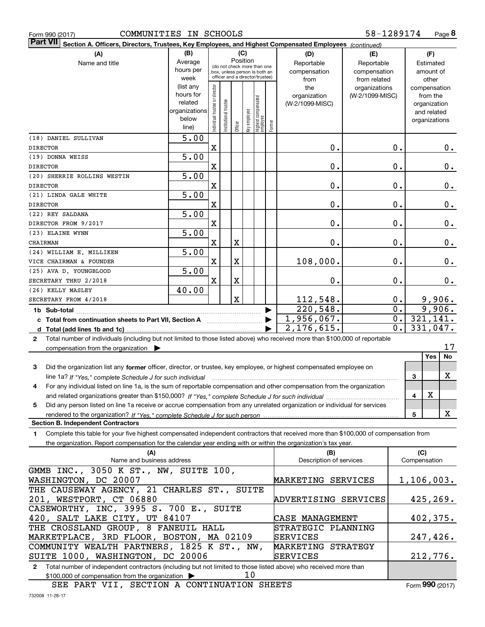|  | Form 990 (2017) |
|--|-----------------|

| $\vert$ Part VII $\vert$ Section A. Officers, Directors, Trustees, Key Employees, and Highest Compensated Employees $\vert$ $_{\rm {Continued)}}$                                                                                                                       |                        |                                |                       |             |              |                                   |        |                         |                 |                  |              |                             |               |
|-------------------------------------------------------------------------------------------------------------------------------------------------------------------------------------------------------------------------------------------------------------------------|------------------------|--------------------------------|-----------------------|-------------|--------------|-----------------------------------|--------|-------------------------|-----------------|------------------|--------------|-----------------------------|---------------|
| (A)                                                                                                                                                                                                                                                                     | (B)                    |                                |                       |             | (C)          |                                   |        | (D)                     | (E)             | (F)              |              |                             |               |
| Name and title                                                                                                                                                                                                                                                          | Average                |                                |                       | Position    |              | (do not check more than one       |        | Reportable              | Reportable      |                  | Estimated    |                             |               |
|                                                                                                                                                                                                                                                                         | hours per              |                                |                       |             |              | box, unless person is both an     |        | compensation            | compensation    |                  |              | amount of                   |               |
|                                                                                                                                                                                                                                                                         | week                   |                                |                       |             |              | officer and a director/trustee)   |        | from                    | from related    |                  |              | other                       |               |
|                                                                                                                                                                                                                                                                         | (list any<br>hours for |                                |                       |             |              |                                   |        | the                     | organizations   |                  |              | compensation                |               |
|                                                                                                                                                                                                                                                                         | related                |                                |                       |             |              |                                   |        | organization            | (W-2/1099-MISC) |                  |              | from the                    |               |
|                                                                                                                                                                                                                                                                         | organizations          |                                |                       |             |              |                                   |        | (W-2/1099-MISC)         |                 |                  |              | organization<br>and related |               |
|                                                                                                                                                                                                                                                                         | below                  |                                |                       |             |              |                                   |        |                         |                 |                  |              | organizations               |               |
|                                                                                                                                                                                                                                                                         | line)                  | Individual trustee or director | Institutional trustee | Officer     | key employee | Highest compensated<br>  employee | Former |                         |                 |                  |              |                             |               |
| (18) DANIEL SULLIVAN                                                                                                                                                                                                                                                    | $\overline{5.00}$      |                                |                       |             |              |                                   |        |                         |                 |                  |              |                             |               |
| <b>DIRECTOR</b>                                                                                                                                                                                                                                                         |                        | $\mathbf X$                    |                       |             |              |                                   |        | $\mathbf 0$ .           |                 | $\mathbf 0$ .    |              |                             | 0.            |
| (19) DONNA WEISS                                                                                                                                                                                                                                                        | $\overline{5.00}$      |                                |                       |             |              |                                   |        |                         |                 |                  |              |                             |               |
| <b>DIRECTOR</b>                                                                                                                                                                                                                                                         |                        | $\mathbf X$                    |                       |             |              |                                   |        | 0.                      |                 | $\mathbf 0$ .    |              |                             | $0$ .         |
| (20) SHERRIE ROLLINS WESTIN                                                                                                                                                                                                                                             | $\overline{5.00}$      |                                |                       |             |              |                                   |        |                         |                 |                  |              |                             |               |
| <b>DIRECTOR</b>                                                                                                                                                                                                                                                         |                        | $\mathbf X$                    |                       |             |              |                                   |        | 0.                      |                 | $\mathbf 0$ .    |              |                             | $\mathbf 0$ . |
| (21) LINDA GALE WHITE                                                                                                                                                                                                                                                   | $\overline{5.00}$      |                                |                       |             |              |                                   |        |                         |                 |                  |              |                             |               |
| <b>DIRECTOR</b>                                                                                                                                                                                                                                                         |                        | $\mathbf X$                    |                       |             |              |                                   |        | 0.                      |                 | $\mathbf 0$ .    |              |                             | $0$ .         |
| (22) REY SALDANA                                                                                                                                                                                                                                                        | 5.00                   |                                |                       |             |              |                                   |        |                         |                 |                  |              |                             |               |
| DIRECTOR FROM 9/2017                                                                                                                                                                                                                                                    |                        | X                              |                       |             |              |                                   |        | 0.                      |                 | $\mathbf 0$ .    |              |                             | $0$ .         |
| (23) ELAINE WYNN                                                                                                                                                                                                                                                        | 5.00                   |                                |                       |             |              |                                   |        |                         |                 |                  |              |                             |               |
| CHAIRMAN                                                                                                                                                                                                                                                                |                        | $\mathbf X$                    |                       | $\mathbf X$ |              |                                   |        | 0.                      |                 | $\mathbf 0$ .    |              |                             | $0$ .         |
| (24) WILLIAM E. MILLIKEN                                                                                                                                                                                                                                                | 5.00                   |                                |                       |             |              |                                   |        |                         |                 |                  |              |                             |               |
| VICE CHAIRMAN & FOUNDER                                                                                                                                                                                                                                                 |                        | $\mathbf X$                    |                       | $\mathbf X$ |              |                                   |        | 108,000.                |                 | $\mathbf 0$ .    |              |                             | 0.            |
| (25) AVA D. YOUNGBLOOD                                                                                                                                                                                                                                                  | $\overline{5.00}$      |                                |                       |             |              |                                   |        |                         |                 |                  |              |                             |               |
| SECRETARY THRU 2/2018                                                                                                                                                                                                                                                   |                        | $\mathbf X$                    |                       | $\mathbf X$ |              |                                   |        | 0.                      |                 | $\mathbf 0$ .    |              |                             | 0.            |
| (26) KELLY MASLEY                                                                                                                                                                                                                                                       | 40.00                  |                                |                       |             |              |                                   |        |                         |                 |                  |              |                             |               |
| SECRETARY FROM 4/2018                                                                                                                                                                                                                                                   |                        |                                |                       | $\mathbf X$ |              |                                   |        | 112,548.                |                 | $0$ .            |              | 9,906.                      |               |
|                                                                                                                                                                                                                                                                         |                        |                                |                       |             |              |                                   |        | 220,548.                |                 | $\overline{0}$ . |              |                             | 9,906.        |
|                                                                                                                                                                                                                                                                         |                        |                                |                       |             |              |                                   |        | 1,956,067.              |                 | 0.               |              | 321,141.                    |               |
|                                                                                                                                                                                                                                                                         |                        |                                |                       |             |              |                                   |        | 2, 176, 615.            |                 | 0.               |              | 331,047.                    |               |
| Total number of individuals (including but not limited to those listed above) who received more than \$100,000 of reportable<br>$\mathbf{2}$                                                                                                                            |                        |                                |                       |             |              |                                   |        |                         |                 |                  |              |                             |               |
| compensation from the organization                                                                                                                                                                                                                                      |                        |                                |                       |             |              |                                   |        |                         |                 |                  |              | Yes                         | 17<br>No      |
| 3<br>Did the organization list any former officer, director, or trustee, key employee, or highest compensated employee on                                                                                                                                               |                        |                                |                       |             |              |                                   |        |                         |                 |                  |              |                             |               |
|                                                                                                                                                                                                                                                                         |                        |                                |                       |             |              |                                   |        |                         |                 |                  | 3            |                             | X             |
| line 1a? If "Yes," complete Schedule J for such individual manufactured contains and the Yes," complete Schedule J for such individual<br>For any individual listed on line 1a, is the sum of reportable compensation and other compensation from the organization<br>4 |                        |                                |                       |             |              |                                   |        |                         |                 |                  |              |                             |               |
|                                                                                                                                                                                                                                                                         |                        |                                |                       |             |              |                                   |        |                         |                 |                  | 4            | X                           |               |
| Did any person listed on line 1a receive or accrue compensation from any unrelated organization or individual for services<br>5                                                                                                                                         |                        |                                |                       |             |              |                                   |        |                         |                 |                  |              |                             |               |
|                                                                                                                                                                                                                                                                         |                        |                                |                       |             |              |                                   |        |                         |                 |                  | 5            |                             | X             |
| <b>Section B. Independent Contractors</b>                                                                                                                                                                                                                               |                        |                                |                       |             |              |                                   |        |                         |                 |                  |              |                             |               |
| Complete this table for your five highest compensated independent contractors that received more than \$100,000 of compensation from<br>1.                                                                                                                              |                        |                                |                       |             |              |                                   |        |                         |                 |                  |              |                             |               |
| the organization. Report compensation for the calendar year ending with or within the organization's tax year.                                                                                                                                                          |                        |                                |                       |             |              |                                   |        |                         |                 |                  |              |                             |               |
| (A)                                                                                                                                                                                                                                                                     |                        |                                |                       |             |              |                                   |        | (B)                     |                 |                  | (C)          |                             |               |
| Name and business address                                                                                                                                                                                                                                               |                        |                                |                       |             |              |                                   |        | Description of services |                 |                  | Compensation |                             |               |

| (A)                                                                                                                              | וסו                     | ישו          |  |
|----------------------------------------------------------------------------------------------------------------------------------|-------------------------|--------------|--|
| Name and business address                                                                                                        | Description of services | Compensation |  |
| GMMB INC., 3050 K ST., NW, SUITE 100,                                                                                            |                         |              |  |
| WASHINGTON, DC 20007                                                                                                             | MARKETING SERVICES      | 1,106,003.   |  |
| THE CAUSEWAY AGENCY, 21 CHARLES ST., SUITE                                                                                       |                         |              |  |
| 201, WESTPORT, CT 06880                                                                                                          | ADVERTISING SERVICES    | 425, 269.    |  |
| CASEWORTHY, INC, 3995 S. 700 E., SUITE                                                                                           |                         |              |  |
| 420, SALT LAKE CITY, UT 84107                                                                                                    | CASE MANAGEMENT         | 402,375.     |  |
| THE CROSSLAND GROUP, 8 FANEUIL HALL                                                                                              | STRATEGIC PLANNING      |              |  |
| MARKETPLACE, 3RD FLOOR, BOSTON, MA 02109                                                                                         | <b>SERVICES</b>         | 247,426.     |  |
| COMMUNITY WEALTH PARTNERS, 1825 K ST., NW,                                                                                       | MARKETING STRATEGY      |              |  |
| SUITE 1000, WASHINGTON, DC 20006                                                                                                 | <b>SERVICES</b>         | 212,776.     |  |
| Total number of independent contractors (including but not limited to those listed above) who received more than<br>$\mathbf{2}$ |                         |              |  |
| 10<br>$$100,000$ of compensation from the organization $\triangleright$                                                          |                         |              |  |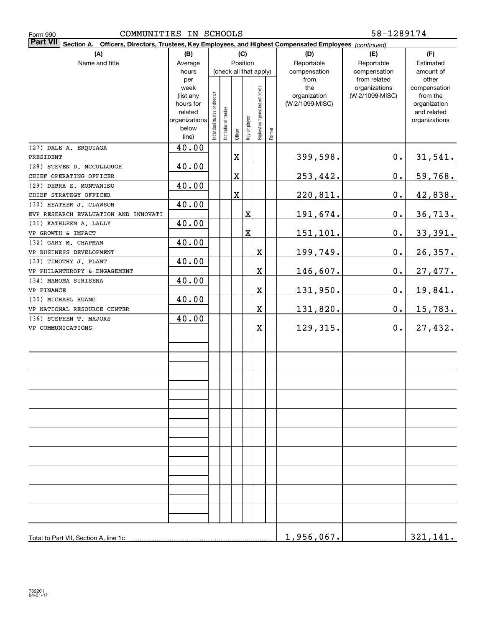| COMMUNITIES IN SCHOOLS<br>Form 990                    | 58-1289174             |                                                                                                        |                       |         |                         |                              |        |                      |                              |                    |
|-------------------------------------------------------|------------------------|--------------------------------------------------------------------------------------------------------|-----------------------|---------|-------------------------|------------------------------|--------|----------------------|------------------------------|--------------------|
| <b>Part VII</b>                                       |                        | Section A. Officers, Directors, Trustees, Key Employees, and Highest Compensated Employees (continued) |                       |         |                         |                              |        |                      |                              |                    |
| (A)                                                   | (B)                    |                                                                                                        |                       |         | (C)                     |                              |        | (D)                  | (E)                          | (F)                |
| Name and title                                        | Average                | Position<br>(check all that apply)                                                                     |                       |         |                         |                              |        | Reportable           | Reportable                   | Estimated          |
|                                                       | hours                  |                                                                                                        |                       |         |                         |                              |        | compensation<br>from | compensation<br>from related | amount of<br>other |
|                                                       | per<br>week            |                                                                                                        |                       |         |                         |                              |        | the                  | organizations                | compensation       |
|                                                       | (list any              |                                                                                                        |                       |         |                         |                              |        | organization         | (W-2/1099-MISC)              | from the           |
|                                                       | hours for              |                                                                                                        |                       |         |                         |                              |        | (W-2/1099-MISC)      |                              | organization       |
|                                                       | related                |                                                                                                        |                       |         |                         |                              |        |                      |                              | and related        |
|                                                       | organizations<br>below | Individual trustee or director                                                                         | Institutional trustee |         | Key employee            |                              |        |                      |                              | organizations      |
|                                                       | line)                  |                                                                                                        |                       | Officer |                         | Highest compensated employee | Former |                      |                              |                    |
| (27) DALE A. ERQUIAGA                                 | 40.00                  |                                                                                                        |                       |         |                         |                              |        |                      |                              |                    |
| PRESIDENT                                             |                        |                                                                                                        |                       | X       |                         |                              |        | 399,598.             | $\mathbf 0$ .                | <u>31,541.</u>     |
| (28) STEVEN D. MCCULLOUGH                             | 40.00                  |                                                                                                        |                       |         |                         |                              |        |                      |                              |                    |
| CHIEF OPERATING OFFICER                               |                        |                                                                                                        |                       | X       |                         |                              |        | 253,442.             | 0.                           | 59,768.            |
| (29) DEBRA E. MONTANINO                               | 40.00                  |                                                                                                        |                       |         |                         |                              |        |                      |                              |                    |
| CHIEF STRATEGY OFFICER                                |                        |                                                                                                        |                       | X       |                         |                              |        | 220,811.             | 0.                           | 42,838.            |
| (30) HEATHER J. CLAWSON                               | 40.00                  |                                                                                                        |                       |         |                         |                              |        |                      |                              |                    |
| EVP RESEARCH EVALUATION AND INNOVATI                  |                        |                                                                                                        |                       |         | X                       |                              |        | 191,674.             | 0.                           | 36, 713.           |
| (31) KATHLEEN A. LALLY                                | 40.00                  |                                                                                                        |                       |         |                         |                              |        |                      |                              |                    |
| VP GROWTH & IMPACT                                    |                        |                                                                                                        |                       |         | $\overline{\mathbf{X}}$ |                              |        | 151,101.             | 0.                           | 33,391.            |
| (32) GARY M. CHAPMAN                                  | 40.00                  |                                                                                                        |                       |         |                         |                              |        |                      |                              |                    |
| VP BUSINESS DEVELOPMENT                               |                        |                                                                                                        |                       |         |                         | $\mathbf X$                  |        | 199,749.             | 0.                           | 26, 357.           |
| (33) TIMOTHY J. PLANT<br>VP PHILANTHROPY & ENGAGEMENT | 40.00                  |                                                                                                        |                       |         |                         | $\mathbf X$                  |        | 146,607.             | 0.                           |                    |
| (34) MANOMA SIRISENA                                  | 40.00                  |                                                                                                        |                       |         |                         |                              |        |                      |                              | 27,477.            |
| VP FINANCE                                            |                        |                                                                                                        |                       |         |                         | $\mathbf X$                  |        | 131,950.             | 0.                           | 19,841.            |
| (35) MICHAEL HUANG                                    | 40.00                  |                                                                                                        |                       |         |                         |                              |        |                      |                              |                    |
| VP NATIONAL RESOURCE CENTER                           |                        |                                                                                                        |                       |         |                         | $\mathbf X$                  |        | 131,820.             | 0.                           | 15,783.            |
| (36) STEPHEN T. MAJORS                                | 40.00                  |                                                                                                        |                       |         |                         |                              |        |                      |                              |                    |
| VP COMMUNICATIONS                                     |                        |                                                                                                        |                       |         |                         | $\mathbf X$                  |        | 129, 315.            | $0$ .                        | 27,432.            |
|                                                       |                        |                                                                                                        |                       |         |                         |                              |        |                      |                              |                    |
|                                                       |                        |                                                                                                        |                       |         |                         |                              |        |                      |                              |                    |
|                                                       |                        |                                                                                                        |                       |         |                         |                              |        |                      |                              |                    |
|                                                       |                        |                                                                                                        |                       |         |                         |                              |        |                      |                              |                    |
|                                                       |                        |                                                                                                        |                       |         |                         |                              |        |                      |                              |                    |
|                                                       |                        |                                                                                                        |                       |         |                         |                              |        |                      |                              |                    |
|                                                       |                        |                                                                                                        |                       |         |                         |                              |        |                      |                              |                    |
|                                                       |                        |                                                                                                        |                       |         |                         |                              |        |                      |                              |                    |
|                                                       |                        |                                                                                                        |                       |         |                         |                              |        |                      |                              |                    |
|                                                       |                        |                                                                                                        |                       |         |                         |                              |        |                      |                              |                    |
|                                                       |                        |                                                                                                        |                       |         |                         |                              |        |                      |                              |                    |
|                                                       |                        |                                                                                                        |                       |         |                         |                              |        |                      |                              |                    |
|                                                       |                        |                                                                                                        |                       |         |                         |                              |        |                      |                              |                    |
|                                                       |                        |                                                                                                        |                       |         |                         |                              |        |                      |                              |                    |
|                                                       |                        |                                                                                                        |                       |         |                         |                              |        |                      |                              |                    |
|                                                       |                        |                                                                                                        |                       |         |                         |                              |        |                      |                              |                    |
|                                                       |                        |                                                                                                        |                       |         |                         |                              |        |                      |                              |                    |
|                                                       |                        |                                                                                                        |                       |         |                         |                              |        |                      |                              |                    |
|                                                       |                        |                                                                                                        |                       |         |                         |                              |        |                      |                              |                    |
|                                                       |                        |                                                                                                        |                       |         |                         |                              |        |                      |                              |                    |
|                                                       |                        |                                                                                                        |                       |         |                         |                              |        | 1,956,067.           |                              | 321,141.           |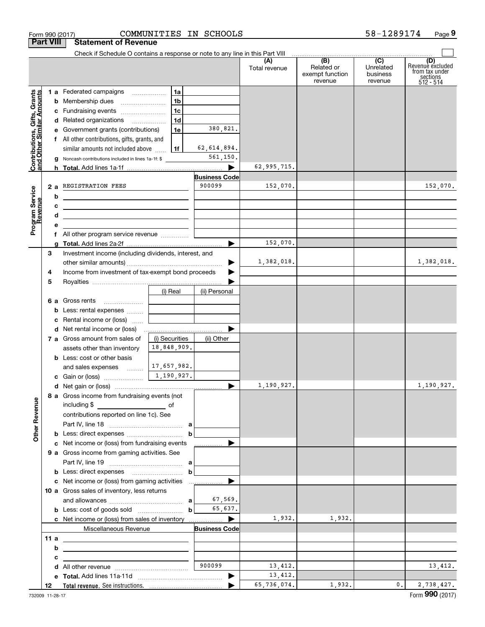|                                                           | Form 990 (2017)  |                                                                                                                        | COMMUNITIES IN SCHOOLS |                       |                      |                                                 | 58-1289174                              | Page 9                                                             |
|-----------------------------------------------------------|------------------|------------------------------------------------------------------------------------------------------------------------|------------------------|-----------------------|----------------------|-------------------------------------------------|-----------------------------------------|--------------------------------------------------------------------|
|                                                           | <b>Part VIII</b> | <b>Statement of Revenue</b>                                                                                            |                        |                       |                      |                                                 |                                         |                                                                    |
|                                                           |                  | Check if Schedule O contains a response or note to any line in this Part VIII                                          |                        |                       |                      |                                                 |                                         |                                                                    |
|                                                           |                  |                                                                                                                        |                        |                       | (A)<br>Total revenue | (B)<br>Related or<br>exempt function<br>revenue | (C)<br>Unrelated<br>business<br>revenue | (D)<br>Revenue excluded<br>from tax under<br>sections<br>512 - 514 |
|                                                           |                  | 1 a Federated campaigns                                                                                                | 1a                     |                       |                      |                                                 |                                         |                                                                    |
| Contributions, Gifts, Grants<br>and Other Similar Amounts |                  | <b>b</b> Membership dues                                                                                               | 1 <sub>b</sub>         |                       |                      |                                                 |                                         |                                                                    |
|                                                           |                  | c Fundraising events                                                                                                   | 1 <sub>c</sub>         |                       |                      |                                                 |                                         |                                                                    |
|                                                           |                  | d Related organizations                                                                                                | 1 <sub>d</sub>         |                       |                      |                                                 |                                         |                                                                    |
|                                                           |                  | e Government grants (contributions)                                                                                    | 1e                     | 380,821.              |                      |                                                 |                                         |                                                                    |
|                                                           |                  | f All other contributions, gifts, grants, and                                                                          |                        |                       |                      |                                                 |                                         |                                                                    |
|                                                           |                  | similar amounts not included above                                                                                     | l 1f                   | 62,614,894.           |                      |                                                 |                                         |                                                                    |
|                                                           |                  | g Noncash contributions included in lines 1a-1f: \$                                                                    |                        | 561,150.              |                      |                                                 |                                         |                                                                    |
|                                                           |                  |                                                                                                                        |                        |                       | 62,995,715.          |                                                 |                                         |                                                                    |
|                                                           |                  |                                                                                                                        |                        | <b>Business Code</b>  |                      |                                                 |                                         |                                                                    |
|                                                           |                  | 2 a REGISTRATION FEES                                                                                                  |                        | 900099                | 152,070.             |                                                 |                                         | 152,070.                                                           |
|                                                           | b                |                                                                                                                        |                        |                       |                      |                                                 |                                         |                                                                    |
|                                                           | с                | <u> 1980 - Jan Samuel Barbara, martin a shekara 1980 - 1981 - 1982 - 1982 - 1982 - 1982 - 1982 - 1982 - 1982 - 1</u>   |                        |                       |                      |                                                 |                                         |                                                                    |
|                                                           | d                | <u> 1989 - Johann Barn, mars ann an t-Amhain ann an t-Amhain an t-Amhain an t-Amhain an t-Amhain an t-Amhain an t-</u> |                        |                       |                      |                                                 |                                         |                                                                    |
| Program Service<br>Revenue                                | е                |                                                                                                                        |                        |                       |                      |                                                 |                                         |                                                                    |
|                                                           |                  | f All other program service revenue                                                                                    |                        | $\blacktriangleright$ | 152,070.             |                                                 |                                         |                                                                    |
|                                                           | з                | Investment income (including dividends, interest, and                                                                  |                        |                       |                      |                                                 |                                         |                                                                    |
|                                                           |                  |                                                                                                                        |                        | ▶                     | 1,382,018.           |                                                 |                                         | 1,382,018.                                                         |
|                                                           | 4                | Income from investment of tax-exempt bond proceeds                                                                     |                        |                       |                      |                                                 |                                         |                                                                    |
|                                                           | 5                |                                                                                                                        |                        |                       |                      |                                                 |                                         |                                                                    |
|                                                           |                  |                                                                                                                        | (i) Real               | (ii) Personal         |                      |                                                 |                                         |                                                                    |
|                                                           |                  | 6 a Gross rents                                                                                                        |                        |                       |                      |                                                 |                                         |                                                                    |
|                                                           |                  | <b>b</b> Less: rental expenses                                                                                         |                        |                       |                      |                                                 |                                         |                                                                    |
|                                                           | c                | Rental income or (loss)                                                                                                |                        |                       |                      |                                                 |                                         |                                                                    |
|                                                           |                  | d Net rental income or (loss)                                                                                          |                        |                       |                      |                                                 |                                         |                                                                    |
|                                                           |                  | 7 a Gross amount from sales of                                                                                         | (i) Securities         | (ii) Other            |                      |                                                 |                                         |                                                                    |
|                                                           |                  | assets other than inventory                                                                                            | 18,848,909.            |                       |                      |                                                 |                                         |                                                                    |
|                                                           |                  | <b>b</b> Less: cost or other basis                                                                                     |                        |                       |                      |                                                 |                                         |                                                                    |
|                                                           |                  | and sales expenses                                                                                                     | 17,657,982.            |                       |                      |                                                 |                                         |                                                                    |
|                                                           |                  |                                                                                                                        | 1,190,927.             |                       |                      |                                                 |                                         |                                                                    |
|                                                           |                  |                                                                                                                        |                        |                       | 1,190,927.           |                                                 |                                         | 1,190,927.                                                         |
|                                                           |                  | 8 a Gross income from fundraising events (not<br>including \$                                                          |                        |                       |                      |                                                 |                                         |                                                                    |
|                                                           |                  | and the contract of the contract of<br>contributions reported on line 1c). See                                         |                        |                       |                      |                                                 |                                         |                                                                    |
|                                                           |                  |                                                                                                                        |                        |                       |                      |                                                 |                                         |                                                                    |
| <b>Other Revenue</b>                                      |                  |                                                                                                                        | b                      |                       |                      |                                                 |                                         |                                                                    |
|                                                           |                  | c Net income or (loss) from fundraising events                                                                         |                        | .                     |                      |                                                 |                                         |                                                                    |
|                                                           |                  | <b>9 a</b> Gross income from gaming activities. See                                                                    |                        |                       |                      |                                                 |                                         |                                                                    |
|                                                           |                  |                                                                                                                        |                        |                       |                      |                                                 |                                         |                                                                    |
|                                                           |                  |                                                                                                                        | b                      |                       |                      |                                                 |                                         |                                                                    |
|                                                           |                  | c Net income or (loss) from gaming activities                                                                          |                        |                       |                      |                                                 |                                         |                                                                    |
|                                                           |                  | 10 a Gross sales of inventory, less returns                                                                            |                        |                       |                      |                                                 |                                         |                                                                    |
|                                                           |                  |                                                                                                                        |                        | 67,569.               |                      |                                                 |                                         |                                                                    |
|                                                           |                  |                                                                                                                        | $\mathbf b$            | 65,637.               |                      |                                                 |                                         |                                                                    |
|                                                           |                  |                                                                                                                        |                        |                       | 1,932.               | 1,932.                                          |                                         |                                                                    |
|                                                           | 11 $a$           | Miscellaneous Revenue                                                                                                  |                        | <b>Business Code</b>  |                      |                                                 |                                         |                                                                    |
|                                                           | b                | <u> 1989 - Johann Barnett, fransk politiker (</u>                                                                      |                        |                       |                      |                                                 |                                         |                                                                    |
|                                                           | с                |                                                                                                                        |                        |                       |                      |                                                 |                                         |                                                                    |
|                                                           | d                |                                                                                                                        |                        | 900099                | 13,412.              |                                                 |                                         | 13,412.                                                            |
|                                                           |                  |                                                                                                                        |                        | ▶                     | 13,412.              |                                                 |                                         |                                                                    |
|                                                           | 12               |                                                                                                                        |                        |                       | 65,736,074.          | 1,932.                                          | 0.                                      | 2,738,427.                                                         |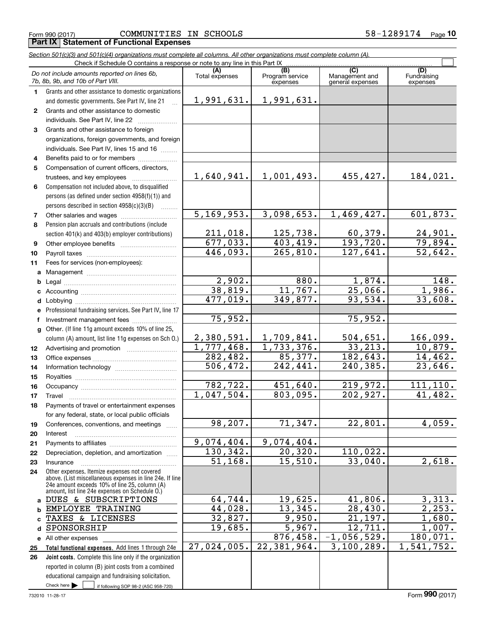|                  | Section 501(c)(3) and 501(c)(4) organizations must complete all columns. All other organizations must complete column (A).<br>Check if Schedule O contains a response or note to any line in this Part IX   |                         |                        |                                    |                    |
|------------------|-------------------------------------------------------------------------------------------------------------------------------------------------------------------------------------------------------------|-------------------------|------------------------|------------------------------------|--------------------|
|                  | Do not include amounts reported on lines 6b,                                                                                                                                                                | (A)                     | (B)<br>Program service | (C)                                | (D)<br>Fundraising |
|                  | 7b, 8b, 9b, and 10b of Part VIII.                                                                                                                                                                           | Total expenses          | expenses               | Management and<br>general expenses | expenses           |
| 1.               | Grants and other assistance to domestic organizations                                                                                                                                                       |                         |                        |                                    |                    |
|                  | and domestic governments. See Part IV, line 21                                                                                                                                                              | 1,991,631.              | 1,991,631.             |                                    |                    |
| $\mathbf{2}$     | Grants and other assistance to domestic                                                                                                                                                                     |                         |                        |                                    |                    |
|                  | individuals. See Part IV, line 22                                                                                                                                                                           |                         |                        |                                    |                    |
| 3                | Grants and other assistance to foreign                                                                                                                                                                      |                         |                        |                                    |                    |
|                  | organizations, foreign governments, and foreign                                                                                                                                                             |                         |                        |                                    |                    |
|                  | individuals. See Part IV, lines 15 and 16                                                                                                                                                                   |                         |                        |                                    |                    |
| 4                | Benefits paid to or for members                                                                                                                                                                             |                         |                        |                                    |                    |
| 5                | Compensation of current officers, directors,                                                                                                                                                                |                         |                        |                                    |                    |
|                  | trustees, and key employees                                                                                                                                                                                 | 1,640,941.              | 1,001,493.             | 455,427.                           | 184,021.           |
| 6                | Compensation not included above, to disqualified                                                                                                                                                            |                         |                        |                                    |                    |
|                  | persons (as defined under section 4958(f)(1)) and                                                                                                                                                           |                         |                        |                                    |                    |
|                  | persons described in section 4958(c)(3)(B)<br>.                                                                                                                                                             |                         |                        |                                    |                    |
| 7                |                                                                                                                                                                                                             | 5, 169, 953.            | 3,098,653.             | 1,469,427.                         | 601,873.           |
| 8                | Pension plan accruals and contributions (include                                                                                                                                                            |                         |                        |                                    |                    |
|                  | section 401(k) and 403(b) employer contributions)                                                                                                                                                           | 211,018.                | 125,738.               | 60,379.                            | 24,901.            |
| 9                |                                                                                                                                                                                                             | 677,033.                | 403, 419.              | 193,720.                           | 79,894.            |
| 10               |                                                                                                                                                                                                             | 446,093.                | 265,810.               | 127,641.                           | 52,642.            |
| 11               | Fees for services (non-employees):                                                                                                                                                                          |                         |                        |                                    |                    |
| a                |                                                                                                                                                                                                             |                         |                        |                                    |                    |
| b                |                                                                                                                                                                                                             | 2,902.                  | 880.                   | 1,874.                             | 148.               |
| c                |                                                                                                                                                                                                             | 38,819.                 | 11,767.                | 25,066.                            | 1,986.             |
| d                |                                                                                                                                                                                                             | 477,019.                | 349,877.               | 93,534.                            | 33,608.            |
| е                | Professional fundraising services. See Part IV, line 17                                                                                                                                                     |                         |                        |                                    |                    |
| f                | Investment management fees                                                                                                                                                                                  | 75,952.                 |                        | 75,952.                            |                    |
| g                | Other. (If line 11g amount exceeds 10% of line 25,                                                                                                                                                          |                         |                        |                                    |                    |
|                  | column (A) amount, list line 11g expenses on Sch O.)                                                                                                                                                        | 2,380,591.              | 1,709,841.             | 504,651.                           | 166,099.           |
| 12 <sup>12</sup> |                                                                                                                                                                                                             | $\overline{1,777},468.$ | 1,733,376.             | 33,213.                            | 10,879.            |
| 13               |                                                                                                                                                                                                             | 282,482.                | 85,377.                | 182,643.                           | 14,462.            |
| 14               |                                                                                                                                                                                                             | $\overline{506}$ , 472. | 242,441.               | 240,385.                           | 23,646.            |
| 15               |                                                                                                                                                                                                             |                         |                        |                                    |                    |
| 16               |                                                                                                                                                                                                             | 782,722.                | 451,640.               | 219,972.                           | 111, 110.          |
| 17               |                                                                                                                                                                                                             | 1,047,504.              | 803,095.               | 202,927.                           | 41,482.            |
| 18               | Payments of travel or entertainment expenses                                                                                                                                                                |                         |                        |                                    |                    |
|                  | for any federal, state, or local public officials                                                                                                                                                           |                         |                        |                                    |                    |
| 19               | Conferences, conventions, and meetings<br>$\sim$                                                                                                                                                            | 98,207.                 | 71,347.                | 22,801.                            | 4,059.             |
| 20               | Interest                                                                                                                                                                                                    |                         |                        |                                    |                    |
| 21               |                                                                                                                                                                                                             | 9,074,404.              | 9,074,404.             |                                    |                    |
| 22               | Depreciation, depletion, and amortization                                                                                                                                                                   | 130,342.                | 20,320.                | 110,022.                           |                    |
| 23               | Insurance                                                                                                                                                                                                   | 51, 168.                | 15,510.                | 33,040.                            | 2,618.             |
| 24               | Other expenses. Itemize expenses not covered<br>above. (List miscellaneous expenses in line 24e. If line<br>24e amount exceeds 10% of line 25, column (A)<br>amount, list line 24e expenses on Schedule O.) |                         |                        |                                    |                    |
| a                | DUES & SUBSCRIPTIONS                                                                                                                                                                                        | 64,744.                 | 19,625.                | 41,806.                            | 3,313.             |
| b                | EMPLOYEE TRAINING                                                                                                                                                                                           | 44,028.                 | 13,345.                | 28,430.                            | 2, 253.            |
|                  | TAXES & LICENSES                                                                                                                                                                                            | 32,827.                 | 9,950.                 | 21,197.                            | 1,680.             |
| d                | SPONSORSHIP                                                                                                                                                                                                 | 19,685.                 | 5,967.                 | 12,711.                            | 1,007.             |
|                  | e All other expenses                                                                                                                                                                                        |                         | 876,458.               | $-1,056,529.$                      | 180,071.           |
| 25               | Total functional expenses. Add lines 1 through 24e                                                                                                                                                          | 27,024,005.             | 22,381,964.            | 3,100,289.                         | 1,541,752.         |
| 26               | Joint costs. Complete this line only if the organization                                                                                                                                                    |                         |                        |                                    |                    |
|                  | reported in column (B) joint costs from a combined                                                                                                                                                          |                         |                        |                                    |                    |
|                  | educational campaign and fundraising solicitation.                                                                                                                                                          |                         |                        |                                    |                    |
|                  | Check here $\blacktriangleright$<br>if following SOP 98-2 (ASC 958-720)                                                                                                                                     |                         |                        |                                    |                    |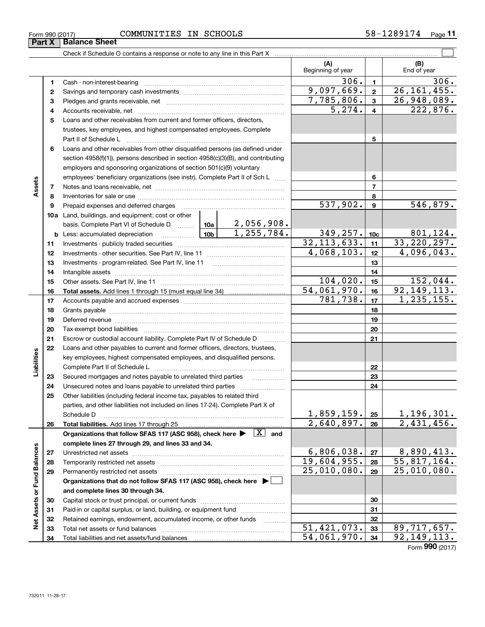| Form 990 (2017) | COMMUNITIES | IN | <b>SCHOOLS</b> | ົ <sup>ດ</sup> 174<br>.2891 | Page |
|-----------------|-------------|----|----------------|-----------------------------|------|
|-----------------|-------------|----|----------------|-----------------------------|------|

|                             |          |                                                                                                                                                                                                                                |            |                      | (A)<br>Beginning of year    |                           |                             | (B)<br>End of year        |
|-----------------------------|----------|--------------------------------------------------------------------------------------------------------------------------------------------------------------------------------------------------------------------------------|------------|----------------------|-----------------------------|---------------------------|-----------------------------|---------------------------|
|                             | 1        |                                                                                                                                                                                                                                |            |                      |                             | 306.                      | $\mathbf{1}$                | 306.                      |
|                             | 2        |                                                                                                                                                                                                                                |            |                      | 9,097,669.                  |                           | $\mathbf{2}$                | 26, 161, 455.             |
|                             | з        |                                                                                                                                                                                                                                | 7,785,806. |                      | $\mathbf{3}$                | $\overline{26,948,089}$ . |                             |                           |
|                             | 4        |                                                                                                                                                                                                                                |            | $\overline{5,274}$ . |                             | $\overline{4}$            | 222,876.                    |                           |
|                             | 5        | Loans and other receivables from current and former officers, directors,                                                                                                                                                       |            |                      |                             |                           |                             |                           |
|                             |          | trustees, key employees, and highest compensated employees. Complete                                                                                                                                                           |            |                      |                             |                           |                             |                           |
|                             |          | Part II of Schedule L                                                                                                                                                                                                          |            |                      | 5                           |                           |                             |                           |
|                             | 6        | Loans and other receivables from other disqualified persons (as defined under                                                                                                                                                  |            |                      |                             |                           |                             |                           |
|                             |          | section 4958(f)(1)), persons described in section 4958(c)(3)(B), and contributing                                                                                                                                              |            |                      |                             |                           |                             |                           |
|                             |          | employers and sponsoring organizations of section 501(c)(9) voluntary                                                                                                                                                          |            |                      |                             |                           |                             |                           |
|                             |          | employees' beneficiary organizations (see instr). Complete Part II of Sch L                                                                                                                                                    |            |                      |                             |                           | 6                           |                           |
| Assets                      | 7        |                                                                                                                                                                                                                                |            |                      |                             |                           | $\overline{7}$              |                           |
|                             | 8        |                                                                                                                                                                                                                                |            |                      |                             |                           | 8                           |                           |
|                             | 9        | Prepaid expenses and deferred charges                                                                                                                                                                                          |            |                      | 537,902.                    |                           | 9                           | 546,879.                  |
|                             |          | 10a Land, buildings, and equipment: cost or other                                                                                                                                                                              |            |                      |                             |                           |                             |                           |
|                             |          | basis. Complete Part VI of Schedule D    10a   2,056,908.                                                                                                                                                                      |            |                      |                             |                           |                             |                           |
|                             |          |                                                                                                                                                                                                                                |            | 1,255,784.           | 349, 257.                   |                           | 10 <sub>c</sub>             | 801,124.                  |
|                             | 11       |                                                                                                                                                                                                                                |            |                      | 32, 113, 633.<br>4,068,103. |                           | 11                          | 33, 220, 297.             |
|                             | 12       |                                                                                                                                                                                                                                |            |                      |                             |                           | 12                          | 4,096,043.                |
|                             | 13       |                                                                                                                                                                                                                                |            |                      |                             |                           | 13                          |                           |
|                             | 14       |                                                                                                                                                                                                                                |            |                      | 104,020.                    |                           | 14<br>15                    | 152,044.                  |
|                             | 15<br>16 |                                                                                                                                                                                                                                |            |                      | 54,061,970.                 |                           | 16                          | 92, 149, 113.             |
|                             | 17       |                                                                                                                                                                                                                                |            |                      | 781,738.                    |                           | 17                          | 1,235,155.                |
|                             | 18       |                                                                                                                                                                                                                                |            |                      |                             |                           | 18                          |                           |
|                             | 19       | Deferred revenue information and contact the contract of the contract of the contract of the contract of the contract of the contract of the contract of the contract of the contract of the contract of the contract of the c |            |                      | 19                          |                           |                             |                           |
|                             | 20       |                                                                                                                                                                                                                                |            |                      | 20                          |                           |                             |                           |
|                             | 21       | Escrow or custodial account liability. Complete Part IV of Schedule D                                                                                                                                                          |            |                      | 21                          |                           |                             |                           |
|                             | 22       | Loans and other payables to current and former officers, directors, trustees,                                                                                                                                                  |            | .                    |                             |                           |                             |                           |
| Liabilities                 |          | key employees, highest compensated employees, and disqualified persons.                                                                                                                                                        |            |                      |                             |                           |                             |                           |
|                             |          |                                                                                                                                                                                                                                |            |                      |                             |                           | 22                          |                           |
|                             | 23       | Secured mortgages and notes payable to unrelated third parties                                                                                                                                                                 |            |                      |                             |                           | 23                          |                           |
|                             | 24       |                                                                                                                                                                                                                                |            |                      |                             |                           | 24                          |                           |
|                             | 25       | Other liabilities (including federal income tax, payables to related third                                                                                                                                                     |            |                      |                             |                           |                             |                           |
|                             |          | parties, and other liabilities not included on lines 17-24). Complete Part X of                                                                                                                                                |            |                      |                             |                           |                             |                           |
|                             |          | Schedule D                                                                                                                                                                                                                     |            |                      | 1,859,159.                  |                           | 25                          | 1,196,301.                |
|                             | 26       |                                                                                                                                                                                                                                |            |                      | 2,640,897.                  |                           | 26                          | 2,431,456.                |
|                             |          | Organizations that follow SFAS 117 (ASC 958), check here $\blacktriangleright \begin{array}{ c } \hline X & \text{and} \end{array}$                                                                                            |            |                      |                             |                           |                             |                           |
|                             |          | complete lines 27 through 29, and lines 33 and 34.                                                                                                                                                                             |            |                      |                             |                           |                             |                           |
|                             | 27       |                                                                                                                                                                                                                                |            | 6,806,038.           |                             | 27                        | 8,890,413.                  |                           |
|                             | 28       |                                                                                                                                                                                                                                |            |                      | 19,604,955.                 |                           | 28                          | $\overline{55,817,164}$ . |
|                             | 29       | Permanently restricted net assets                                                                                                                                                                                              |            | 25,010,080.          |                             | 29                        | $\overline{25}$ , 010, 080. |                           |
|                             |          | Organizations that do not follow SFAS 117 (ASC 958), check here ▶ │                                                                                                                                                            |            |                      |                             |                           |                             |                           |
| Net Assets or Fund Balances |          | and complete lines 30 through 34.                                                                                                                                                                                              |            |                      |                             |                           |                             |                           |
|                             | 30       |                                                                                                                                                                                                                                |            |                      |                             |                           | 30<br>31                    |                           |
|                             | 31<br>32 | Paid-in or capital surplus, or land, building, or equipment fund<br>Retained earnings, endowment, accumulated income, or other funds                                                                                           |            |                      |                             |                           | 32                          |                           |
|                             | 33       | Total net assets or fund balances                                                                                                                                                                                              |            |                      | 51,421,073.                 |                           | 33                          | 89,717,657.               |
|                             | 34       |                                                                                                                                                                                                                                |            |                      | 54,061,970.                 |                           | 34                          | 92, 149, 113.             |
|                             |          |                                                                                                                                                                                                                                |            |                      |                             |                           |                             |                           |

Form (2017) **990**

 $\overline{\phantom{0}}$ 

**Part X Balance Sheet**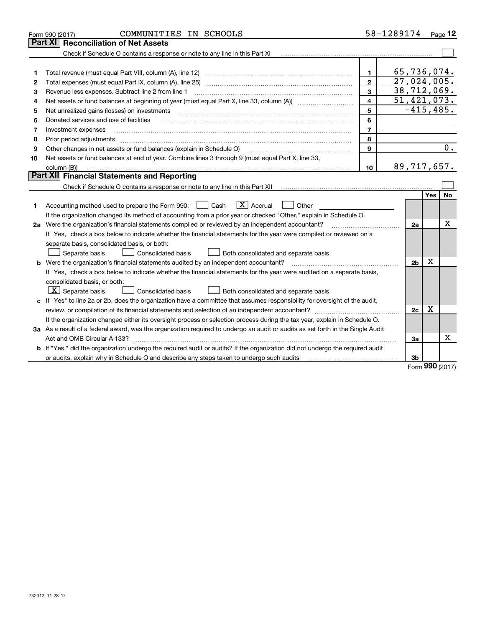|    | COMMUNITIES IN SCHOOLS<br>Form 990 (2017)                                                                                       |                         | 58-1289174     |      | Page $12$ |
|----|---------------------------------------------------------------------------------------------------------------------------------|-------------------------|----------------|------|-----------|
|    | Part XI<br><b>Reconciliation of Net Assets</b>                                                                                  |                         |                |      |           |
|    | Check if Schedule O contains a response or note to any line in this Part XI                                                     |                         |                |      |           |
|    |                                                                                                                                 |                         |                |      |           |
| 1  |                                                                                                                                 | 1                       | 65,736,074.    |      |           |
| 2  | Total expenses (must equal Part IX, column (A), line 25)                                                                        | $\mathbf{2}$            | 27,024,005.    |      |           |
| 3  | Revenue less expenses. Subtract line 2 from line 1                                                                              | 3                       | 38,712,069.    |      |           |
| 4  |                                                                                                                                 | $\overline{\mathbf{4}}$ | 51,421,073.    |      |           |
| 5  | Net unrealized gains (losses) on investments                                                                                    | 5                       | $-415, 485.$   |      |           |
| 6  | Donated services and use of facilities                                                                                          | 6                       |                |      |           |
| 7  | Investment expenses                                                                                                             | $\overline{7}$          |                |      |           |
| 8  | Prior period adjustments                                                                                                        | 8                       |                |      |           |
| 9  | Other changes in net assets or fund balances (explain in Schedule O)                                                            | 9                       |                |      | 0.        |
| 10 | Net assets or fund balances at end of year. Combine lines 3 through 9 (must equal Part X, line 33,                              |                         |                |      |           |
|    | column (B))                                                                                                                     | 10                      | 89,717,657.    |      |           |
|    | Part XII Financial Statements and Reporting                                                                                     |                         |                |      |           |
|    |                                                                                                                                 |                         |                |      |           |
|    |                                                                                                                                 |                         |                | Yes  | <b>No</b> |
| 1  | $\boxed{\mathbf{X}}$ Accrual<br>Accounting method used to prepare the Form 990: <u>[16</u> ] Cash<br>Other                      |                         |                |      |           |
|    | If the organization changed its method of accounting from a prior year or checked "Other," explain in Schedule O.               |                         |                |      |           |
|    | 2a Were the organization's financial statements compiled or reviewed by an independent accountant?                              |                         | 2a             |      | х         |
|    | If "Yes," check a box below to indicate whether the financial statements for the year were compiled or reviewed on a            |                         |                |      |           |
|    | separate basis, consolidated basis, or both:                                                                                    |                         |                |      |           |
|    | Separate basis<br>Consolidated basis<br>Both consolidated and separate basis                                                    |                         |                |      |           |
|    | <b>b</b> Were the organization's financial statements audited by an independent accountant?                                     |                         | 2 <sub>b</sub> | х    |           |
|    | If "Yes," check a box below to indicate whether the financial statements for the year were audited on a separate basis,         |                         |                |      |           |
|    | consolidated basis, or both:                                                                                                    |                         |                |      |           |
|    | $ \mathbf{X} $ Separate basis<br>Consolidated basis<br>Both consolidated and separate basis                                     |                         |                |      |           |
|    | c If "Yes" to line 2a or 2b, does the organization have a committee that assumes responsibility for oversight of the audit,     |                         |                |      |           |
|    |                                                                                                                                 |                         | 2c             | х    |           |
|    | If the organization changed either its oversight process or selection process during the tax year, explain in Schedule O.       |                         |                |      |           |
|    | 3a As a result of a federal award, was the organization required to undergo an audit or audits as set forth in the Single Audit |                         |                |      |           |
|    | Act and OMB Circular A-133?                                                                                                     |                         | За             |      | х         |
|    | b If "Yes," did the organization undergo the required audit or audits? If the organization did not undergo the required audit   |                         |                |      |           |
|    |                                                                                                                                 |                         | 3b             |      |           |
|    |                                                                                                                                 |                         |                | nnn. |           |

Form (2017) **990**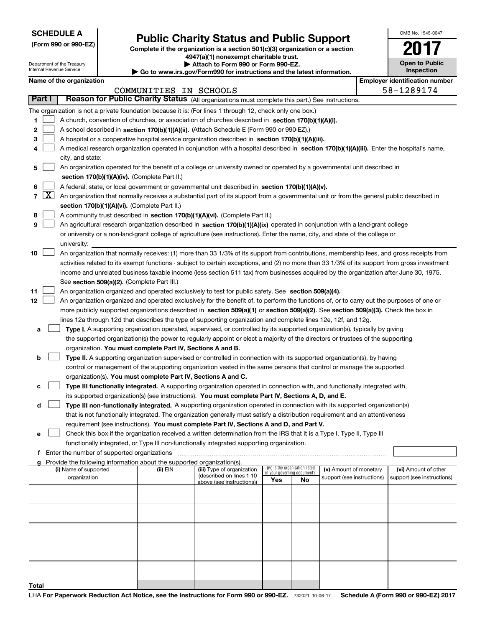Department of the Treasury

**(Form 990 or 990-EZ)**

# **Public Charity Status and Public Support**

**Complete if the organization is a section 501(c)(3) organization or a section 4947(a)(1) nonexempt charitable trust.**

**| Attach to Form 990 or Form 990-EZ.** 

| OMB No. 1545-0047                   |
|-------------------------------------|
|                                     |
| <b>Open to Public</b><br>Inspection |

|                      | Internal Revenue Service                      |  | Go to www.irs.gov/Form990 for instructions and the latest information.   |                                                                                                                                               | Inspection |                                                                |                            |  |                                       |  |
|----------------------|-----------------------------------------------|--|--------------------------------------------------------------------------|-----------------------------------------------------------------------------------------------------------------------------------------------|------------|----------------------------------------------------------------|----------------------------|--|---------------------------------------|--|
|                      | Name of the organization                      |  |                                                                          |                                                                                                                                               |            |                                                                |                            |  | <b>Employer identification number</b> |  |
|                      |                                               |  | COMMUNITIES IN SCHOOLS                                                   |                                                                                                                                               |            |                                                                |                            |  | 58-1289174                            |  |
| Part I               |                                               |  |                                                                          | Reason for Public Charity Status (All organizations must complete this part.) See instructions.                                               |            |                                                                |                            |  |                                       |  |
|                      |                                               |  |                                                                          | The organization is not a private foundation because it is: (For lines 1 through 12, check only one box.)                                     |            |                                                                |                            |  |                                       |  |
| 1                    |                                               |  |                                                                          | A church, convention of churches, or association of churches described in section 170(b)(1)(A)(i).                                            |            |                                                                |                            |  |                                       |  |
| 2                    |                                               |  |                                                                          | A school described in section 170(b)(1)(A)(ii). (Attach Schedule E (Form 990 or 990-EZ).)                                                     |            |                                                                |                            |  |                                       |  |
| 3                    |                                               |  |                                                                          | A hospital or a cooperative hospital service organization described in section 170(b)(1)(A)(iii).                                             |            |                                                                |                            |  |                                       |  |
| 4                    |                                               |  |                                                                          | A medical research organization operated in conjunction with a hospital described in section 170(b)(1)(A)(iii). Enter the hospital's name,    |            |                                                                |                            |  |                                       |  |
|                      | city, and state:                              |  |                                                                          |                                                                                                                                               |            |                                                                |                            |  |                                       |  |
| 5                    |                                               |  |                                                                          | An organization operated for the benefit of a college or university owned or operated by a governmental unit described in                     |            |                                                                |                            |  |                                       |  |
|                      |                                               |  | section 170(b)(1)(A)(iv). (Complete Part II.)                            |                                                                                                                                               |            |                                                                |                            |  |                                       |  |
| 6                    |                                               |  |                                                                          | A federal, state, or local government or governmental unit described in section 170(b)(1)(A)(v).                                              |            |                                                                |                            |  |                                       |  |
| $\vert X \vert$<br>7 |                                               |  |                                                                          | An organization that normally receives a substantial part of its support from a governmental unit or from the general public described in     |            |                                                                |                            |  |                                       |  |
|                      |                                               |  | section 170(b)(1)(A)(vi). (Complete Part II.)                            |                                                                                                                                               |            |                                                                |                            |  |                                       |  |
| 8                    |                                               |  |                                                                          | A community trust described in section 170(b)(1)(A)(vi). (Complete Part II.)                                                                  |            |                                                                |                            |  |                                       |  |
| 9                    |                                               |  |                                                                          | An agricultural research organization described in section 170(b)(1)(A)(ix) operated in conjunction with a land-grant college                 |            |                                                                |                            |  |                                       |  |
|                      |                                               |  |                                                                          | or university or a non-land-grant college of agriculture (see instructions). Enter the name, city, and state of the college or                |            |                                                                |                            |  |                                       |  |
|                      | university:                                   |  |                                                                          |                                                                                                                                               |            |                                                                |                            |  |                                       |  |
| 10                   |                                               |  |                                                                          | An organization that normally receives: (1) more than 33 1/3% of its support from contributions, membership fees, and gross receipts from     |            |                                                                |                            |  |                                       |  |
|                      |                                               |  |                                                                          | activities related to its exempt functions - subject to certain exceptions, and (2) no more than 33 1/3% of its support from gross investment |            |                                                                |                            |  |                                       |  |
|                      |                                               |  |                                                                          | income and unrelated business taxable income (less section 511 tax) from businesses acquired by the organization after June 30, 1975.         |            |                                                                |                            |  |                                       |  |
|                      |                                               |  | See section 509(a)(2). (Complete Part III.)                              |                                                                                                                                               |            |                                                                |                            |  |                                       |  |
| 11                   |                                               |  |                                                                          | An organization organized and operated exclusively to test for public safety. See section 509(a)(4).                                          |            |                                                                |                            |  |                                       |  |
| 12                   |                                               |  |                                                                          | An organization organized and operated exclusively for the benefit of, to perform the functions of, or to carry out the purposes of one or    |            |                                                                |                            |  |                                       |  |
|                      |                                               |  |                                                                          | more publicly supported organizations described in section 509(a)(1) or section 509(a)(2). See section 509(a)(3). Check the box in            |            |                                                                |                            |  |                                       |  |
|                      |                                               |  |                                                                          | lines 12a through 12d that describes the type of supporting organization and complete lines 12e, 12f, and 12g.                                |            |                                                                |                            |  |                                       |  |
| а                    |                                               |  |                                                                          | Type I. A supporting organization operated, supervised, or controlled by its supported organization(s), typically by giving                   |            |                                                                |                            |  |                                       |  |
|                      |                                               |  |                                                                          | the supported organization(s) the power to regularly appoint or elect a majority of the directors or trustees of the supporting               |            |                                                                |                            |  |                                       |  |
|                      |                                               |  | organization. You must complete Part IV, Sections A and B.               |                                                                                                                                               |            |                                                                |                            |  |                                       |  |
| b                    |                                               |  |                                                                          | Type II. A supporting organization supervised or controlled in connection with its supported organization(s), by having                       |            |                                                                |                            |  |                                       |  |
|                      |                                               |  |                                                                          | control or management of the supporting organization vested in the same persons that control or manage the supported                          |            |                                                                |                            |  |                                       |  |
|                      |                                               |  | organization(s). You must complete Part IV, Sections A and C.            |                                                                                                                                               |            |                                                                |                            |  |                                       |  |
| c                    |                                               |  |                                                                          | Type III functionally integrated. A supporting organization operated in connection with, and functionally integrated with,                    |            |                                                                |                            |  |                                       |  |
|                      |                                               |  |                                                                          | its supported organization(s) (see instructions). You must complete Part IV, Sections A, D, and E.                                            |            |                                                                |                            |  |                                       |  |
| d                    |                                               |  |                                                                          | Type III non-functionally integrated. A supporting organization operated in connection with its supported organization(s)                     |            |                                                                |                            |  |                                       |  |
|                      |                                               |  |                                                                          | that is not functionally integrated. The organization generally must satisfy a distribution requirement and an attentiveness                  |            |                                                                |                            |  |                                       |  |
|                      |                                               |  |                                                                          | requirement (see instructions). You must complete Part IV, Sections A and D, and Part V.                                                      |            |                                                                |                            |  |                                       |  |
| е                    |                                               |  |                                                                          | Check this box if the organization received a written determination from the IRS that it is a Type I, Type II, Type III                       |            |                                                                |                            |  |                                       |  |
|                      |                                               |  |                                                                          | functionally integrated, or Type III non-functionally integrated supporting organization.                                                     |            |                                                                |                            |  |                                       |  |
|                      | f Enter the number of supported organizations |  |                                                                          |                                                                                                                                               |            |                                                                |                            |  |                                       |  |
|                      |                                               |  | g Provide the following information about the supported organization(s). |                                                                                                                                               |            |                                                                |                            |  |                                       |  |
|                      | (i) Name of supported                         |  | (ii) EIN                                                                 | (iii) Type of organization<br>(described on lines 1-10                                                                                        |            | (iv) Is the organization listed<br>in your governing document? | (v) Amount of monetary     |  | (vi) Amount of other                  |  |
|                      | organization                                  |  |                                                                          | above (see instructions))                                                                                                                     | Yes        | No.                                                            | support (see instructions) |  | support (see instructions)            |  |
|                      |                                               |  |                                                                          |                                                                                                                                               |            |                                                                |                            |  |                                       |  |
|                      |                                               |  |                                                                          |                                                                                                                                               |            |                                                                |                            |  |                                       |  |
|                      |                                               |  |                                                                          |                                                                                                                                               |            |                                                                |                            |  |                                       |  |
|                      |                                               |  |                                                                          |                                                                                                                                               |            |                                                                |                            |  |                                       |  |
|                      |                                               |  |                                                                          |                                                                                                                                               |            |                                                                |                            |  |                                       |  |
|                      |                                               |  |                                                                          |                                                                                                                                               |            |                                                                |                            |  |                                       |  |
|                      |                                               |  |                                                                          |                                                                                                                                               |            |                                                                |                            |  |                                       |  |
|                      |                                               |  |                                                                          |                                                                                                                                               |            |                                                                |                            |  |                                       |  |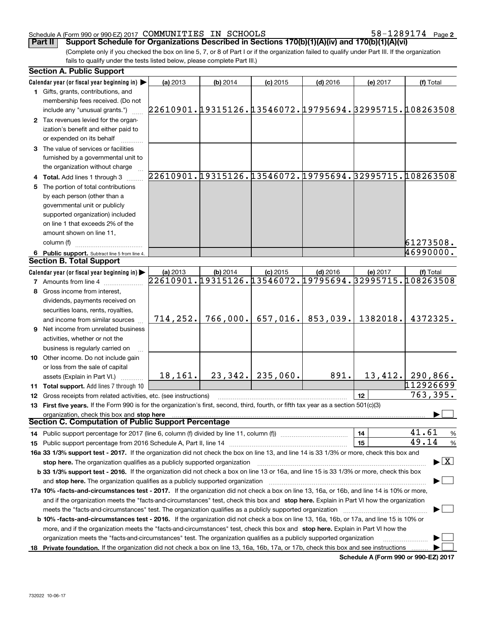## Schedule A (Form 990 or 990-EZ) 2017 Page COMMUNITIES IN SCHOOLS 58-1289174

**2**

(Complete only if you checked the box on line 5, 7, or 8 of Part I or if the organization failed to qualify under Part III. If the organization fails to qualify under the tests listed below, please complete Part III.) **Part II Support Schedule for Organizations Described in Sections 170(b)(1)(A)(iv) and 170(b)(1)(A)(vi)** 

| <b>Section A. Public Support</b>                                                                                                               |                                                        |          |            |            |          |                                 |
|------------------------------------------------------------------------------------------------------------------------------------------------|--------------------------------------------------------|----------|------------|------------|----------|---------------------------------|
| Calendar year (or fiscal year beginning in)                                                                                                    | (a) 2013                                               | (b) 2014 | $(c)$ 2015 | $(d)$ 2016 | (e) 2017 | (f) Total                       |
| 1 Gifts, grants, contributions, and                                                                                                            |                                                        |          |            |            |          |                                 |
| membership fees received. (Do not                                                                                                              |                                                        |          |            |            |          |                                 |
| include any "unusual grants.")                                                                                                                 | 22610901.19315126.13546072.19795694.32995715.108263508 |          |            |            |          |                                 |
| 2 Tax revenues levied for the organ-                                                                                                           |                                                        |          |            |            |          |                                 |
| ization's benefit and either paid to                                                                                                           |                                                        |          |            |            |          |                                 |
| or expended on its behalf                                                                                                                      |                                                        |          |            |            |          |                                 |
| 3 The value of services or facilities                                                                                                          |                                                        |          |            |            |          |                                 |
| furnished by a governmental unit to                                                                                                            |                                                        |          |            |            |          |                                 |
| the organization without charge                                                                                                                |                                                        |          |            |            |          |                                 |
| 4 Total. Add lines 1 through 3                                                                                                                 | 22610901.19315126.13546072.19795694.32995715.108263508 |          |            |            |          |                                 |
| 5 The portion of total contributions                                                                                                           |                                                        |          |            |            |          |                                 |
| by each person (other than a                                                                                                                   |                                                        |          |            |            |          |                                 |
|                                                                                                                                                |                                                        |          |            |            |          |                                 |
| governmental unit or publicly                                                                                                                  |                                                        |          |            |            |          |                                 |
| supported organization) included                                                                                                               |                                                        |          |            |            |          |                                 |
| on line 1 that exceeds 2% of the                                                                                                               |                                                        |          |            |            |          |                                 |
| amount shown on line 11,                                                                                                                       |                                                        |          |            |            |          |                                 |
| column (f)                                                                                                                                     |                                                        |          |            |            |          | 61273508.                       |
| 6 Public support. Subtract line 5 from line 4.                                                                                                 |                                                        |          |            |            |          | 46990000.                       |
| <b>Section B. Total Support</b>                                                                                                                |                                                        |          |            |            |          |                                 |
| Calendar year (or fiscal year beginning in)                                                                                                    | (a) 2013                                               | (b) 2014 | $(c)$ 2015 | $(d)$ 2016 | (e) 2017 | (f) Total                       |
| <b>7</b> Amounts from line 4                                                                                                                   | 22610901.19315126.13546072.19795694.32995715.108263508 |          |            |            |          |                                 |
| 8 Gross income from interest,                                                                                                                  |                                                        |          |            |            |          |                                 |
| dividends, payments received on                                                                                                                |                                                        |          |            |            |          |                                 |
| securities loans, rents, royalties,                                                                                                            |                                                        |          |            |            |          |                                 |
| and income from similar sources                                                                                                                | 714, 252.                                              | 766,000. | 657,016.   | 853,039.   | 1382018. | 4372325.                        |
| <b>9</b> Net income from unrelated business                                                                                                    |                                                        |          |            |            |          |                                 |
| activities, whether or not the                                                                                                                 |                                                        |          |            |            |          |                                 |
| business is regularly carried on                                                                                                               |                                                        |          |            |            |          |                                 |
| 10 Other income. Do not include gain                                                                                                           |                                                        |          |            |            |          |                                 |
| or loss from the sale of capital                                                                                                               |                                                        |          |            |            |          |                                 |
| assets (Explain in Part VI.)                                                                                                                   | 18,161.                                                | 23,342.  | 235,060.   | 891.       |          | $13,412.$ 290,866.              |
|                                                                                                                                                |                                                        |          |            |            |          | 112926699                       |
| 11 Total support. Add lines 7 through 10                                                                                                       |                                                        |          |            |            |          | 763,395.                        |
| 12 Gross receipts from related activities, etc. (see instructions)                                                                             |                                                        |          |            |            | 12       |                                 |
| 13 First five years. If the Form 990 is for the organization's first, second, third, fourth, or fifth tax year as a section 501(c)(3)          |                                                        |          |            |            |          |                                 |
| organization, check this box and stop here<br>Section C. Computation of Public Support Percentage                                              |                                                        |          |            |            |          |                                 |
|                                                                                                                                                |                                                        |          |            |            |          |                                 |
| 14 Public support percentage for 2017 (line 6, column (f) divided by line 11, column (f) <i>manumanomeron</i> entertain-                       |                                                        |          |            |            | 14       | 41.61<br>$\frac{9}{6}$          |
|                                                                                                                                                |                                                        |          |            |            | 15       | 49.14<br>$\frac{9}{6}$          |
| 16a 33 1/3% support test - 2017. If the organization did not check the box on line 13, and line 14 is 33 1/3% or more, check this box and      |                                                        |          |            |            |          |                                 |
| stop here. The organization qualifies as a publicly supported organization                                                                     |                                                        |          |            |            |          | $\blacktriangleright$ $\vert$ X |
| b 33 1/3% support test - 2016. If the organization did not check a box on line 13 or 16a, and line 15 is 33 1/3% or more, check this box       |                                                        |          |            |            |          |                                 |
| and stop here. The organization qualifies as a publicly supported organization                                                                 |                                                        |          |            |            |          |                                 |
| 17a 10% -facts-and-circumstances test - 2017. If the organization did not check a box on line 13, 16a, or 16b, and line 14 is 10% or more,     |                                                        |          |            |            |          |                                 |
| and if the organization meets the "facts-and-circumstances" test, check this box and stop here. Explain in Part VI how the organization        |                                                        |          |            |            |          |                                 |
| meets the "facts-and-circumstances" test. The organization qualifies as a publicly supported organization                                      |                                                        |          |            |            |          |                                 |
| <b>b 10% -facts-and-circumstances test - 2016.</b> If the organization did not check a box on line 13, 16a, 16b, or 17a, and line 15 is 10% or |                                                        |          |            |            |          |                                 |
| more, and if the organization meets the "facts-and-circumstances" test, check this box and stop here. Explain in Part VI how the               |                                                        |          |            |            |          |                                 |
| organization meets the "facts-and-circumstances" test. The organization qualifies as a publicly supported organization                         |                                                        |          |            |            |          |                                 |
| 18 Private foundation. If the organization did not check a box on line 13, 16a, 16b, 17a, or 17b, check this box and see instructions          |                                                        |          |            |            |          |                                 |
|                                                                                                                                                |                                                        |          |            |            |          |                                 |

**Schedule A (Form 990 or 990-EZ) 2017**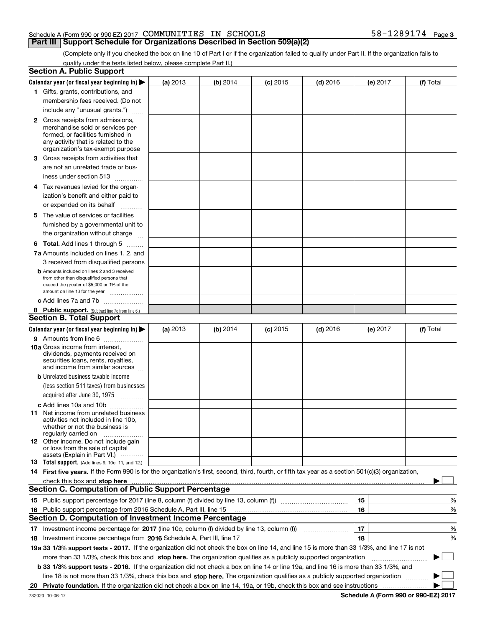## Schedule A (Form 990 or 990-EZ) 2017 Page COMMUNITIES IN SCHOOLS 58-1289174

# **Part III** | Support Schedule for Organizations Described in Section 509(a)(2)

(Complete only if you checked the box on line 10 of Part I or if the organization failed to qualify under Part II. If the organization fails to qualify under the tests listed below, please complete Part II.)

|    | <b>Section A. Public Support</b>                                                                                                                    |          |          |            |            |    |          |           |        |
|----|-----------------------------------------------------------------------------------------------------------------------------------------------------|----------|----------|------------|------------|----|----------|-----------|--------|
|    | Calendar year (or fiscal year beginning in) $\blacktriangleright$                                                                                   | (a) 2013 | (b) 2014 | $(c)$ 2015 | $(d)$ 2016 |    | (e) 2017 | (f) Total |        |
|    | 1 Gifts, grants, contributions, and                                                                                                                 |          |          |            |            |    |          |           |        |
|    | membership fees received. (Do not                                                                                                                   |          |          |            |            |    |          |           |        |
|    | include any "unusual grants.")                                                                                                                      |          |          |            |            |    |          |           |        |
|    | <b>2</b> Gross receipts from admissions,                                                                                                            |          |          |            |            |    |          |           |        |
|    | merchandise sold or services per-                                                                                                                   |          |          |            |            |    |          |           |        |
|    | formed, or facilities furnished in                                                                                                                  |          |          |            |            |    |          |           |        |
|    | any activity that is related to the<br>organization's tax-exempt purpose                                                                            |          |          |            |            |    |          |           |        |
|    | 3 Gross receipts from activities that                                                                                                               |          |          |            |            |    |          |           |        |
|    | are not an unrelated trade or bus-                                                                                                                  |          |          |            |            |    |          |           |        |
|    |                                                                                                                                                     |          |          |            |            |    |          |           |        |
|    | iness under section 513                                                                                                                             |          |          |            |            |    |          |           |        |
|    | 4 Tax revenues levied for the organ-                                                                                                                |          |          |            |            |    |          |           |        |
|    | ization's benefit and either paid to                                                                                                                |          |          |            |            |    |          |           |        |
|    | or expended on its behalf<br>.                                                                                                                      |          |          |            |            |    |          |           |        |
|    | 5 The value of services or facilities                                                                                                               |          |          |            |            |    |          |           |        |
|    | furnished by a governmental unit to                                                                                                                 |          |          |            |            |    |          |           |        |
|    | the organization without charge                                                                                                                     |          |          |            |            |    |          |           |        |
|    | <b>6 Total.</b> Add lines 1 through 5                                                                                                               |          |          |            |            |    |          |           |        |
|    | 7a Amounts included on lines 1, 2, and                                                                                                              |          |          |            |            |    |          |           |        |
|    | 3 received from disqualified persons                                                                                                                |          |          |            |            |    |          |           |        |
|    | <b>b</b> Amounts included on lines 2 and 3 received                                                                                                 |          |          |            |            |    |          |           |        |
|    | from other than disqualified persons that                                                                                                           |          |          |            |            |    |          |           |        |
|    | exceed the greater of \$5,000 or 1% of the<br>amount on line 13 for the year                                                                        |          |          |            |            |    |          |           |        |
|    | c Add lines 7a and 7b                                                                                                                               |          |          |            |            |    |          |           |        |
|    | 8 Public support. (Subtract line 7c from line 6.)                                                                                                   |          |          |            |            |    |          |           |        |
|    | <b>Section B. Total Support</b>                                                                                                                     |          |          |            |            |    |          |           |        |
|    | Calendar year (or fiscal year beginning in) $\blacktriangleright$                                                                                   | (a) 2013 | (b) 2014 | $(c)$ 2015 | $(d)$ 2016 |    | (e) 2017 | (f) Total |        |
|    | 9 Amounts from line 6                                                                                                                               |          |          |            |            |    |          |           |        |
|    | <b>10a</b> Gross income from interest,                                                                                                              |          |          |            |            |    |          |           |        |
|    | dividends, payments received on                                                                                                                     |          |          |            |            |    |          |           |        |
|    | securities loans, rents, royalties,<br>and income from similar sources                                                                              |          |          |            |            |    |          |           |        |
|    | <b>b</b> Unrelated business taxable income                                                                                                          |          |          |            |            |    |          |           |        |
|    | (less section 511 taxes) from businesses                                                                                                            |          |          |            |            |    |          |           |        |
|    |                                                                                                                                                     |          |          |            |            |    |          |           |        |
|    | acquired after June 30, 1975                                                                                                                        |          |          |            |            |    |          |           |        |
|    | c Add lines 10a and 10b                                                                                                                             |          |          |            |            |    |          |           |        |
|    | 11 Net income from unrelated business<br>activities not included in line 10b,                                                                       |          |          |            |            |    |          |           |        |
|    | whether or not the business is                                                                                                                      |          |          |            |            |    |          |           |        |
|    | regularly carried on                                                                                                                                |          |          |            |            |    |          |           |        |
|    | <b>12</b> Other income. Do not include gain<br>or loss from the sale of capital                                                                     |          |          |            |            |    |          |           |        |
|    | assets (Explain in Part VI.)                                                                                                                        |          |          |            |            |    |          |           |        |
|    | 13 Total support. (Add lines 9, 10c, 11, and 12.)                                                                                                   |          |          |            |            |    |          |           |        |
|    | 14 First five years. If the Form 990 is for the organization's first, second, third, fourth, or fifth tax year as a section 501(c)(3) organization, |          |          |            |            |    |          |           |        |
|    | check this box and stop here <i>macuum macuum macuum macuum macuum macuum macuum macuum macuum</i>                                                  |          |          |            |            |    |          |           |        |
|    | <b>Section C. Computation of Public Support Percentage</b>                                                                                          |          |          |            |            |    |          |           |        |
|    |                                                                                                                                                     |          |          |            |            | 15 |          |           | %      |
| 16 | Public support percentage from 2016 Schedule A, Part III, line 15                                                                                   |          |          |            |            | 16 |          |           | %      |
|    | <b>Section D. Computation of Investment Income Percentage</b>                                                                                       |          |          |            |            |    |          |           |        |
|    | 17 Investment income percentage for 2017 (line 10c, column (f) divided by line 13, column (f))                                                      |          |          |            |            | 17 |          |           | %      |
|    | 18 Investment income percentage from 2016 Schedule A, Part III, line 17                                                                             |          |          |            |            | 18 |          |           | %      |
|    | 19a 33 1/3% support tests - 2017. If the organization did not check the box on line 14, and line 15 is more than 33 1/3%, and line 17 is not        |          |          |            |            |    |          |           |        |
|    | more than 33 1/3%, check this box and stop here. The organization qualifies as a publicly supported organization                                    |          |          |            |            |    |          | ▶         | $\sim$ |
|    | b 33 1/3% support tests - 2016. If the organization did not check a box on line 14 or line 19a, and line 16 is more than 33 1/3%, and               |          |          |            |            |    |          |           |        |
|    | line 18 is not more than 33 1/3%, check this box and stop here. The organization qualifies as a publicly supported organization                     |          |          |            |            |    |          |           |        |
| 20 |                                                                                                                                                     |          |          |            |            |    |          |           |        |
|    |                                                                                                                                                     |          |          |            |            |    |          |           |        |

**Schedule A (Form 990 or 990-EZ) 2017**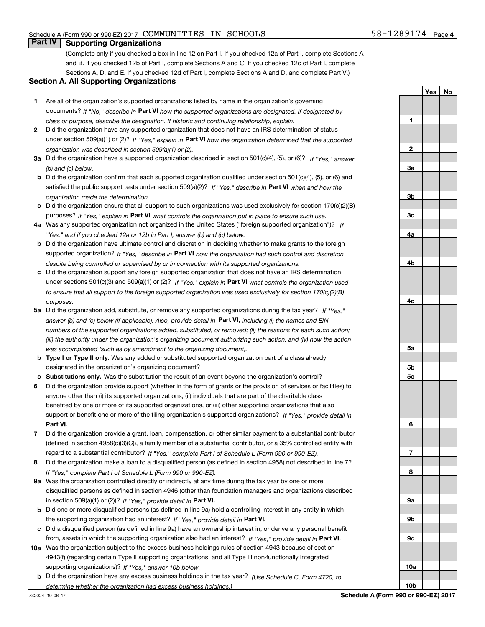**1**

**2**

**3a**

**3b**

**3c**

**4a**

**4b**

**YesNo**

# **Part IV Supporting Organizations**

(Complete only if you checked a box in line 12 on Part I. If you checked 12a of Part I, complete Sections A and B. If you checked 12b of Part I, complete Sections A and C. If you checked 12c of Part I, complete Sections A, D, and E. If you checked 12d of Part I, complete Sections A and D, and complete Part V.)

## **Section A. All Supporting Organizations**

- **1** Are all of the organization's supported organizations listed by name in the organization's governing documents? If "No," describe in **Part VI** how the supported organizations are designated. If designated by *class or purpose, describe the designation. If historic and continuing relationship, explain.*
- **2** Did the organization have any supported organization that does not have an IRS determination of status under section 509(a)(1) or (2)? If "Yes," explain in Part VI how the organization determined that the supported *organization was described in section 509(a)(1) or (2).*
- **3a** Did the organization have a supported organization described in section 501(c)(4), (5), or (6)? If "Yes," answer *(b) and (c) below.*
- **b** Did the organization confirm that each supported organization qualified under section 501(c)(4), (5), or (6) and satisfied the public support tests under section 509(a)(2)? If "Yes," describe in **Part VI** when and how the *organization made the determination.*
- **c**Did the organization ensure that all support to such organizations was used exclusively for section 170(c)(2)(B) purposes? If "Yes," explain in **Part VI** what controls the organization put in place to ensure such use.
- **4a***If* Was any supported organization not organized in the United States ("foreign supported organization")? *"Yes," and if you checked 12a or 12b in Part I, answer (b) and (c) below.*
- **b** Did the organization have ultimate control and discretion in deciding whether to make grants to the foreign supported organization? If "Yes," describe in **Part VI** how the organization had such control and discretion *despite being controlled or supervised by or in connection with its supported organizations.*
- **c** Did the organization support any foreign supported organization that does not have an IRS determination under sections 501(c)(3) and 509(a)(1) or (2)? If "Yes," explain in **Part VI** what controls the organization used *to ensure that all support to the foreign supported organization was used exclusively for section 170(c)(2)(B) purposes.*
- **5a***If "Yes,"* Did the organization add, substitute, or remove any supported organizations during the tax year? answer (b) and (c) below (if applicable). Also, provide detail in **Part VI,** including (i) the names and EIN *numbers of the supported organizations added, substituted, or removed; (ii) the reasons for each such action; (iii) the authority under the organization's organizing document authorizing such action; and (iv) how the action was accomplished (such as by amendment to the organizing document).*
- **b** Type I or Type II only. Was any added or substituted supported organization part of a class already designated in the organization's organizing document?
- **cSubstitutions only.**  Was the substitution the result of an event beyond the organization's control?
- **6** Did the organization provide support (whether in the form of grants or the provision of services or facilities) to **Part VI.** *If "Yes," provide detail in* support or benefit one or more of the filing organization's supported organizations? anyone other than (i) its supported organizations, (ii) individuals that are part of the charitable class benefited by one or more of its supported organizations, or (iii) other supporting organizations that also
- **7**Did the organization provide a grant, loan, compensation, or other similar payment to a substantial contributor *If "Yes," complete Part I of Schedule L (Form 990 or 990-EZ).* regard to a substantial contributor? (defined in section 4958(c)(3)(C)), a family member of a substantial contributor, or a 35% controlled entity with
- **8** Did the organization make a loan to a disqualified person (as defined in section 4958) not described in line 7? *If "Yes," complete Part I of Schedule L (Form 990 or 990-EZ).*
- **9a** Was the organization controlled directly or indirectly at any time during the tax year by one or more in section 509(a)(1) or (2))? If "Yes," *provide detail in* <code>Part VI.</code> disqualified persons as defined in section 4946 (other than foundation managers and organizations described
- **b** Did one or more disqualified persons (as defined in line 9a) hold a controlling interest in any entity in which the supporting organization had an interest? If "Yes," provide detail in P**art VI**.
- **c**Did a disqualified person (as defined in line 9a) have an ownership interest in, or derive any personal benefit from, assets in which the supporting organization also had an interest? If "Yes," provide detail in P**art VI.**
- **10a** Was the organization subject to the excess business holdings rules of section 4943 because of section supporting organizations)? If "Yes," answer 10b below. 4943(f) (regarding certain Type II supporting organizations, and all Type III non-functionally integrated
- **b** Did the organization have any excess business holdings in the tax year? (Use Schedule C, Form 4720, to *determine whether the organization had excess business holdings.)*

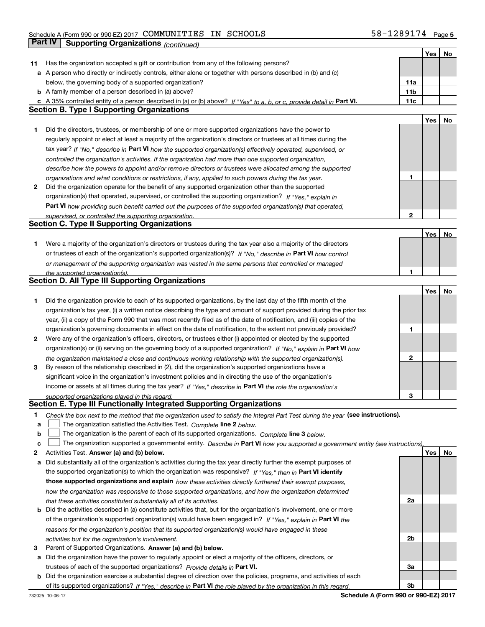# Schedule A (Form 990 or 990-EZ) 2017 Page COMMUNITIES IN SCHOOLS 58-1289174**Part IV | Supporting Organizations** *(continued)*

|    |                                                                                                                                                                                                             |                 | Yes | No |
|----|-------------------------------------------------------------------------------------------------------------------------------------------------------------------------------------------------------------|-----------------|-----|----|
| 11 | Has the organization accepted a gift or contribution from any of the following persons?                                                                                                                     |                 |     |    |
|    | a A person who directly or indirectly controls, either alone or together with persons described in (b) and (c)                                                                                              |                 |     |    |
|    | below, the governing body of a supported organization?                                                                                                                                                      | 11a             |     |    |
|    | <b>b</b> A family member of a person described in (a) above?                                                                                                                                                | 11 <sub>b</sub> |     |    |
|    | c A 35% controlled entity of a person described in (a) or (b) above? If "Yes" to a, b, or c, provide detail in Part VI.                                                                                     | 11c             |     |    |
|    | <b>Section B. Type I Supporting Organizations</b>                                                                                                                                                           |                 |     |    |
|    |                                                                                                                                                                                                             |                 | Yes | No |
| 1  | Did the directors, trustees, or membership of one or more supported organizations have the power to                                                                                                         |                 |     |    |
|    | regularly appoint or elect at least a majority of the organization's directors or trustees at all times during the                                                                                          |                 |     |    |
|    | tax year? If "No," describe in Part VI how the supported organization(s) effectively operated, supervised, or                                                                                               |                 |     |    |
|    | controlled the organization's activities. If the organization had more than one supported organization,                                                                                                     |                 |     |    |
|    | describe how the powers to appoint and/or remove directors or trustees were allocated among the supported                                                                                                   |                 |     |    |
|    | organizations and what conditions or restrictions, if any, applied to such powers during the tax year.                                                                                                      | 1               |     |    |
| 2  | Did the organization operate for the benefit of any supported organization other than the supported                                                                                                         |                 |     |    |
|    |                                                                                                                                                                                                             |                 |     |    |
|    | organization(s) that operated, supervised, or controlled the supporting organization? If "Yes," explain in                                                                                                  |                 |     |    |
|    | Part VI how providing such benefit carried out the purposes of the supported organization(s) that operated,                                                                                                 |                 |     |    |
|    | supervised, or controlled the supporting organization.                                                                                                                                                      | 2               |     |    |
|    | <b>Section C. Type II Supporting Organizations</b>                                                                                                                                                          |                 |     |    |
|    |                                                                                                                                                                                                             |                 | Yes | No |
| 1. | Were a majority of the organization's directors or trustees during the tax year also a majority of the directors                                                                                            |                 |     |    |
|    | or trustees of each of the organization's supported organization(s)? If "No," describe in Part VI how control                                                                                               |                 |     |    |
|    | or management of the supporting organization was vested in the same persons that controlled or managed                                                                                                      |                 |     |    |
|    | the supported organization(s).                                                                                                                                                                              | 1               |     |    |
|    | Section D. All Type III Supporting Organizations                                                                                                                                                            |                 |     |    |
|    |                                                                                                                                                                                                             |                 | Yes | No |
| 1  | Did the organization provide to each of its supported organizations, by the last day of the fifth month of the                                                                                              |                 |     |    |
|    | organization's tax year, (i) a written notice describing the type and amount of support provided during the prior tax                                                                                       |                 |     |    |
|    | year, (ii) a copy of the Form 990 that was most recently filed as of the date of notification, and (iii) copies of the                                                                                      |                 |     |    |
|    | organization's governing documents in effect on the date of notification, to the extent not previously provided?                                                                                            | 1               |     |    |
| 2  | Were any of the organization's officers, directors, or trustees either (i) appointed or elected by the supported                                                                                            |                 |     |    |
|    | organization(s) or (ii) serving on the governing body of a supported organization? If "No," explain in Part VI how                                                                                          |                 |     |    |
|    | the organization maintained a close and continuous working relationship with the supported organization(s).                                                                                                 | 2               |     |    |
| 3  | By reason of the relationship described in (2), did the organization's supported organizations have a                                                                                                       |                 |     |    |
|    | significant voice in the organization's investment policies and in directing the use of the organization's                                                                                                  |                 |     |    |
|    | income or assets at all times during the tax year? If "Yes," describe in Part VI the role the organization's                                                                                                |                 |     |    |
|    | supported organizations played in this regard.                                                                                                                                                              | З               |     |    |
|    | Section E. Type III Functionally Integrated Supporting Organizations                                                                                                                                        |                 |     |    |
| 1  |                                                                                                                                                                                                             |                 |     |    |
|    | Check the box next to the method that the organization used to satisfy the Integral Part Test during the year (see instructions).<br>The organization satisfied the Activities Test. Complete line 2 below. |                 |     |    |
| а  |                                                                                                                                                                                                             |                 |     |    |
| b  | The organization is the parent of each of its supported organizations. Complete line 3 below.                                                                                                               |                 |     |    |
| с  | The organization supported a governmental entity. Describe in Part VI how you supported a government entity (see instructions),                                                                             |                 |     |    |
| 2  | Activities Test. Answer (a) and (b) below.                                                                                                                                                                  |                 | Yes | No |
| а  | Did substantially all of the organization's activities during the tax year directly further the exempt purposes of                                                                                          |                 |     |    |
|    | the supported organization(s) to which the organization was responsive? If "Yes," then in Part VI identify                                                                                                  |                 |     |    |
|    | those supported organizations and explain how these activities directly furthered their exempt purposes,                                                                                                    |                 |     |    |
|    | how the organization was responsive to those supported organizations, and how the organization determined                                                                                                   |                 |     |    |
|    | that these activities constituted substantially all of its activities.                                                                                                                                      | 2a              |     |    |
|    | <b>b</b> Did the activities described in (a) constitute activities that, but for the organization's involvement, one or more                                                                                |                 |     |    |
|    | of the organization's supported organization(s) would have been engaged in? If "Yes," explain in Part VI the                                                                                                |                 |     |    |
|    | reasons for the organization's position that its supported organization(s) would have engaged in these                                                                                                      |                 |     |    |
|    | activities but for the organization's involvement.                                                                                                                                                          | 2b              |     |    |
| 3  | Parent of Supported Organizations. Answer (a) and (b) below.                                                                                                                                                |                 |     |    |
| а  | Did the organization have the power to regularly appoint or elect a majority of the officers, directors, or                                                                                                 |                 |     |    |
|    | trustees of each of the supported organizations? Provide details in Part VI.                                                                                                                                | За              |     |    |
|    | <b>b</b> Did the organization exercise a substantial degree of direction over the policies, programs, and activities of each                                                                                |                 |     |    |
|    | of its supported organizations? If "Yes." describe in Part VI the role played by the organization in this regard.                                                                                           | Зb              |     |    |
|    |                                                                                                                                                                                                             |                 |     |    |

**Schedule A (Form 990 or 990-EZ) 2017**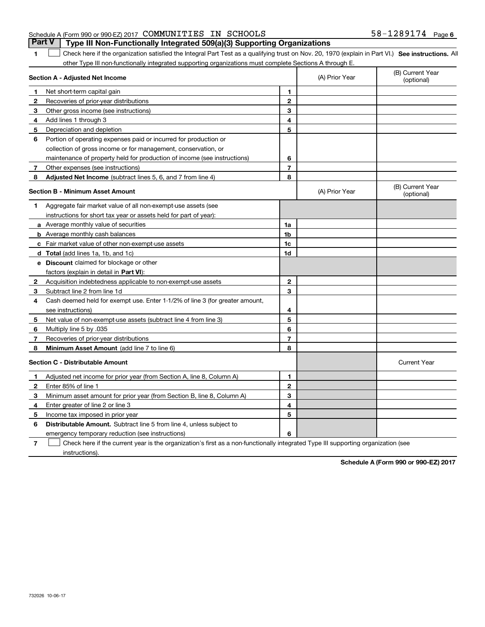## Schedule A (Form 990 or 990-EZ) 2017 Page COMMUNITIES IN SCHOOLS 58-1289174**Part V Type III Non-Functionally Integrated 509(a)(3) Supporting Organizations**

**1**

**SEP 10. See instructions.** All antegral Part Test as a qualifying trust on Nov. 20, 1970 (explain in Part VI.) See instructions. All other Type III non-functionally integrated supporting organizations must complete Sections A through E.  $\overline{\phantom{0}}$ 

|              | Section A - Adjusted Net Income                                              |                | (A) Prior Year | (B) Current Year<br>(optional) |
|--------------|------------------------------------------------------------------------------|----------------|----------------|--------------------------------|
| 1.           | Net short-term capital gain                                                  | 1              |                |                                |
| 2            | Recoveries of prior-year distributions                                       | $\overline{2}$ |                |                                |
| 3            | Other gross income (see instructions)                                        | 3              |                |                                |
| 4            | Add lines 1 through 3                                                        | 4              |                |                                |
| 5            | Depreciation and depletion                                                   | 5              |                |                                |
| 6            | Portion of operating expenses paid or incurred for production or             |                |                |                                |
|              | collection of gross income or for management, conservation, or               |                |                |                                |
|              | maintenance of property held for production of income (see instructions)     | 6              |                |                                |
| 7            | Other expenses (see instructions)                                            | $\overline{7}$ |                |                                |
| 8            | <b>Adjusted Net Income</b> (subtract lines 5, 6, and 7 from line 4)          | 8              |                |                                |
|              | <b>Section B - Minimum Asset Amount</b>                                      |                | (A) Prior Year | (B) Current Year<br>(optional) |
| 1            | Aggregate fair market value of all non-exempt-use assets (see                |                |                |                                |
|              | instructions for short tax year or assets held for part of year):            |                |                |                                |
|              | a Average monthly value of securities                                        | 1a             |                |                                |
|              | <b>b</b> Average monthly cash balances                                       | 1 <sub>b</sub> |                |                                |
|              | <b>c</b> Fair market value of other non-exempt-use assets                    | 1c             |                |                                |
|              | d Total (add lines 1a, 1b, and 1c)                                           | 1d             |                |                                |
|              | <b>e</b> Discount claimed for blockage or other                              |                |                |                                |
|              | factors (explain in detail in Part VI):                                      |                |                |                                |
| $\mathbf{2}$ | Acquisition indebtedness applicable to non-exempt-use assets                 | $\mathbf{2}$   |                |                                |
| з            | Subtract line 2 from line 1d                                                 | 3              |                |                                |
| 4            | Cash deemed held for exempt use. Enter 1-1/2% of line 3 (for greater amount, |                |                |                                |
|              | see instructions)                                                            | 4              |                |                                |
| 5            | Net value of non-exempt-use assets (subtract line 4 from line 3)             | 5              |                |                                |
| 6            | Multiply line 5 by .035                                                      | 6              |                |                                |
| 7            | Recoveries of prior-year distributions                                       | $\overline{7}$ |                |                                |
| 8            | Minimum Asset Amount (add line 7 to line 6)                                  | 8              |                |                                |
|              | <b>Section C - Distributable Amount</b>                                      |                |                | <b>Current Year</b>            |
| $\mathbf 1$  | Adjusted net income for prior year (from Section A, line 8, Column A)        | 1              |                |                                |
| $\mathbf{2}$ | Enter 85% of line 1                                                          | $\mathbf{2}$   |                |                                |
| 3            | Minimum asset amount for prior year (from Section B, line 8, Column A)       | 3              |                |                                |
| 4            | Enter greater of line 2 or line 3                                            | 4              |                |                                |
| 5            | Income tax imposed in prior year                                             | 5              |                |                                |
| 6            | <b>Distributable Amount.</b> Subtract line 5 from line 4, unless subject to  |                |                |                                |
|              | emergency temporary reduction (see instructions)                             | 6              |                |                                |

**7**Check here if the current year is the organization's first as a non-functionally integrated Type III supporting organization (see instructions).

**Schedule A (Form 990 or 990-EZ) 2017**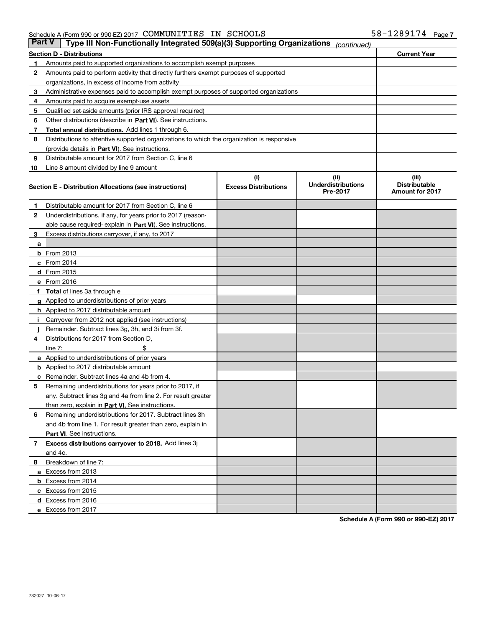#### Schedule A (Form 990 or 990-EZ) 2017 Page COMMUNITIES IN SCHOOLS 58-1289174

| Part V | Type III Non-Functionally Integrated 509(a)(3) Supporting Organizations                    |                             | (continued)                           |                                                |
|--------|--------------------------------------------------------------------------------------------|-----------------------------|---------------------------------------|------------------------------------------------|
|        | <b>Section D - Distributions</b>                                                           |                             |                                       | <b>Current Year</b>                            |
| 1      | Amounts paid to supported organizations to accomplish exempt purposes                      |                             |                                       |                                                |
| 2      | Amounts paid to perform activity that directly furthers exempt purposes of supported       |                             |                                       |                                                |
|        | organizations, in excess of income from activity                                           |                             |                                       |                                                |
| 3      | Administrative expenses paid to accomplish exempt purposes of supported organizations      |                             |                                       |                                                |
| 4      | Amounts paid to acquire exempt-use assets                                                  |                             |                                       |                                                |
| 5      | Qualified set-aside amounts (prior IRS approval required)                                  |                             |                                       |                                                |
| 6      | Other distributions (describe in Part VI). See instructions.                               |                             |                                       |                                                |
| 7      | Total annual distributions. Add lines 1 through 6.                                         |                             |                                       |                                                |
| 8      | Distributions to attentive supported organizations to which the organization is responsive |                             |                                       |                                                |
|        | (provide details in Part VI). See instructions.                                            |                             |                                       |                                                |
| 9      | Distributable amount for 2017 from Section C, line 6                                       |                             |                                       |                                                |
| 10     | Line 8 amount divided by line 9 amount                                                     |                             |                                       |                                                |
|        |                                                                                            | (i)                         | (iii)                                 | (iii)                                          |
|        | Section E - Distribution Allocations (see instructions)                                    | <b>Excess Distributions</b> | <b>Underdistributions</b><br>Pre-2017 | <b>Distributable</b><br><b>Amount for 2017</b> |
| 1      | Distributable amount for 2017 from Section C, line 6                                       |                             |                                       |                                                |
| 2      | Underdistributions, if any, for years prior to 2017 (reason-                               |                             |                                       |                                                |
|        | able cause required- explain in Part VI). See instructions.                                |                             |                                       |                                                |
| 3      | Excess distributions carryover, if any, to 2017                                            |                             |                                       |                                                |
| а      |                                                                                            |                             |                                       |                                                |
|        | <b>b</b> From 2013                                                                         |                             |                                       |                                                |
|        | $c$ From 2014                                                                              |                             |                                       |                                                |
|        | <b>d</b> From 2015                                                                         |                             |                                       |                                                |
|        | e From 2016                                                                                |                             |                                       |                                                |
|        | <b>Total</b> of lines 3a through e                                                         |                             |                                       |                                                |
|        | <b>g</b> Applied to underdistributions of prior years                                      |                             |                                       |                                                |
|        | <b>h</b> Applied to 2017 distributable amount                                              |                             |                                       |                                                |
|        | Carryover from 2012 not applied (see instructions)                                         |                             |                                       |                                                |
|        | Remainder. Subtract lines 3g, 3h, and 3i from 3f.                                          |                             |                                       |                                                |
| 4      | Distributions for 2017 from Section D,                                                     |                             |                                       |                                                |
|        | line $7:$                                                                                  |                             |                                       |                                                |
|        | <b>a</b> Applied to underdistributions of prior years                                      |                             |                                       |                                                |
|        | <b>b</b> Applied to 2017 distributable amount                                              |                             |                                       |                                                |
| c      | Remainder. Subtract lines 4a and 4b from 4.                                                |                             |                                       |                                                |
| 5      | Remaining underdistributions for years prior to 2017, if                                   |                             |                                       |                                                |
|        | any. Subtract lines 3g and 4a from line 2. For result greater                              |                             |                                       |                                                |
|        | than zero, explain in Part VI. See instructions.                                           |                             |                                       |                                                |
| 6      | Remaining underdistributions for 2017. Subtract lines 3h                                   |                             |                                       |                                                |
|        | and 4b from line 1. For result greater than zero, explain in                               |                             |                                       |                                                |
|        | Part VI. See instructions.                                                                 |                             |                                       |                                                |
|        |                                                                                            |                             |                                       |                                                |
| 7      | Excess distributions carryover to 2018. Add lines 3j                                       |                             |                                       |                                                |
|        | and 4c.                                                                                    |                             |                                       |                                                |
| 8      | Breakdown of line 7:                                                                       |                             |                                       |                                                |
|        | a Excess from 2013                                                                         |                             |                                       |                                                |
|        | <b>b</b> Excess from 2014                                                                  |                             |                                       |                                                |
|        | c Excess from 2015                                                                         |                             |                                       |                                                |
|        | d Excess from 2016                                                                         |                             |                                       |                                                |
|        | e Excess from 2017                                                                         |                             |                                       |                                                |

**Schedule A (Form 990 or 990-EZ) 2017**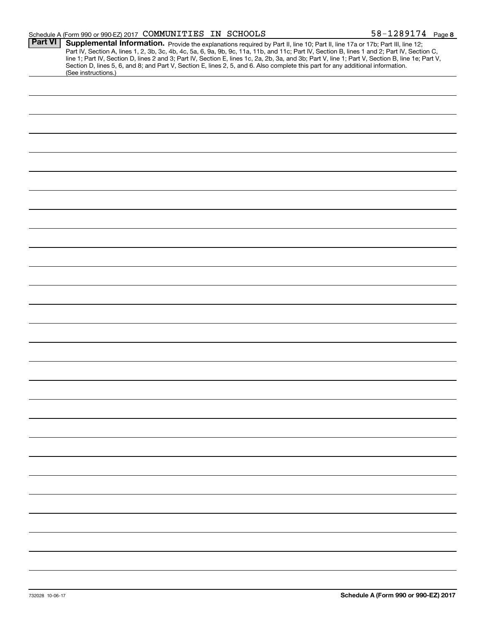#### Schedule A (Form 990 or 990-EZ) 2017 Page COMMUNITIES IN SCHOOLS 58-1289174

|                | $\frac{1}{2}$ or $\frac{1}{2}$ or $\frac{1}{2}$ or $\frac{1}{2}$ $\frac{1}{2}$ or $\frac{1}{2}$ $\frac{1}{2}$ or $\frac{1}{2}$ $\frac{1}{2}$ or $\frac{1}{2}$ or $\frac{1}{2}$ or $\frac{1}{2}$ or $\frac{1}{2}$ or $\frac{1}{2}$ or $\frac{1}{2}$ or $\frac{1}{2}$ or $\frac{1}{2}$ or $\frac{1}{2}$<br>$30 - 1207 + 1 = 1$ |
|----------------|------------------------------------------------------------------------------------------------------------------------------------------------------------------------------------------------------------------------------------------------------------------------------------------------------------------------------|
| <b>Part VI</b> | Supplemental Information. Provide the explanations required by Part II, line 10; Part II, line 17a or 17b; Part III, line 12;                                                                                                                                                                                                |
|                |                                                                                                                                                                                                                                                                                                                              |
|                | Part IV, Section A, lines 1, 2, 3b, 3c, 4b, 4c, 5a, 6, 9a, 9b, 9c, 11a, 11b, and 11c; Part IV, Section B, lines 1 and 2; Part IV, Section C,                                                                                                                                                                                 |
|                | line 1; Part IV, Section D, lines 2 and 3; Part IV, Section E, lines 1c, 2a, 2b, 3a, and 3b; Part V, line 1; Part V, Section B, line 1e; Part V,                                                                                                                                                                             |
|                | Section D, lines 5, 6, and 8; and Part V, Section E, lines 2, 5, and 6. Also complete this part for any additional information.                                                                                                                                                                                              |
|                | (See instructions.)                                                                                                                                                                                                                                                                                                          |
|                |                                                                                                                                                                                                                                                                                                                              |
|                |                                                                                                                                                                                                                                                                                                                              |
|                |                                                                                                                                                                                                                                                                                                                              |
|                |                                                                                                                                                                                                                                                                                                                              |
|                |                                                                                                                                                                                                                                                                                                                              |
|                |                                                                                                                                                                                                                                                                                                                              |
|                |                                                                                                                                                                                                                                                                                                                              |
|                |                                                                                                                                                                                                                                                                                                                              |
|                |                                                                                                                                                                                                                                                                                                                              |
|                |                                                                                                                                                                                                                                                                                                                              |
|                |                                                                                                                                                                                                                                                                                                                              |
|                |                                                                                                                                                                                                                                                                                                                              |
|                |                                                                                                                                                                                                                                                                                                                              |
|                |                                                                                                                                                                                                                                                                                                                              |
|                |                                                                                                                                                                                                                                                                                                                              |
|                |                                                                                                                                                                                                                                                                                                                              |
|                |                                                                                                                                                                                                                                                                                                                              |
|                |                                                                                                                                                                                                                                                                                                                              |
|                |                                                                                                                                                                                                                                                                                                                              |
|                |                                                                                                                                                                                                                                                                                                                              |
|                |                                                                                                                                                                                                                                                                                                                              |
|                |                                                                                                                                                                                                                                                                                                                              |
|                |                                                                                                                                                                                                                                                                                                                              |
|                |                                                                                                                                                                                                                                                                                                                              |
|                |                                                                                                                                                                                                                                                                                                                              |
|                |                                                                                                                                                                                                                                                                                                                              |
|                |                                                                                                                                                                                                                                                                                                                              |
|                |                                                                                                                                                                                                                                                                                                                              |
|                |                                                                                                                                                                                                                                                                                                                              |
|                |                                                                                                                                                                                                                                                                                                                              |
|                |                                                                                                                                                                                                                                                                                                                              |
|                |                                                                                                                                                                                                                                                                                                                              |
|                |                                                                                                                                                                                                                                                                                                                              |
|                |                                                                                                                                                                                                                                                                                                                              |
|                |                                                                                                                                                                                                                                                                                                                              |
|                |                                                                                                                                                                                                                                                                                                                              |
|                |                                                                                                                                                                                                                                                                                                                              |
|                |                                                                                                                                                                                                                                                                                                                              |
|                |                                                                                                                                                                                                                                                                                                                              |
|                |                                                                                                                                                                                                                                                                                                                              |
|                |                                                                                                                                                                                                                                                                                                                              |
|                |                                                                                                                                                                                                                                                                                                                              |
|                |                                                                                                                                                                                                                                                                                                                              |
|                |                                                                                                                                                                                                                                                                                                                              |
|                |                                                                                                                                                                                                                                                                                                                              |
|                |                                                                                                                                                                                                                                                                                                                              |
|                |                                                                                                                                                                                                                                                                                                                              |
|                |                                                                                                                                                                                                                                                                                                                              |
|                |                                                                                                                                                                                                                                                                                                                              |
|                |                                                                                                                                                                                                                                                                                                                              |
|                |                                                                                                                                                                                                                                                                                                                              |
|                |                                                                                                                                                                                                                                                                                                                              |
|                |                                                                                                                                                                                                                                                                                                                              |
|                |                                                                                                                                                                                                                                                                                                                              |
|                |                                                                                                                                                                                                                                                                                                                              |
|                |                                                                                                                                                                                                                                                                                                                              |
|                |                                                                                                                                                                                                                                                                                                                              |
|                |                                                                                                                                                                                                                                                                                                                              |
|                |                                                                                                                                                                                                                                                                                                                              |
|                |                                                                                                                                                                                                                                                                                                                              |
|                |                                                                                                                                                                                                                                                                                                                              |
|                |                                                                                                                                                                                                                                                                                                                              |
|                |                                                                                                                                                                                                                                                                                                                              |
|                |                                                                                                                                                                                                                                                                                                                              |
|                |                                                                                                                                                                                                                                                                                                                              |
|                |                                                                                                                                                                                                                                                                                                                              |
|                |                                                                                                                                                                                                                                                                                                                              |
|                |                                                                                                                                                                                                                                                                                                                              |
|                |                                                                                                                                                                                                                                                                                                                              |
|                |                                                                                                                                                                                                                                                                                                                              |
|                |                                                                                                                                                                                                                                                                                                                              |
|                |                                                                                                                                                                                                                                                                                                                              |
|                |                                                                                                                                                                                                                                                                                                                              |
|                |                                                                                                                                                                                                                                                                                                                              |
|                |                                                                                                                                                                                                                                                                                                                              |
|                |                                                                                                                                                                                                                                                                                                                              |
|                |                                                                                                                                                                                                                                                                                                                              |
|                |                                                                                                                                                                                                                                                                                                                              |
|                |                                                                                                                                                                                                                                                                                                                              |
|                |                                                                                                                                                                                                                                                                                                                              |
|                |                                                                                                                                                                                                                                                                                                                              |
|                |                                                                                                                                                                                                                                                                                                                              |
|                |                                                                                                                                                                                                                                                                                                                              |
|                |                                                                                                                                                                                                                                                                                                                              |
|                |                                                                                                                                                                                                                                                                                                                              |
|                |                                                                                                                                                                                                                                                                                                                              |
|                |                                                                                                                                                                                                                                                                                                                              |
|                |                                                                                                                                                                                                                                                                                                                              |
|                |                                                                                                                                                                                                                                                                                                                              |
|                |                                                                                                                                                                                                                                                                                                                              |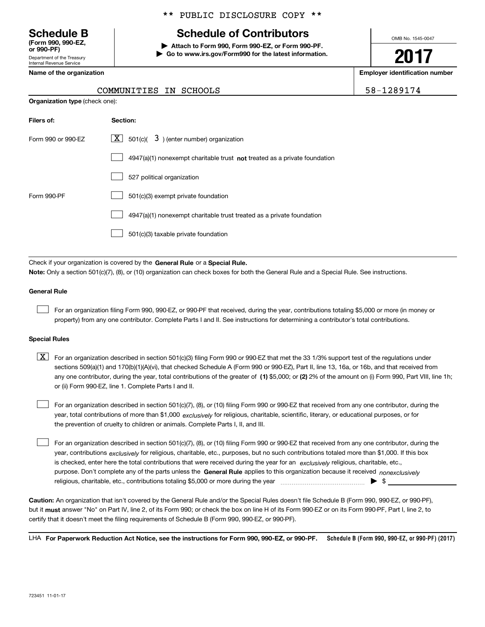Department of the Treasury Internal Revenue Service **(Form 990, 990-EZ, or 990-PF)**

## \*\* PUBLIC DISCLOSURE COPY \*\*

# **Schedule B Schedule of Contributors**

**| Attach to Form 990, Form 990-EZ, or Form 990-PF. | Go to www.irs.gov/Form990 for the latest information.** OMB No. 1545-0047

**2017**

**Name of the organization Employer identification number**

| -1289174 |  |
|----------|--|
|----------|--|

| COMMUNITIES | IN | SCHOOLS | $\sim$ |
|-------------|----|---------|--------|
|             |    |         |        |

| <b>Organization type (check one):</b>                                     |  |  |  |  |  |
|---------------------------------------------------------------------------|--|--|--|--|--|
| Section:                                                                  |  |  |  |  |  |
| $\lfloor x \rfloor$ 501(c)( 3) (enter number) organization                |  |  |  |  |  |
| 4947(a)(1) nonexempt charitable trust not treated as a private foundation |  |  |  |  |  |
| 527 political organization                                                |  |  |  |  |  |
| 501(c)(3) exempt private foundation                                       |  |  |  |  |  |
| 4947(a)(1) nonexempt charitable trust treated as a private foundation     |  |  |  |  |  |
| 501(c)(3) taxable private foundation                                      |  |  |  |  |  |
|                                                                           |  |  |  |  |  |

Check if your organization is covered by the **General Rule** or a **Special Rule. Note:**  Only a section 501(c)(7), (8), or (10) organization can check boxes for both the General Rule and a Special Rule. See instructions.

#### **General Rule**

 $\mathcal{L}^{\text{max}}$ 

For an organization filing Form 990, 990-EZ, or 990-PF that received, during the year, contributions totaling \$5,000 or more (in money or property) from any one contributor. Complete Parts I and II. See instructions for determining a contributor's total contributions.

#### **Special Rules**

 $\mathcal{L}^{\text{max}}$ 

any one contributor, during the year, total contributions of the greater of  $\,$  (1) \$5,000; or **(2)** 2% of the amount on (i) Form 990, Part VIII, line 1h;  $\boxed{\textbf{X}}$  For an organization described in section 501(c)(3) filing Form 990 or 990-EZ that met the 33 1/3% support test of the regulations under sections 509(a)(1) and 170(b)(1)(A)(vi), that checked Schedule A (Form 990 or 990-EZ), Part II, line 13, 16a, or 16b, and that received from or (ii) Form 990-EZ, line 1. Complete Parts I and II.

year, total contributions of more than \$1,000 *exclusively* for religious, charitable, scientific, literary, or educational purposes, or for For an organization described in section 501(c)(7), (8), or (10) filing Form 990 or 990-EZ that received from any one contributor, during the the prevention of cruelty to children or animals. Complete Parts I, II, and III.  $\mathcal{L}^{\text{max}}$ 

purpose. Don't complete any of the parts unless the **General Rule** applies to this organization because it received *nonexclusively* year, contributions <sub>exclusively</sub> for religious, charitable, etc., purposes, but no such contributions totaled more than \$1,000. If this box is checked, enter here the total contributions that were received during the year for an  $\;$ exclusively religious, charitable, etc., For an organization described in section 501(c)(7), (8), or (10) filing Form 990 or 990-EZ that received from any one contributor, during the religious, charitable, etc., contributions totaling \$5,000 or more during the year  $\ldots$  $\ldots$  $\ldots$  $\ldots$  $\ldots$  $\ldots$  $\ldots$ 

**Caution:**  An organization that isn't covered by the General Rule and/or the Special Rules doesn't file Schedule B (Form 990, 990-EZ, or 990-PF),  **must** but it answer "No" on Part IV, line 2, of its Form 990; or check the box on line H of its Form 990-EZ or on its Form 990-PF, Part I, line 2, to certify that it doesn't meet the filing requirements of Schedule B (Form 990, 990-EZ, or 990-PF).

**Schedule B (Form 990, 990-EZ, or 990-PF) (2017) For Paperwork Reduction Act Notice, see the instructions for Form 990, 990-EZ, or 990-PF.** LHA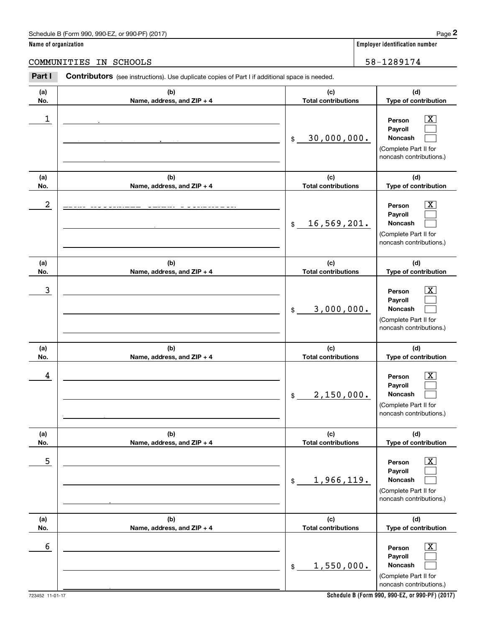**Name of organization Employer identification number**

COMMUNITIES IN SCHOOLS 58-1289174

#### **(a)No.(b)Name, address, and ZIP + 4 (c)Total contributions (d)Type of contribution PersonPayrollNoncash (a)No.(b)Name, address, and ZIP + 4 (c)Total contributions (d)Type of contribution PersonPayrollNoncash (a)No.(b)Name, address, and ZIP + 4 (c)Total contributions (d)Type of contribution PersonPayrollNoncash (a) No.(b) Name, address, and ZIP + 4 (c) Total contributions (d) Type of contribution PersonPayrollNoncash(a) No.(b) Name, address, and ZIP + 4 (c) Total contributions (d) Type of contribution PersonPayrollNoncash (a) No.(b)Name, address, and ZIP + 4 (c) Total contributions (d) Type of contribution PersonPayrollNoncash Contributors** (see instructions). Use duplicate copies of Part I if additional space is needed. \$(Complete Part II for noncash contributions.) \$(Complete Part II for noncash contributions.) \$(Complete Part II for noncash contributions.) \$(Complete Part II for noncash contributions.) \$(Complete Part II for noncash contributions.)  $$$ (Complete Part II for Employer identification Page 2<br> **2** ame of organization<br> **2Part I Contributors** (see instructions). Use duplicate copies of Part I if additional space is needed.<br>
2Part I **Contributors** (see instructions). Use duplicate  $|X|$  $\mathcal{L}^{\text{max}}$  $\mathcal{L}^{\text{max}}$  $\boxed{\text{X}}$  $\mathcal{L}^{\text{max}}$  $\mathcal{L}^{\text{max}}$  $|X|$  $\mathcal{L}^{\text{max}}$  $\mathcal{L}^{\text{max}}$  $\boxed{\text{X}}$  $\mathcal{L}^{\text{max}}$  $\mathcal{L}^{\text{max}}$  $|X|$  $\mathcal{L}^{\text{max}}$  $\mathcal{L}^{\text{max}}$  $\boxed{\text{X}}$  $\mathcal{L}^{\text{max}}$  $\mathcal{L}^{\text{max}}$  $\begin{array}{c|c|c|c|c|c} 1 & \hspace{1.5cm} & \hspace{1.5cm} & \hspace{1.5cm} & \hspace{1.5cm} & \hspace{1.5cm} & \hspace{1.5cm} & \hspace{1.5cm} & \hspace{1.5cm} & \hspace{1.5cm} & \hspace{1.5cm} & \hspace{1.5cm} & \hspace{1.5cm} & \hspace{1.5cm} & \hspace{1.5cm} & \hspace{1.5cm} & \hspace{1.5cm} & \hspace{1.5cm} & \hspace{1.5cm} & \hspace{1.5cm} & \hspace{1.5cm} &$ 30,000,000. ABBVIE, INC 1 N. WAUKEGAN ROOM, NORTHERD. CHICAGO, IL 60064 2 X 16,569,201. EDNA MCCONNELL CLARK FOUNDATION 415 MADISON AVE., 10TH FLOOR  $\overline{3}$  | Person  $\overline{X}$ 3,000,000.  $4$  | Person  $\overline{\text{X}}$ 2,150,000. ATLANTA, GA 30328  $\sim$  5 | Person X 1,966,119. NEW YORK, NY 10178  $\sim$  6 | Person X 1,550,000.

**Schedule B (Form 990, 990-EZ, or 990-PF) (2017)**

noncash contributions.)

RICHMOND, VA 23230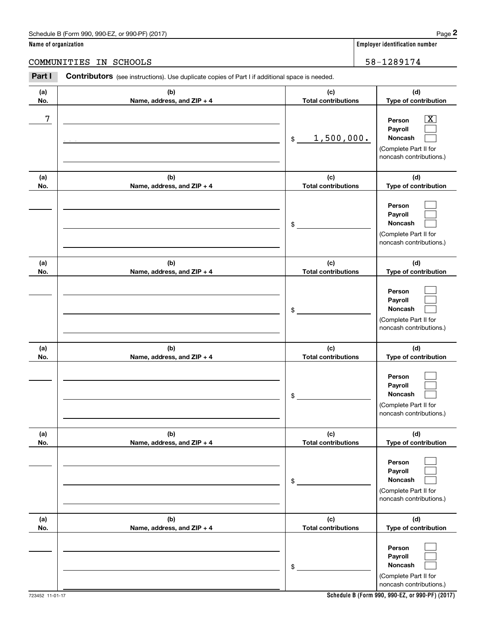|                      | Schedule B (Form 990, 990-EZ, or 990-PF) (2017)                                                       |                                   | Page 2                                                                                                      |
|----------------------|-------------------------------------------------------------------------------------------------------|-----------------------------------|-------------------------------------------------------------------------------------------------------------|
| Name of organization |                                                                                                       |                                   | <b>Employer identification number</b>                                                                       |
|                      | COMMUNITIES<br>IN SCHOOLS                                                                             |                                   | 58-1289174                                                                                                  |
| Part I               | <b>Contributors</b> (see instructions). Use duplicate copies of Part I if additional space is needed. |                                   |                                                                                                             |
| (a)<br>No.           | (b)<br>Name, address, and ZIP + 4                                                                     | (c)<br><b>Total contributions</b> | (d)<br>Type of contribution                                                                                 |
| 7                    |                                                                                                       | 1,500,000.<br>\$                  | $\overline{\mathbf{X}}$<br>Person<br>Payroll<br>Noncash<br>(Complete Part II for<br>noncash contributions.) |
| (a)<br>No.           | (b)<br>Name, address, and ZIP + 4                                                                     | (c)<br><b>Total contributions</b> | (d)<br>Type of contribution                                                                                 |
|                      |                                                                                                       | \$                                | Person<br>Payroll<br>Noncash<br>(Complete Part II for<br>noncash contributions.)                            |
| (a)<br>No.           | (b)<br>Name, address, and ZIP + 4                                                                     | (c)<br><b>Total contributions</b> | (d)<br>Type of contribution                                                                                 |
|                      |                                                                                                       | \$                                | Person<br>Payroll<br>Noncash<br>(Complete Part II for<br>noncash contributions.)                            |
| (a)<br>No.           | (b)<br>Name, address, and ZIP + 4                                                                     | (c)<br><b>Total contributions</b> | (d)<br>Type of contribution                                                                                 |
|                      |                                                                                                       | \$                                | Person<br>Payroll<br>Noncash<br>(Complete Part II for<br>noncash contributions.)                            |
| (a)<br>No.           | (b)<br>Name, address, and ZIP + 4                                                                     | (c)<br><b>Total contributions</b> | (d)<br>Type of contribution                                                                                 |
|                      |                                                                                                       | \$                                | Person<br>Payroll<br>Noncash<br>(Complete Part II for<br>noncash contributions.)                            |
| (a)<br>No.           | (b)<br>Name, address, and ZIP + 4                                                                     | (c)<br><b>Total contributions</b> | (d)<br>Type of contribution                                                                                 |
|                      |                                                                                                       | \$                                | Person<br>Payroll<br>Noncash<br>(Complete Part II for<br>noncash contributions.)                            |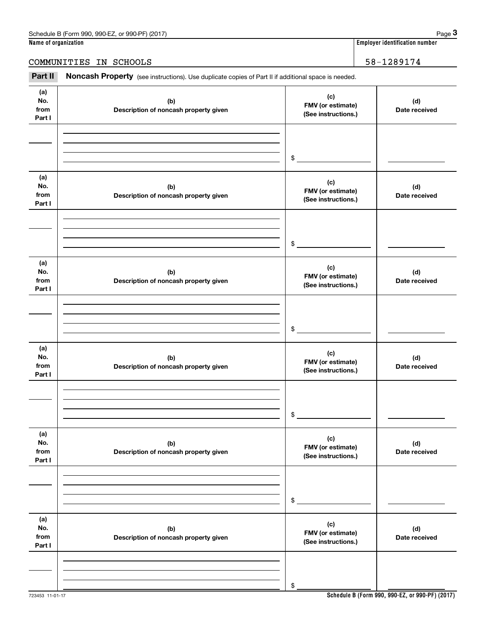# COMMUNITIES IN SCHOOLS 38-1289174

Chedule B (Form 990, 990-EZ, or 990-PF) (2017)<br> **3Part II Noncash Property** (see instructions). Use duplicate copies of Part II if additional space is needed.<br> **2Part II Noncash Property** (see instructions). Use duplic

| (a)<br>No.<br>from<br>Part I | (b)<br>Description of noncash property given | (c)<br>FMV (or estimate)<br>(See instructions.) | (d)<br>Date received |
|------------------------------|----------------------------------------------|-------------------------------------------------|----------------------|
|                              |                                              |                                                 |                      |
|                              |                                              | $\frac{1}{2}$                                   |                      |
| (a)<br>No.<br>from<br>Part I | (b)<br>Description of noncash property given | (c)<br>FMV (or estimate)<br>(See instructions.) | (d)<br>Date received |
|                              |                                              |                                                 |                      |
|                              |                                              | $$^{\circ}$                                     |                      |
| (a)<br>No.<br>from<br>Part I | (b)<br>Description of noncash property given | (c)<br>FMV (or estimate)<br>(See instructions.) | (d)<br>Date received |
|                              |                                              |                                                 |                      |
|                              |                                              | $$^{\circ}$                                     |                      |
| (a)<br>No.<br>from<br>Part I | (b)<br>Description of noncash property given | (c)<br>FMV (or estimate)<br>(See instructions.) | (d)<br>Date received |
|                              |                                              |                                                 |                      |
|                              |                                              | \$                                              |                      |
| (a)<br>No.<br>from<br>Part I | (b)<br>Description of noncash property given | (c)<br>FMV (or estimate)<br>(See instructions.) | (d)<br>Date received |
|                              |                                              |                                                 |                      |
|                              |                                              | \$                                              |                      |
| (a)<br>No.<br>from<br>Part I | (b)<br>Description of noncash property given | (c)<br>FMV (or estimate)<br>(See instructions.) | (d)<br>Date received |
|                              |                                              |                                                 |                      |
|                              |                                              | \$                                              |                      |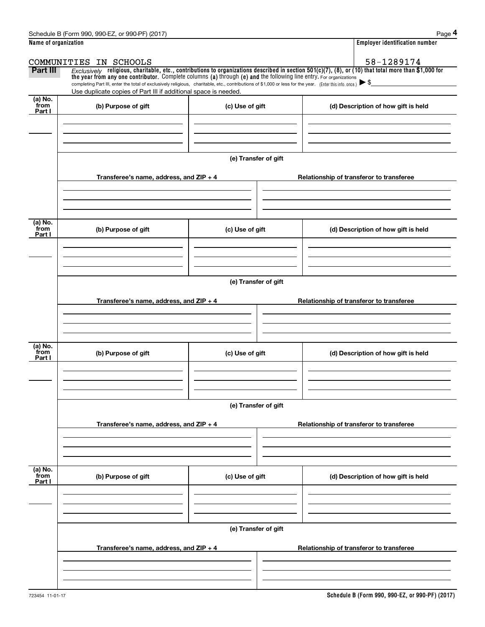|                           | Schedule B (Form 990, 990-EZ, or 990-PF) (2017)                                                                                                                                                                                                                                 |                      | Page 4                                                                                                                                                   |  |  |  |
|---------------------------|---------------------------------------------------------------------------------------------------------------------------------------------------------------------------------------------------------------------------------------------------------------------------------|----------------------|----------------------------------------------------------------------------------------------------------------------------------------------------------|--|--|--|
| Name of organization      |                                                                                                                                                                                                                                                                                 |                      | <b>Employer identification number</b>                                                                                                                    |  |  |  |
|                           | COMMUNITIES IN SCHOOLS                                                                                                                                                                                                                                                          |                      | 58-1289174                                                                                                                                               |  |  |  |
| Part III                  | the year from any one contributor. Complete columns (a) through (e) and the following line entry. For organizations<br>completing Part III, enter the total of exclusively religious, charitable, etc., contributions of \$1,000 or less for the year. (Enter this info. once.) |                      | Exclusively religious, charitable, etc., contributions to organizations described in section $501(c)(7)$ , (8), or (10) that total more than \$1,000 for |  |  |  |
|                           | Use duplicate copies of Part III if additional space is needed.                                                                                                                                                                                                                 |                      |                                                                                                                                                          |  |  |  |
| (a) No.<br>from<br>Part I | (b) Purpose of gift                                                                                                                                                                                                                                                             | (c) Use of gift      | (d) Description of how gift is held                                                                                                                      |  |  |  |
|                           |                                                                                                                                                                                                                                                                                 |                      |                                                                                                                                                          |  |  |  |
|                           |                                                                                                                                                                                                                                                                                 | (e) Transfer of gift |                                                                                                                                                          |  |  |  |
|                           | Transferee's name, address, and $ZIP + 4$                                                                                                                                                                                                                                       |                      | Relationship of transferor to transferee                                                                                                                 |  |  |  |
| (a) No.                   |                                                                                                                                                                                                                                                                                 |                      |                                                                                                                                                          |  |  |  |
| from<br>Part I            | (b) Purpose of gift                                                                                                                                                                                                                                                             | (c) Use of gift      | (d) Description of how gift is held                                                                                                                      |  |  |  |
|                           |                                                                                                                                                                                                                                                                                 |                      |                                                                                                                                                          |  |  |  |
|                           | (e) Transfer of gift                                                                                                                                                                                                                                                            |                      |                                                                                                                                                          |  |  |  |
|                           |                                                                                                                                                                                                                                                                                 |                      |                                                                                                                                                          |  |  |  |
|                           | Transferee's name, address, and $ZIP + 4$                                                                                                                                                                                                                                       |                      | Relationship of transferor to transferee                                                                                                                 |  |  |  |
|                           |                                                                                                                                                                                                                                                                                 |                      |                                                                                                                                                          |  |  |  |
|                           |                                                                                                                                                                                                                                                                                 |                      |                                                                                                                                                          |  |  |  |
| (a) No.<br>from<br>Part I | (b) Purpose of gift                                                                                                                                                                                                                                                             | (c) Use of gift      | (d) Description of how gift is held                                                                                                                      |  |  |  |
|                           |                                                                                                                                                                                                                                                                                 |                      |                                                                                                                                                          |  |  |  |
|                           |                                                                                                                                                                                                                                                                                 | (e) Transfer of gift |                                                                                                                                                          |  |  |  |
|                           |                                                                                                                                                                                                                                                                                 |                      |                                                                                                                                                          |  |  |  |
|                           | Transferee's name, address, and ZIP + 4                                                                                                                                                                                                                                         |                      | Relationship of transferor to transferee                                                                                                                 |  |  |  |
|                           |                                                                                                                                                                                                                                                                                 |                      |                                                                                                                                                          |  |  |  |
| (a) No.<br>from<br>Part I | (b) Purpose of gift                                                                                                                                                                                                                                                             | (c) Use of gift      | (d) Description of how gift is held                                                                                                                      |  |  |  |
|                           |                                                                                                                                                                                                                                                                                 |                      |                                                                                                                                                          |  |  |  |
|                           |                                                                                                                                                                                                                                                                                 | (e) Transfer of gift |                                                                                                                                                          |  |  |  |
|                           | Transferee's name, address, and $ZIP + 4$                                                                                                                                                                                                                                       |                      | Relationship of transferor to transferee                                                                                                                 |  |  |  |
|                           |                                                                                                                                                                                                                                                                                 |                      |                                                                                                                                                          |  |  |  |
|                           |                                                                                                                                                                                                                                                                                 |                      |                                                                                                                                                          |  |  |  |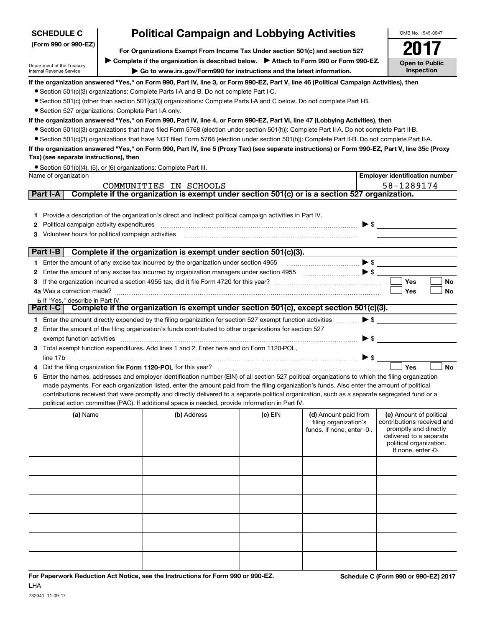| <b>SCHEDULE C</b>                                                                                        | <b>Political Campaign and Lobbying Activities</b>                                                                                                |         |                                                                                                                                                                                                                                                                                                                                                     |                          | OMB No. 1545-0047                                   |  |
|----------------------------------------------------------------------------------------------------------|--------------------------------------------------------------------------------------------------------------------------------------------------|---------|-----------------------------------------------------------------------------------------------------------------------------------------------------------------------------------------------------------------------------------------------------------------------------------------------------------------------------------------------------|--------------------------|-----------------------------------------------------|--|
| (Form 990 or 990-EZ)                                                                                     |                                                                                                                                                  |         | For Organizations Exempt From Income Tax Under section 501(c) and section 527                                                                                                                                                                                                                                                                       |                          |                                                     |  |
|                                                                                                          | Complete if the organization is described below. > Attach to Form 990 or Form 990-EZ.                                                            |         |                                                                                                                                                                                                                                                                                                                                                     |                          | <b>Open to Public</b>                               |  |
| Department of the Treasury<br>Internal Revenue Service                                                   | Inspection                                                                                                                                       |         |                                                                                                                                                                                                                                                                                                                                                     |                          |                                                     |  |
|                                                                                                          | If the organization answered "Yes," on Form 990, Part IV, line 3, or Form 990-EZ, Part V, line 46 (Political Campaign Activities), then          |         |                                                                                                                                                                                                                                                                                                                                                     |                          |                                                     |  |
|                                                                                                          | • Section 501(c)(3) organizations: Complete Parts I-A and B. Do not complete Part I-C.                                                           |         |                                                                                                                                                                                                                                                                                                                                                     |                          |                                                     |  |
|                                                                                                          | • Section 501(c) (other than section 501(c)(3)) organizations: Complete Parts I-A and C below. Do not complete Part I-B.                         |         |                                                                                                                                                                                                                                                                                                                                                     |                          |                                                     |  |
| • Section 527 organizations: Complete Part I-A only.                                                     |                                                                                                                                                  |         |                                                                                                                                                                                                                                                                                                                                                     |                          |                                                     |  |
|                                                                                                          | If the organization answered "Yes," on Form 990, Part IV, line 4, or Form 990-EZ, Part VI, line 47 (Lobbying Activities), then                   |         |                                                                                                                                                                                                                                                                                                                                                     |                          |                                                     |  |
|                                                                                                          | • Section 501(c)(3) organizations that have filed Form 5768 (election under section 501(h)): Complete Part II-A. Do not complete Part II-B.      |         |                                                                                                                                                                                                                                                                                                                                                     |                          |                                                     |  |
|                                                                                                          | • Section 501(c)(3) organizations that have NOT filed Form 5768 (election under section 501(h)): Complete Part II-B. Do not complete Part II-A.  |         |                                                                                                                                                                                                                                                                                                                                                     |                          |                                                     |  |
| Tax) (see separate instructions), then                                                                   | If the organization answered "Yes," on Form 990, Part IV, line 5 (Proxy Tax) (see separate instructions) or Form 990-EZ, Part V, line 35c (Proxy |         |                                                                                                                                                                                                                                                                                                                                                     |                          |                                                     |  |
|                                                                                                          | • Section 501(c)(4), (5), or (6) organizations: Complete Part III.                                                                               |         |                                                                                                                                                                                                                                                                                                                                                     |                          |                                                     |  |
| Name of organization                                                                                     |                                                                                                                                                  |         |                                                                                                                                                                                                                                                                                                                                                     |                          | <b>Employer identification number</b>               |  |
|                                                                                                          | COMMUNITIES IN SCHOOLS                                                                                                                           |         |                                                                                                                                                                                                                                                                                                                                                     |                          | 58-1289174                                          |  |
| Part I-A                                                                                                 | Complete if the organization is exempt under section 501(c) or is a section 527 organization.                                                    |         |                                                                                                                                                                                                                                                                                                                                                     |                          |                                                     |  |
|                                                                                                          |                                                                                                                                                  |         |                                                                                                                                                                                                                                                                                                                                                     |                          |                                                     |  |
|                                                                                                          | 1 Provide a description of the organization's direct and indirect political campaign activities in Part IV.                                      |         |                                                                                                                                                                                                                                                                                                                                                     |                          |                                                     |  |
| Political campaign activity expenditures<br>2.<br>Volunteer hours for political campaign activities<br>3 |                                                                                                                                                  |         |                                                                                                                                                                                                                                                                                                                                                     | $\triangleright$ \$      |                                                     |  |
|                                                                                                          |                                                                                                                                                  |         |                                                                                                                                                                                                                                                                                                                                                     |                          |                                                     |  |
| Part I-B                                                                                                 | Complete if the organization is exempt under section 501(c)(3).                                                                                  |         |                                                                                                                                                                                                                                                                                                                                                     |                          |                                                     |  |
|                                                                                                          | 1 Enter the amount of any excise tax incurred by the organization under section 4955                                                             |         |                                                                                                                                                                                                                                                                                                                                                     | $\blacktriangleright$ \$ |                                                     |  |
| 2                                                                                                        | Enter the amount of any excise tax incurred by organization managers under section 4955                                                          |         | $\begin{picture}(20,10) \put(0,0){\line(1,0){10}} \put(15,0){\line(1,0){10}} \put(15,0){\line(1,0){10}} \put(15,0){\line(1,0){10}} \put(15,0){\line(1,0){10}} \put(15,0){\line(1,0){10}} \put(15,0){\line(1,0){10}} \put(15,0){\line(1,0){10}} \put(15,0){\line(1,0){10}} \put(15,0){\line(1,0){10}} \put(15,0){\line(1,0){10}} \put(15,0){\line(1$ |                          |                                                     |  |
| З                                                                                                        |                                                                                                                                                  |         |                                                                                                                                                                                                                                                                                                                                                     |                          | Yes<br>No                                           |  |
| 4a Was a correction made?                                                                                |                                                                                                                                                  |         |                                                                                                                                                                                                                                                                                                                                                     |                          | Yes<br>No                                           |  |
| <b>b</b> If "Yes," describe in Part IV.                                                                  | Complete if the organization is exempt under section 501(c), except section 501(c)(3).                                                           |         |                                                                                                                                                                                                                                                                                                                                                     |                          |                                                     |  |
| Part I-C                                                                                                 |                                                                                                                                                  |         |                                                                                                                                                                                                                                                                                                                                                     |                          |                                                     |  |
|                                                                                                          | 1 Enter the amount directly expended by the filing organization for section 527 exempt function activities                                       |         |                                                                                                                                                                                                                                                                                                                                                     | $\blacktriangleright$ \$ |                                                     |  |
| exempt function activities                                                                               | 2 Enter the amount of the filing organization's funds contributed to other organizations for section 527                                         |         |                                                                                                                                                                                                                                                                                                                                                     | $\blacktriangleright$ \$ |                                                     |  |
|                                                                                                          | 3 Total exempt function expenditures. Add lines 1 and 2. Enter here and on Form 1120-POL,                                                        |         |                                                                                                                                                                                                                                                                                                                                                     |                          |                                                     |  |
|                                                                                                          |                                                                                                                                                  |         |                                                                                                                                                                                                                                                                                                                                                     | $\triangleright$ \$      |                                                     |  |
|                                                                                                          | Did the filing organization file Form 1120-POL for this year?                                                                                    |         |                                                                                                                                                                                                                                                                                                                                                     |                          | Yes<br><b>No</b>                                    |  |
| 5                                                                                                        | Enter the names, addresses and employer identification number (EIN) of all section 527 political organizations to which the filing organization  |         |                                                                                                                                                                                                                                                                                                                                                     |                          |                                                     |  |
|                                                                                                          | made payments. For each organization listed, enter the amount paid from the filing organization's funds. Also enter the amount of political      |         |                                                                                                                                                                                                                                                                                                                                                     |                          |                                                     |  |
|                                                                                                          | contributions received that were promptly and directly delivered to a separate political organization, such as a separate segregated fund or a   |         |                                                                                                                                                                                                                                                                                                                                                     |                          |                                                     |  |
|                                                                                                          | political action committee (PAC). If additional space is needed, provide information in Part IV.                                                 |         |                                                                                                                                                                                                                                                                                                                                                     |                          |                                                     |  |
| (a) Name                                                                                                 | (b) Address                                                                                                                                      | (c) EIN | (d) Amount paid from                                                                                                                                                                                                                                                                                                                                |                          | (e) Amount of political                             |  |
|                                                                                                          |                                                                                                                                                  |         | filing organization's<br>funds. If none, enter -0-.                                                                                                                                                                                                                                                                                                 |                          | contributions received and<br>promptly and directly |  |
|                                                                                                          |                                                                                                                                                  |         |                                                                                                                                                                                                                                                                                                                                                     |                          | delivered to a separate                             |  |
|                                                                                                          |                                                                                                                                                  |         |                                                                                                                                                                                                                                                                                                                                                     |                          | political organization.<br>If none, enter -0-.      |  |
|                                                                                                          |                                                                                                                                                  |         |                                                                                                                                                                                                                                                                                                                                                     |                          |                                                     |  |
|                                                                                                          |                                                                                                                                                  |         |                                                                                                                                                                                                                                                                                                                                                     |                          |                                                     |  |
|                                                                                                          |                                                                                                                                                  |         |                                                                                                                                                                                                                                                                                                                                                     |                          |                                                     |  |
|                                                                                                          |                                                                                                                                                  |         |                                                                                                                                                                                                                                                                                                                                                     |                          |                                                     |  |
|                                                                                                          |                                                                                                                                                  |         |                                                                                                                                                                                                                                                                                                                                                     |                          |                                                     |  |
|                                                                                                          |                                                                                                                                                  |         |                                                                                                                                                                                                                                                                                                                                                     |                          |                                                     |  |
|                                                                                                          |                                                                                                                                                  |         |                                                                                                                                                                                                                                                                                                                                                     |                          |                                                     |  |
|                                                                                                          |                                                                                                                                                  |         |                                                                                                                                                                                                                                                                                                                                                     |                          |                                                     |  |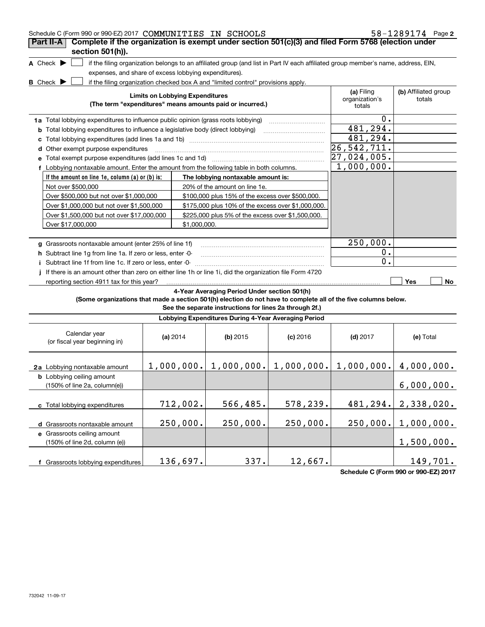| Schedule C (Form 990 or 990-EZ) 2017 COMMUNITIES IN SCHOOLS                                                     |                                                       |                                                                                                                                   |            |                           | 58-1289174 Page 2    |
|-----------------------------------------------------------------------------------------------------------------|-------------------------------------------------------|-----------------------------------------------------------------------------------------------------------------------------------|------------|---------------------------|----------------------|
| Complete if the organization is exempt under section 501(c)(3) and filed Form 5768 (election under<br>Part II-A |                                                       |                                                                                                                                   |            |                           |                      |
| section 501(h)).                                                                                                |                                                       |                                                                                                                                   |            |                           |                      |
| A Check $\blacktriangleright$                                                                                   | expenses, and share of excess lobbying expenditures). | if the filing organization belongs to an affiliated group (and list in Part IV each affiliated group member's name, address, EIN, |            |                           |                      |
| <b>B</b> Check $\blacktriangleright$                                                                            |                                                       | if the filing organization checked box A and "limited control" provisions apply.                                                  |            |                           |                      |
|                                                                                                                 |                                                       |                                                                                                                                   |            | (a) Filing                | (b) Affiliated group |
|                                                                                                                 | <b>Limits on Lobbying Expenditures</b>                | (The term "expenditures" means amounts paid or incurred.)                                                                         |            | organization's<br>totals  | totals               |
| 1a Total lobbying expenditures to influence public opinion (grass roots lobbying)                               |                                                       |                                                                                                                                   |            | О.                        |                      |
| <b>b</b> Total lobbying expenditures to influence a legislative body (direct lobbying)                          |                                                       |                                                                                                                                   |            | 481,294.                  |                      |
|                                                                                                                 |                                                       |                                                                                                                                   |            | 481,294.                  |                      |
| d Other exempt purpose expenditures                                                                             |                                                       |                                                                                                                                   |            | 26, 542, 711.             |                      |
|                                                                                                                 |                                                       |                                                                                                                                   |            | $\overline{27,024,005}$ . |                      |
| f Lobbying nontaxable amount. Enter the amount from the following table in both columns.                        |                                                       |                                                                                                                                   |            | 1,000,000.                |                      |
| If the amount on line 1e, column $(a)$ or $(b)$ is:                                                             |                                                       | The lobbying nontaxable amount is:                                                                                                |            |                           |                      |
| Not over \$500,000                                                                                              |                                                       | 20% of the amount on line 1e.                                                                                                     |            |                           |                      |
| Over \$500,000 but not over \$1,000,000                                                                         |                                                       | \$100,000 plus 15% of the excess over \$500,000.                                                                                  |            |                           |                      |
| Over \$1,000,000 but not over \$1,500,000                                                                       |                                                       | \$175,000 plus 10% of the excess over \$1,000,000.                                                                                |            |                           |                      |
| Over \$1,500,000 but not over \$17,000,000                                                                      |                                                       | \$225,000 plus 5% of the excess over \$1,500,000.                                                                                 |            |                           |                      |
| Over \$17,000,000                                                                                               | \$1,000,000.                                          |                                                                                                                                   |            |                           |                      |
|                                                                                                                 |                                                       |                                                                                                                                   |            |                           |                      |
| g Grassroots nontaxable amount (enter 25% of line 1f)                                                           |                                                       |                                                                                                                                   |            | 250,000.                  |                      |
| h Subtract line 1q from line 1a. If zero or less, enter -0-                                                     |                                                       |                                                                                                                                   |            | $0$ .                     |                      |
| i Subtract line 1f from line 1c. If zero or less, enter -0-                                                     |                                                       |                                                                                                                                   |            | 0.                        |                      |
| If there is an amount other than zero on either line 1h or line 1i, did the organization file Form 4720         |                                                       |                                                                                                                                   |            |                           |                      |
| reporting section 4911 tax for this year?                                                                       |                                                       |                                                                                                                                   |            |                           | Yes<br>No            |
|                                                                                                                 |                                                       | 4-Year Averaging Period Under section 501(h)                                                                                      |            |                           |                      |
| (Some organizations that made a section 501(h) election do not have to complete all of the five columns below.  |                                                       |                                                                                                                                   |            |                           |                      |
|                                                                                                                 |                                                       | See the separate instructions for lines 2a through 2f.)                                                                           |            |                           |                      |
|                                                                                                                 |                                                       | Lobbying Expenditures During 4-Year Averaging Period                                                                              |            |                           |                      |
| Calendar year<br>(or fiscal year beginning in)                                                                  | (a) 2014                                              | (b) $2015$                                                                                                                        | $(c)$ 2016 | $(d)$ 2017                | (e) Total            |
| 2a Lobbying nontaxable amount                                                                                   |                                                       | $1,000,000.$ $1,000,000.$ $1,000,000.$ $1,000,000.$ $4,000,000.$                                                                  |            |                           |                      |
| <b>b</b> Lobbying ceiling amount<br>(150% of line 2a, column(e))                                                |                                                       |                                                                                                                                   |            |                           | 6,000,000.           |
| c Total lobbying expenditures                                                                                   | 712,002.                                              | 566,485.                                                                                                                          | 578,239.   | 481,294.                  | 2,338,020.           |
| d Grassroots nontaxable amount                                                                                  | 250,000.                                              | 250,000.                                                                                                                          | 250,000.   | 250,000.                  | 1,000,000.           |
| e Grassroots ceiling amount                                                                                     |                                                       |                                                                                                                                   |            |                           |                      |
| (150% of line 2d, column (e))                                                                                   |                                                       |                                                                                                                                   |            |                           | 1,500,000.           |
|                                                                                                                 |                                                       |                                                                                                                                   |            |                           |                      |
| f Grassroots lobbying expenditures                                                                              | 136,697.                                              | 337.                                                                                                                              | 12,667.    |                           | 149,701.             |

**Schedule C (Form 990 or 990-EZ) 2017**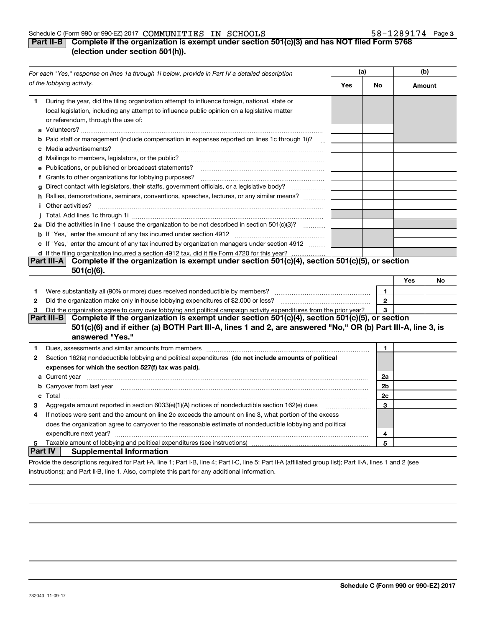#### Schedule C (Form 990 or 990-EZ) 2017  $\,$  COMMUNITIES IN  $\,$  SCHOOLS  $\,$   $\,$   $\,$   $\,$   $\,$  58  $-1289174$   $\,$  Page

# **3**

# **Part II-B Complete if the organization is exempt under section 501(c)(3) and has NOT filed Form 5768 (election under section 501(h)).**

|          | For each "Yes," response on lines 1a through 1i below, provide in Part IV a detailed description                                                                                                                                    |     |              | (b)    |    |
|----------|-------------------------------------------------------------------------------------------------------------------------------------------------------------------------------------------------------------------------------------|-----|--------------|--------|----|
|          | of the lobbying activity.                                                                                                                                                                                                           | Yes | No           | Amount |    |
| 1        | During the year, did the filing organization attempt to influence foreign, national, state or<br>local legislation, including any attempt to influence public opinion on a legislative matter<br>or referendum, through the use of: |     |              |        |    |
|          | b Paid staff or management (include compensation in expenses reported on lines 1c through 1i)?                                                                                                                                      |     |              |        |    |
|          |                                                                                                                                                                                                                                     |     |              |        |    |
|          | e Publications, or published or broadcast statements?                                                                                                                                                                               |     |              |        |    |
|          | f Grants to other organizations for lobbying purposes?                                                                                                                                                                              |     |              |        |    |
|          | g Direct contact with legislators, their staffs, government officials, or a legislative body?                                                                                                                                       |     |              |        |    |
|          | h Rallies, demonstrations, seminars, conventions, speeches, lectures, or any similar means?                                                                                                                                         |     |              |        |    |
|          | <i>i</i> Other activities?                                                                                                                                                                                                          |     |              |        |    |
|          |                                                                                                                                                                                                                                     |     |              |        |    |
|          | 2a Did the activities in line 1 cause the organization to be not described in section 501(c)(3)?                                                                                                                                    |     |              |        |    |
|          |                                                                                                                                                                                                                                     |     |              |        |    |
|          | c If "Yes," enter the amount of any tax incurred by organization managers under section 4912                                                                                                                                        |     |              |        |    |
|          | d If the filing organization incurred a section 4912 tax, did it file Form 4720 for this year?                                                                                                                                      |     |              |        |    |
|          | Complete if the organization is exempt under section 501(c)(4), section 501(c)(5), or section<br> Part III-A                                                                                                                        |     |              |        |    |
|          | $501(c)(6)$ .                                                                                                                                                                                                                       |     |              |        |    |
|          |                                                                                                                                                                                                                                     |     |              | Yes    | No |
| 1.       |                                                                                                                                                                                                                                     |     | 1            |        |    |
| 2        | Did the organization make only in-house lobbying expenditures of \$2,000 or less?                                                                                                                                                   |     | $\mathbf{2}$ |        |    |
| 3        | Did the organization agree to carry over lobbying and political campaign activity expenditures from the prior year?                                                                                                                 |     | 3            |        |    |
|          | Complete if the organization is exempt under section 501(c)(4), section 501(c)(5), or section<br>Part III-B                                                                                                                         |     |              |        |    |
|          | 501(c)(6) and if either (a) BOTH Part III-A, lines 1 and 2, are answered "No," OR (b) Part III-A, line 3, is                                                                                                                        |     |              |        |    |
|          | answered "Yes."                                                                                                                                                                                                                     |     |              |        |    |
| 1        | Dues, assessments and similar amounts from members [11] matter continuum matter assessments and similar amounts from members [11] matter continuum matter and similar amounts from members [11] matter and the state of the st      |     | 1            |        |    |
| 2        | Section 162(e) nondeductible lobbying and political expenditures (do not include amounts of political                                                                                                                               |     |              |        |    |
|          | expenses for which the section 527(f) tax was paid).                                                                                                                                                                                |     |              |        |    |
|          |                                                                                                                                                                                                                                     |     | 2a           |        |    |
|          | <b>b</b> Carryover from last year                                                                                                                                                                                                   |     | 2b           |        |    |
|          |                                                                                                                                                                                                                                     |     | 2c           |        |    |
| З        | Aggregate amount reported in section 6033(e)(1)(A) notices of nondeductible section 162(e) dues                                                                                                                                     |     | 3            |        |    |
| 4        | If notices were sent and the amount on line 2c exceeds the amount on line 3, what portion of the excess                                                                                                                             |     |              |        |    |
|          | does the organization agree to carryover to the reasonable estimate of nondeductible lobbying and political                                                                                                                         |     |              |        |    |
|          | expenditure next year?                                                                                                                                                                                                              |     | 4            |        |    |
| 5        | Taxable amount of lobbying and political expenditures (see instructions)                                                                                                                                                            |     | 5            |        |    |
| ∣Part IV | <b>Supplemental Information</b>                                                                                                                                                                                                     |     |              |        |    |
|          | Provide the descriptions required for Part I-A, line 1; Part I-B, line 4; Part I-C, line 5; Part II-A (affiliated group list); Part II-A, lines 1 and 2 (see                                                                        |     |              |        |    |

instructions); and Part II-B, line 1. Also, complete this part for any additional information.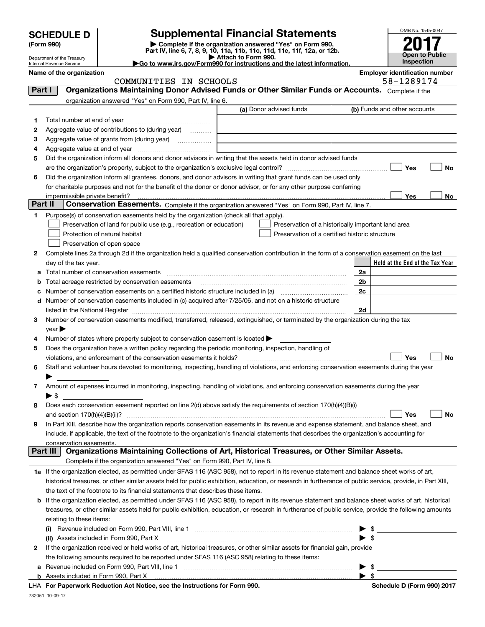|                                                                                                           | <b>SCHEDULE D</b>                   |                                                                                                        | <b>Supplemental Financial Statements</b>                                                                                                                   |  |                |    | OMB No. 1545-0047               |  |    |
|-----------------------------------------------------------------------------------------------------------|-------------------------------------|--------------------------------------------------------------------------------------------------------|------------------------------------------------------------------------------------------------------------------------------------------------------------|--|----------------|----|---------------------------------|--|----|
|                                                                                                           | (Form 990)                          |                                                                                                        | Complete if the organization answered "Yes" on Form 990,<br>Part IV, line 6, 7, 8, 9, 10, 11a, 11b, 11c, 11d, 11e, 11f, 12a, or 12b.                       |  |                |    |                                 |  |    |
|                                                                                                           | Department of the Treasury          |                                                                                                        | Attach to Form 990.                                                                                                                                        |  |                |    | <b>Open to Public</b>           |  |    |
|                                                                                                           | Internal Revenue Service            |                                                                                                        | Go to www.irs.gov/Form990 for instructions and the latest information.                                                                                     |  |                |    | Inspection                      |  |    |
| <b>Employer identification number</b><br>Name of the organization<br>58-1289174<br>COMMUNITIES IN SCHOOLS |                                     |                                                                                                        |                                                                                                                                                            |  |                |    |                                 |  |    |
| Part I                                                                                                    |                                     |                                                                                                        | Organizations Maintaining Donor Advised Funds or Other Similar Funds or Accounts. Complete if the                                                          |  |                |    |                                 |  |    |
|                                                                                                           |                                     | organization answered "Yes" on Form 990, Part IV, line 6.                                              |                                                                                                                                                            |  |                |    |                                 |  |    |
|                                                                                                           |                                     |                                                                                                        | (a) Donor advised funds                                                                                                                                    |  |                |    | (b) Funds and other accounts    |  |    |
| 1                                                                                                         |                                     |                                                                                                        |                                                                                                                                                            |  |                |    |                                 |  |    |
| 2                                                                                                         |                                     | Aggregate value of contributions to (during year)                                                      |                                                                                                                                                            |  |                |    |                                 |  |    |
| 3                                                                                                         |                                     | Aggregate value of grants from (during year)                                                           |                                                                                                                                                            |  |                |    |                                 |  |    |
| 4                                                                                                         | Aggregate value at end of year      |                                                                                                        |                                                                                                                                                            |  |                |    |                                 |  |    |
| 5                                                                                                         |                                     |                                                                                                        | Did the organization inform all donors and donor advisors in writing that the assets held in donor advised funds                                           |  |                |    |                                 |  |    |
|                                                                                                           |                                     |                                                                                                        |                                                                                                                                                            |  |                |    | Yes                             |  | No |
| 6                                                                                                         |                                     |                                                                                                        | Did the organization inform all grantees, donors, and donor advisors in writing that grant funds can be used only                                          |  |                |    |                                 |  |    |
|                                                                                                           |                                     |                                                                                                        | for charitable purposes and not for the benefit of the donor or donor advisor, or for any other purpose conferring                                         |  |                |    |                                 |  |    |
|                                                                                                           | impermissible private benefit?      |                                                                                                        |                                                                                                                                                            |  |                |    | Yes                             |  | No |
| Part II                                                                                                   |                                     |                                                                                                        | Conservation Easements. Complete if the organization answered "Yes" on Form 990, Part IV, line 7.                                                          |  |                |    |                                 |  |    |
| 1                                                                                                         |                                     | Purpose(s) of conservation easements held by the organization (check all that apply).                  |                                                                                                                                                            |  |                |    |                                 |  |    |
|                                                                                                           |                                     | Preservation of land for public use (e.g., recreation or education)                                    | Preservation of a historically important land area                                                                                                         |  |                |    |                                 |  |    |
|                                                                                                           |                                     | Protection of natural habitat                                                                          | Preservation of a certified historic structure                                                                                                             |  |                |    |                                 |  |    |
|                                                                                                           |                                     | Preservation of open space                                                                             |                                                                                                                                                            |  |                |    |                                 |  |    |
| 2                                                                                                         |                                     |                                                                                                        | Complete lines 2a through 2d if the organization held a qualified conservation contribution in the form of a conservation easement on the last             |  |                |    |                                 |  |    |
|                                                                                                           | day of the tax year.                |                                                                                                        |                                                                                                                                                            |  |                |    | Held at the End of the Tax Year |  |    |
| a                                                                                                         |                                     | Total number of conservation easements                                                                 |                                                                                                                                                            |  | 2a             |    |                                 |  |    |
|                                                                                                           |                                     | Total acreage restricted by conservation easements                                                     |                                                                                                                                                            |  | 2 <sub>b</sub> |    |                                 |  |    |
|                                                                                                           |                                     |                                                                                                        | Number of conservation easements on a certified historic structure included in (a) manufacture of conservation                                             |  | 2c             |    |                                 |  |    |
| d                                                                                                         |                                     |                                                                                                        | Number of conservation easements included in (c) acquired after 7/25/06, and not on a historic structure                                                   |  |                |    |                                 |  |    |
|                                                                                                           |                                     |                                                                                                        |                                                                                                                                                            |  | 2d             |    |                                 |  |    |
| 3                                                                                                         |                                     |                                                                                                        | Number of conservation easements modified, transferred, released, extinguished, or terminated by the organization during the tax                           |  |                |    |                                 |  |    |
|                                                                                                           | vear                                |                                                                                                        |                                                                                                                                                            |  |                |    |                                 |  |    |
| 4                                                                                                         |                                     | Number of states where property subject to conservation easement is located $\blacktriangleright$      |                                                                                                                                                            |  |                |    |                                 |  |    |
| 5                                                                                                         |                                     | Does the organization have a written policy regarding the periodic monitoring, inspection, handling of |                                                                                                                                                            |  |                |    |                                 |  |    |
|                                                                                                           |                                     | violations, and enforcement of the conservation easements it holds?                                    |                                                                                                                                                            |  |                |    | Yes                             |  | No |
|                                                                                                           |                                     |                                                                                                        | Staff and volunteer hours devoted to monitoring, inspecting, handling of violations, and enforcing conservation easements during the year                  |  |                |    |                                 |  |    |
|                                                                                                           |                                     |                                                                                                        |                                                                                                                                                            |  |                |    |                                 |  |    |
| 7                                                                                                         |                                     |                                                                                                        | Amount of expenses incurred in monitoring, inspecting, handling of violations, and enforcing conservation easements during the year                        |  |                |    |                                 |  |    |
|                                                                                                           | $\blacktriangleright$ \$            |                                                                                                        |                                                                                                                                                            |  |                |    |                                 |  |    |
| 8                                                                                                         |                                     |                                                                                                        | Does each conservation easement reported on line 2(d) above satisfy the requirements of section 170(h)(4)(B)(i)                                            |  |                |    |                                 |  |    |
|                                                                                                           | and section $170(h)(4)(B)(ii)?$     |                                                                                                        |                                                                                                                                                            |  |                |    | Yes                             |  | No |
| 9                                                                                                         |                                     |                                                                                                        | In Part XIII, describe how the organization reports conservation easements in its revenue and expense statement, and balance sheet, and                    |  |                |    |                                 |  |    |
|                                                                                                           |                                     |                                                                                                        | include, if applicable, the text of the footnote to the organization's financial statements that describes the organization's accounting for               |  |                |    |                                 |  |    |
|                                                                                                           | conservation easements.<br>Part III |                                                                                                        | Organizations Maintaining Collections of Art, Historical Treasures, or Other Similar Assets.                                                               |  |                |    |                                 |  |    |
|                                                                                                           |                                     |                                                                                                        |                                                                                                                                                            |  |                |    |                                 |  |    |
|                                                                                                           |                                     | Complete if the organization answered "Yes" on Form 990, Part IV, line 8.                              |                                                                                                                                                            |  |                |    |                                 |  |    |
|                                                                                                           |                                     |                                                                                                        | 1a If the organization elected, as permitted under SFAS 116 (ASC 958), not to report in its revenue statement and balance sheet works of art,              |  |                |    |                                 |  |    |
|                                                                                                           |                                     |                                                                                                        | historical treasures, or other similar assets held for public exhibition, education, or research in furtherance of public service, provide, in Part XIII,  |  |                |    |                                 |  |    |
|                                                                                                           |                                     | the text of the footnote to its financial statements that describes these items.                       |                                                                                                                                                            |  |                |    |                                 |  |    |
|                                                                                                           |                                     |                                                                                                        | <b>b</b> If the organization elected, as permitted under SFAS 116 (ASC 958), to report in its revenue statement and balance sheet works of art, historical |  |                |    |                                 |  |    |
|                                                                                                           |                                     |                                                                                                        | treasures, or other similar assets held for public exhibition, education, or research in furtherance of public service, provide the following amounts      |  |                |    |                                 |  |    |
|                                                                                                           | relating to these items:            |                                                                                                        |                                                                                                                                                            |  |                |    |                                 |  |    |
|                                                                                                           |                                     |                                                                                                        |                                                                                                                                                            |  |                | \$ |                                 |  |    |
|                                                                                                           |                                     | (ii) Assets included in Form 990, Part X                                                               |                                                                                                                                                            |  |                |    |                                 |  |    |

| 2 If the organization received or held works of art, historical treasures, or other similar assets for financial gain, provide |  |  |
|--------------------------------------------------------------------------------------------------------------------------------|--|--|
| the following amounts required to be reported under SFAS 116 (ASC 958) relating to these items:                                |  |  |

**a**Revenue included on Form 990, Part VIII, line 1 ~~~~~~~~~~~~~~~~~~~~~~~~~~~~~~

**For Paperwork Reduction Act Notice, see the Instructions for Form 990. Schedule D (Form 990) 2017** LHA

 $\blacktriangleright$  \$

 $\blacktriangleright$  \$

732051 10-09-17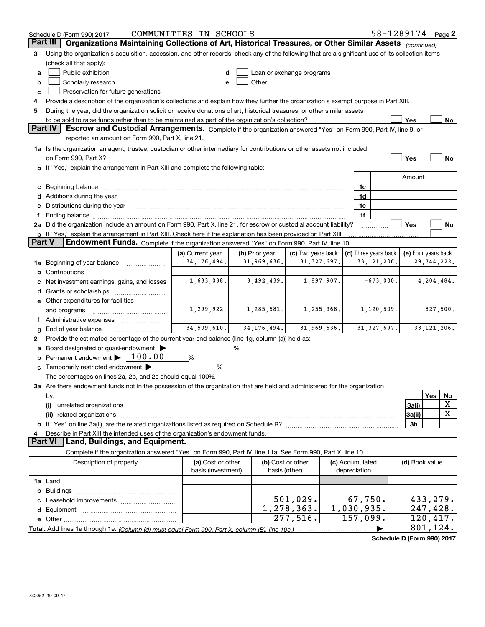| Part III<br>Organizations Maintaining Collections of Art, Historical Treasures, or Other Similar Assets (continued)<br>Using the organization's acquisition, accession, and other records, check any of the following that are a significant use of its collection items<br>3<br>(check all that apply):<br>Public exhibition<br>Loan or exchange programs<br>a<br>d<br>Other and the control of the control of the control of the control of the control of the control of the control of the control of the control of the control of the control of the control of the control of the control of th<br>Scholarly research<br>b<br>е<br>Preservation for future generations<br>c<br>Provide a description of the organization's collections and explain how they further the organization's exempt purpose in Part XIII.<br>During the year, did the organization solicit or receive donations of art, historical treasures, or other similar assets<br>5<br>to be sold to raise funds rather than to be maintained as part of the organization's collection?<br>Yes<br>No<br>Part IV<br>Escrow and Custodial Arrangements. Complete if the organization answered "Yes" on Form 990, Part IV, line 9, or<br>reported an amount on Form 990, Part X, line 21.<br>1a Is the organization an agent, trustee, custodian or other intermediary for contributions or other assets not included<br><b>No</b><br>Yes<br>on Form 990, Part X? [11] matter contracts and contracts and contracts are contracted as a function of the set of the set of the set of the set of the set of the set of the set of the set of the set of the set of the set o<br>b If "Yes," explain the arrangement in Part XIII and complete the following table:<br>Amount<br>c Beginning balance measurements and the contract of the contract of the contract of the contract of the contract of the contract of the contract of the contract of the contract of the contract of the contract of the contr<br>1c<br>d Additions during the year measurement contains and a final state of a final state of the state of the state of the state of the state of the state of the state of the state of the state of the state of the state of the s<br>1d<br>Distributions during the year manufactured and contain an account of the state of the state of the state of the state of the state of the state of the state of the state of the state of the state of the state of the state<br>1e<br>1f<br>2a Did the organization include an amount on Form 990, Part X, line 21, for escrow or custodial account liability?<br>Yes<br>No<br><b>b</b> If "Yes," explain the arrangement in Part XIII. Check here if the explanation has been provided on Part XIII<br><b>Part V</b><br>Endowment Funds. Complete if the organization answered "Yes" on Form 990, Part IV, line 10.<br>(b) Prior year<br>(c) Two years back<br>(d) Three years back<br>(e) Four years back<br>(a) Current year<br>34, 176, 494.<br>31,969,636.<br>31, 327, 697.<br>33, 121, 206.<br>29,744,222.<br>Beginning of year balance <i>mused in the sea</i> m of the search of the search of the search of the search of the search of the search of the search of the search of the search of the search of the search of the search of the s<br>1a<br>b<br>1,633,038.<br>3,492,439.<br>$-673,000.$<br>4,204,484.<br>1,897,907.<br>Net investment earnings, gains, and losses<br><b>d</b> Grants or scholarships<br>e Other expenditures for facilities<br>1,299,922.<br>1,285,581.<br>1,255,968.<br>1,120,509.<br>827,500.<br>and programs<br>Administrative expenses <i>manually communication</i><br>34,509,610.<br>34, 176, 494.<br>31,969,636.<br>31, 327, 697.<br>33, 121, 206.<br>End of year balance<br>g<br>Provide the estimated percentage of the current year end balance (line 1g, column (a)) held as:<br>2<br>Board designated or quasi-endowment ><br>%<br>а<br>Permanent endowment $\blacktriangleright$ 100.00<br>%<br>c Temporarily restricted endowment $\blacktriangleright$<br>%<br>The percentages on lines 2a, 2b, and 2c should equal 100%.<br>3a Are there endowment funds not in the possession of the organization that are held and administered for the organization<br>Yes<br>No<br>by:<br>х<br>3a(i)<br>(i)<br>x<br>3a(ii)<br>(ii)<br>3 <sub>b</sub><br>Describe in Part XIII the intended uses of the organization's endowment funds.<br><b>Part VI</b><br>Land, Buildings, and Equipment.<br>Complete if the organization answered "Yes" on Form 990, Part IV, line 11a. See Form 990, Part X, line 10.<br>(b) Cost or other<br>Description of property<br>(a) Cost or other<br>(c) Accumulated<br>(d) Book value<br>basis (investment)<br>depreciation<br>basis (other)<br>67,750.<br>501,029.<br>433,279.<br>$\overline{1,278,363}$ .<br>1,030,935.<br>247,428.<br>277,516.<br>157,099.<br>120,417.<br>$\overline{801}$ , 124. | Schedule D (Form 990) 2017 | COMMUNITIES IN SCHOOLS |  |  | 58-1289174 $_{Page}$ 2 |  |
|--------------------------------------------------------------------------------------------------------------------------------------------------------------------------------------------------------------------------------------------------------------------------------------------------------------------------------------------------------------------------------------------------------------------------------------------------------------------------------------------------------------------------------------------------------------------------------------------------------------------------------------------------------------------------------------------------------------------------------------------------------------------------------------------------------------------------------------------------------------------------------------------------------------------------------------------------------------------------------------------------------------------------------------------------------------------------------------------------------------------------------------------------------------------------------------------------------------------------------------------------------------------------------------------------------------------------------------------------------------------------------------------------------------------------------------------------------------------------------------------------------------------------------------------------------------------------------------------------------------------------------------------------------------------------------------------------------------------------------------------------------------------------------------------------------------------------------------------------------------------------------------------------------------------------------------------------------------------------------------------------------------------------------------------------------------------------------------------------------------------------------------------------------------------------------------------------------------------------------------------------------------------------------------------------------------------------------------------------------------------------------------------------------------------------------------------------------------------------------------------------------------------------------------------------------------------------------------------------------------------------------------------------------------------------------------------------------------------------------------------------------------------------------------------------------------------------------------------------------------------------------------------------------------------------------------------------------------------------------------------------------------------------------------------------------------------------------------------------------------------------------------------------------------------------------------------------------------------------------------------------------------------------------------------------------------------------------------------------------------------------------------------------------------------------------------------------------------------------------------------------------------------------------------------------------------------------------------------------------------------------------------------------------------------------------------------------------------------------------------------------------------------------------------------------------------------------------------------------------------------------------------------------------------------------------------------------------------------------------------------------------------------------------------------------------------------------------------------------------------------------------------------------------------------------------------------------------------------------------------------------------------------------------------------------------------------------------------------------------------------------------------------------------------------------------------------------------------------------------------------------------------------------------------------------------------------------------------------------------------------------------------------------------------------------------------------------------------------------------------------------------------------------------------------------------------------------------------------------------------------------------------------------------------------|----------------------------|------------------------|--|--|------------------------|--|
|                                                                                                                                                                                                                                                                                                                                                                                                                                                                                                                                                                                                                                                                                                                                                                                                                                                                                                                                                                                                                                                                                                                                                                                                                                                                                                                                                                                                                                                                                                                                                                                                                                                                                                                                                                                                                                                                                                                                                                                                                                                                                                                                                                                                                                                                                                                                                                                                                                                                                                                                                                                                                                                                                                                                                                                                                                                                                                                                                                                                                                                                                                                                                                                                                                                                                                                                                                                                                                                                                                                                                                                                                                                                                                                                                                                                                                                                                                                                                                                                                                                                                                                                                                                                                                                                                                                                                                                                                                                                                                                                                                                                                                                                                                                                                                                                                                                                                                                    |                            |                        |  |  |                        |  |
|                                                                                                                                                                                                                                                                                                                                                                                                                                                                                                                                                                                                                                                                                                                                                                                                                                                                                                                                                                                                                                                                                                                                                                                                                                                                                                                                                                                                                                                                                                                                                                                                                                                                                                                                                                                                                                                                                                                                                                                                                                                                                                                                                                                                                                                                                                                                                                                                                                                                                                                                                                                                                                                                                                                                                                                                                                                                                                                                                                                                                                                                                                                                                                                                                                                                                                                                                                                                                                                                                                                                                                                                                                                                                                                                                                                                                                                                                                                                                                                                                                                                                                                                                                                                                                                                                                                                                                                                                                                                                                                                                                                                                                                                                                                                                                                                                                                                                                                    |                            |                        |  |  |                        |  |
|                                                                                                                                                                                                                                                                                                                                                                                                                                                                                                                                                                                                                                                                                                                                                                                                                                                                                                                                                                                                                                                                                                                                                                                                                                                                                                                                                                                                                                                                                                                                                                                                                                                                                                                                                                                                                                                                                                                                                                                                                                                                                                                                                                                                                                                                                                                                                                                                                                                                                                                                                                                                                                                                                                                                                                                                                                                                                                                                                                                                                                                                                                                                                                                                                                                                                                                                                                                                                                                                                                                                                                                                                                                                                                                                                                                                                                                                                                                                                                                                                                                                                                                                                                                                                                                                                                                                                                                                                                                                                                                                                                                                                                                                                                                                                                                                                                                                                                                    |                            |                        |  |  |                        |  |
|                                                                                                                                                                                                                                                                                                                                                                                                                                                                                                                                                                                                                                                                                                                                                                                                                                                                                                                                                                                                                                                                                                                                                                                                                                                                                                                                                                                                                                                                                                                                                                                                                                                                                                                                                                                                                                                                                                                                                                                                                                                                                                                                                                                                                                                                                                                                                                                                                                                                                                                                                                                                                                                                                                                                                                                                                                                                                                                                                                                                                                                                                                                                                                                                                                                                                                                                                                                                                                                                                                                                                                                                                                                                                                                                                                                                                                                                                                                                                                                                                                                                                                                                                                                                                                                                                                                                                                                                                                                                                                                                                                                                                                                                                                                                                                                                                                                                                                                    |                            |                        |  |  |                        |  |
|                                                                                                                                                                                                                                                                                                                                                                                                                                                                                                                                                                                                                                                                                                                                                                                                                                                                                                                                                                                                                                                                                                                                                                                                                                                                                                                                                                                                                                                                                                                                                                                                                                                                                                                                                                                                                                                                                                                                                                                                                                                                                                                                                                                                                                                                                                                                                                                                                                                                                                                                                                                                                                                                                                                                                                                                                                                                                                                                                                                                                                                                                                                                                                                                                                                                                                                                                                                                                                                                                                                                                                                                                                                                                                                                                                                                                                                                                                                                                                                                                                                                                                                                                                                                                                                                                                                                                                                                                                                                                                                                                                                                                                                                                                                                                                                                                                                                                                                    |                            |                        |  |  |                        |  |
|                                                                                                                                                                                                                                                                                                                                                                                                                                                                                                                                                                                                                                                                                                                                                                                                                                                                                                                                                                                                                                                                                                                                                                                                                                                                                                                                                                                                                                                                                                                                                                                                                                                                                                                                                                                                                                                                                                                                                                                                                                                                                                                                                                                                                                                                                                                                                                                                                                                                                                                                                                                                                                                                                                                                                                                                                                                                                                                                                                                                                                                                                                                                                                                                                                                                                                                                                                                                                                                                                                                                                                                                                                                                                                                                                                                                                                                                                                                                                                                                                                                                                                                                                                                                                                                                                                                                                                                                                                                                                                                                                                                                                                                                                                                                                                                                                                                                                                                    |                            |                        |  |  |                        |  |
|                                                                                                                                                                                                                                                                                                                                                                                                                                                                                                                                                                                                                                                                                                                                                                                                                                                                                                                                                                                                                                                                                                                                                                                                                                                                                                                                                                                                                                                                                                                                                                                                                                                                                                                                                                                                                                                                                                                                                                                                                                                                                                                                                                                                                                                                                                                                                                                                                                                                                                                                                                                                                                                                                                                                                                                                                                                                                                                                                                                                                                                                                                                                                                                                                                                                                                                                                                                                                                                                                                                                                                                                                                                                                                                                                                                                                                                                                                                                                                                                                                                                                                                                                                                                                                                                                                                                                                                                                                                                                                                                                                                                                                                                                                                                                                                                                                                                                                                    |                            |                        |  |  |                        |  |
|                                                                                                                                                                                                                                                                                                                                                                                                                                                                                                                                                                                                                                                                                                                                                                                                                                                                                                                                                                                                                                                                                                                                                                                                                                                                                                                                                                                                                                                                                                                                                                                                                                                                                                                                                                                                                                                                                                                                                                                                                                                                                                                                                                                                                                                                                                                                                                                                                                                                                                                                                                                                                                                                                                                                                                                                                                                                                                                                                                                                                                                                                                                                                                                                                                                                                                                                                                                                                                                                                                                                                                                                                                                                                                                                                                                                                                                                                                                                                                                                                                                                                                                                                                                                                                                                                                                                                                                                                                                                                                                                                                                                                                                                                                                                                                                                                                                                                                                    |                            |                        |  |  |                        |  |
|                                                                                                                                                                                                                                                                                                                                                                                                                                                                                                                                                                                                                                                                                                                                                                                                                                                                                                                                                                                                                                                                                                                                                                                                                                                                                                                                                                                                                                                                                                                                                                                                                                                                                                                                                                                                                                                                                                                                                                                                                                                                                                                                                                                                                                                                                                                                                                                                                                                                                                                                                                                                                                                                                                                                                                                                                                                                                                                                                                                                                                                                                                                                                                                                                                                                                                                                                                                                                                                                                                                                                                                                                                                                                                                                                                                                                                                                                                                                                                                                                                                                                                                                                                                                                                                                                                                                                                                                                                                                                                                                                                                                                                                                                                                                                                                                                                                                                                                    |                            |                        |  |  |                        |  |
|                                                                                                                                                                                                                                                                                                                                                                                                                                                                                                                                                                                                                                                                                                                                                                                                                                                                                                                                                                                                                                                                                                                                                                                                                                                                                                                                                                                                                                                                                                                                                                                                                                                                                                                                                                                                                                                                                                                                                                                                                                                                                                                                                                                                                                                                                                                                                                                                                                                                                                                                                                                                                                                                                                                                                                                                                                                                                                                                                                                                                                                                                                                                                                                                                                                                                                                                                                                                                                                                                                                                                                                                                                                                                                                                                                                                                                                                                                                                                                                                                                                                                                                                                                                                                                                                                                                                                                                                                                                                                                                                                                                                                                                                                                                                                                                                                                                                                                                    |                            |                        |  |  |                        |  |
|                                                                                                                                                                                                                                                                                                                                                                                                                                                                                                                                                                                                                                                                                                                                                                                                                                                                                                                                                                                                                                                                                                                                                                                                                                                                                                                                                                                                                                                                                                                                                                                                                                                                                                                                                                                                                                                                                                                                                                                                                                                                                                                                                                                                                                                                                                                                                                                                                                                                                                                                                                                                                                                                                                                                                                                                                                                                                                                                                                                                                                                                                                                                                                                                                                                                                                                                                                                                                                                                                                                                                                                                                                                                                                                                                                                                                                                                                                                                                                                                                                                                                                                                                                                                                                                                                                                                                                                                                                                                                                                                                                                                                                                                                                                                                                                                                                                                                                                    |                            |                        |  |  |                        |  |
|                                                                                                                                                                                                                                                                                                                                                                                                                                                                                                                                                                                                                                                                                                                                                                                                                                                                                                                                                                                                                                                                                                                                                                                                                                                                                                                                                                                                                                                                                                                                                                                                                                                                                                                                                                                                                                                                                                                                                                                                                                                                                                                                                                                                                                                                                                                                                                                                                                                                                                                                                                                                                                                                                                                                                                                                                                                                                                                                                                                                                                                                                                                                                                                                                                                                                                                                                                                                                                                                                                                                                                                                                                                                                                                                                                                                                                                                                                                                                                                                                                                                                                                                                                                                                                                                                                                                                                                                                                                                                                                                                                                                                                                                                                                                                                                                                                                                                                                    |                            |                        |  |  |                        |  |
|                                                                                                                                                                                                                                                                                                                                                                                                                                                                                                                                                                                                                                                                                                                                                                                                                                                                                                                                                                                                                                                                                                                                                                                                                                                                                                                                                                                                                                                                                                                                                                                                                                                                                                                                                                                                                                                                                                                                                                                                                                                                                                                                                                                                                                                                                                                                                                                                                                                                                                                                                                                                                                                                                                                                                                                                                                                                                                                                                                                                                                                                                                                                                                                                                                                                                                                                                                                                                                                                                                                                                                                                                                                                                                                                                                                                                                                                                                                                                                                                                                                                                                                                                                                                                                                                                                                                                                                                                                                                                                                                                                                                                                                                                                                                                                                                                                                                                                                    |                            |                        |  |  |                        |  |
|                                                                                                                                                                                                                                                                                                                                                                                                                                                                                                                                                                                                                                                                                                                                                                                                                                                                                                                                                                                                                                                                                                                                                                                                                                                                                                                                                                                                                                                                                                                                                                                                                                                                                                                                                                                                                                                                                                                                                                                                                                                                                                                                                                                                                                                                                                                                                                                                                                                                                                                                                                                                                                                                                                                                                                                                                                                                                                                                                                                                                                                                                                                                                                                                                                                                                                                                                                                                                                                                                                                                                                                                                                                                                                                                                                                                                                                                                                                                                                                                                                                                                                                                                                                                                                                                                                                                                                                                                                                                                                                                                                                                                                                                                                                                                                                                                                                                                                                    |                            |                        |  |  |                        |  |
|                                                                                                                                                                                                                                                                                                                                                                                                                                                                                                                                                                                                                                                                                                                                                                                                                                                                                                                                                                                                                                                                                                                                                                                                                                                                                                                                                                                                                                                                                                                                                                                                                                                                                                                                                                                                                                                                                                                                                                                                                                                                                                                                                                                                                                                                                                                                                                                                                                                                                                                                                                                                                                                                                                                                                                                                                                                                                                                                                                                                                                                                                                                                                                                                                                                                                                                                                                                                                                                                                                                                                                                                                                                                                                                                                                                                                                                                                                                                                                                                                                                                                                                                                                                                                                                                                                                                                                                                                                                                                                                                                                                                                                                                                                                                                                                                                                                                                                                    |                            |                        |  |  |                        |  |
|                                                                                                                                                                                                                                                                                                                                                                                                                                                                                                                                                                                                                                                                                                                                                                                                                                                                                                                                                                                                                                                                                                                                                                                                                                                                                                                                                                                                                                                                                                                                                                                                                                                                                                                                                                                                                                                                                                                                                                                                                                                                                                                                                                                                                                                                                                                                                                                                                                                                                                                                                                                                                                                                                                                                                                                                                                                                                                                                                                                                                                                                                                                                                                                                                                                                                                                                                                                                                                                                                                                                                                                                                                                                                                                                                                                                                                                                                                                                                                                                                                                                                                                                                                                                                                                                                                                                                                                                                                                                                                                                                                                                                                                                                                                                                                                                                                                                                                                    |                            |                        |  |  |                        |  |
|                                                                                                                                                                                                                                                                                                                                                                                                                                                                                                                                                                                                                                                                                                                                                                                                                                                                                                                                                                                                                                                                                                                                                                                                                                                                                                                                                                                                                                                                                                                                                                                                                                                                                                                                                                                                                                                                                                                                                                                                                                                                                                                                                                                                                                                                                                                                                                                                                                                                                                                                                                                                                                                                                                                                                                                                                                                                                                                                                                                                                                                                                                                                                                                                                                                                                                                                                                                                                                                                                                                                                                                                                                                                                                                                                                                                                                                                                                                                                                                                                                                                                                                                                                                                                                                                                                                                                                                                                                                                                                                                                                                                                                                                                                                                                                                                                                                                                                                    |                            |                        |  |  |                        |  |
|                                                                                                                                                                                                                                                                                                                                                                                                                                                                                                                                                                                                                                                                                                                                                                                                                                                                                                                                                                                                                                                                                                                                                                                                                                                                                                                                                                                                                                                                                                                                                                                                                                                                                                                                                                                                                                                                                                                                                                                                                                                                                                                                                                                                                                                                                                                                                                                                                                                                                                                                                                                                                                                                                                                                                                                                                                                                                                                                                                                                                                                                                                                                                                                                                                                                                                                                                                                                                                                                                                                                                                                                                                                                                                                                                                                                                                                                                                                                                                                                                                                                                                                                                                                                                                                                                                                                                                                                                                                                                                                                                                                                                                                                                                                                                                                                                                                                                                                    |                            |                        |  |  |                        |  |
|                                                                                                                                                                                                                                                                                                                                                                                                                                                                                                                                                                                                                                                                                                                                                                                                                                                                                                                                                                                                                                                                                                                                                                                                                                                                                                                                                                                                                                                                                                                                                                                                                                                                                                                                                                                                                                                                                                                                                                                                                                                                                                                                                                                                                                                                                                                                                                                                                                                                                                                                                                                                                                                                                                                                                                                                                                                                                                                                                                                                                                                                                                                                                                                                                                                                                                                                                                                                                                                                                                                                                                                                                                                                                                                                                                                                                                                                                                                                                                                                                                                                                                                                                                                                                                                                                                                                                                                                                                                                                                                                                                                                                                                                                                                                                                                                                                                                                                                    |                            |                        |  |  |                        |  |
|                                                                                                                                                                                                                                                                                                                                                                                                                                                                                                                                                                                                                                                                                                                                                                                                                                                                                                                                                                                                                                                                                                                                                                                                                                                                                                                                                                                                                                                                                                                                                                                                                                                                                                                                                                                                                                                                                                                                                                                                                                                                                                                                                                                                                                                                                                                                                                                                                                                                                                                                                                                                                                                                                                                                                                                                                                                                                                                                                                                                                                                                                                                                                                                                                                                                                                                                                                                                                                                                                                                                                                                                                                                                                                                                                                                                                                                                                                                                                                                                                                                                                                                                                                                                                                                                                                                                                                                                                                                                                                                                                                                                                                                                                                                                                                                                                                                                                                                    |                            |                        |  |  |                        |  |
|                                                                                                                                                                                                                                                                                                                                                                                                                                                                                                                                                                                                                                                                                                                                                                                                                                                                                                                                                                                                                                                                                                                                                                                                                                                                                                                                                                                                                                                                                                                                                                                                                                                                                                                                                                                                                                                                                                                                                                                                                                                                                                                                                                                                                                                                                                                                                                                                                                                                                                                                                                                                                                                                                                                                                                                                                                                                                                                                                                                                                                                                                                                                                                                                                                                                                                                                                                                                                                                                                                                                                                                                                                                                                                                                                                                                                                                                                                                                                                                                                                                                                                                                                                                                                                                                                                                                                                                                                                                                                                                                                                                                                                                                                                                                                                                                                                                                                                                    |                            |                        |  |  |                        |  |
|                                                                                                                                                                                                                                                                                                                                                                                                                                                                                                                                                                                                                                                                                                                                                                                                                                                                                                                                                                                                                                                                                                                                                                                                                                                                                                                                                                                                                                                                                                                                                                                                                                                                                                                                                                                                                                                                                                                                                                                                                                                                                                                                                                                                                                                                                                                                                                                                                                                                                                                                                                                                                                                                                                                                                                                                                                                                                                                                                                                                                                                                                                                                                                                                                                                                                                                                                                                                                                                                                                                                                                                                                                                                                                                                                                                                                                                                                                                                                                                                                                                                                                                                                                                                                                                                                                                                                                                                                                                                                                                                                                                                                                                                                                                                                                                                                                                                                                                    |                            |                        |  |  |                        |  |
|                                                                                                                                                                                                                                                                                                                                                                                                                                                                                                                                                                                                                                                                                                                                                                                                                                                                                                                                                                                                                                                                                                                                                                                                                                                                                                                                                                                                                                                                                                                                                                                                                                                                                                                                                                                                                                                                                                                                                                                                                                                                                                                                                                                                                                                                                                                                                                                                                                                                                                                                                                                                                                                                                                                                                                                                                                                                                                                                                                                                                                                                                                                                                                                                                                                                                                                                                                                                                                                                                                                                                                                                                                                                                                                                                                                                                                                                                                                                                                                                                                                                                                                                                                                                                                                                                                                                                                                                                                                                                                                                                                                                                                                                                                                                                                                                                                                                                                                    |                            |                        |  |  |                        |  |
|                                                                                                                                                                                                                                                                                                                                                                                                                                                                                                                                                                                                                                                                                                                                                                                                                                                                                                                                                                                                                                                                                                                                                                                                                                                                                                                                                                                                                                                                                                                                                                                                                                                                                                                                                                                                                                                                                                                                                                                                                                                                                                                                                                                                                                                                                                                                                                                                                                                                                                                                                                                                                                                                                                                                                                                                                                                                                                                                                                                                                                                                                                                                                                                                                                                                                                                                                                                                                                                                                                                                                                                                                                                                                                                                                                                                                                                                                                                                                                                                                                                                                                                                                                                                                                                                                                                                                                                                                                                                                                                                                                                                                                                                                                                                                                                                                                                                                                                    |                            |                        |  |  |                        |  |
|                                                                                                                                                                                                                                                                                                                                                                                                                                                                                                                                                                                                                                                                                                                                                                                                                                                                                                                                                                                                                                                                                                                                                                                                                                                                                                                                                                                                                                                                                                                                                                                                                                                                                                                                                                                                                                                                                                                                                                                                                                                                                                                                                                                                                                                                                                                                                                                                                                                                                                                                                                                                                                                                                                                                                                                                                                                                                                                                                                                                                                                                                                                                                                                                                                                                                                                                                                                                                                                                                                                                                                                                                                                                                                                                                                                                                                                                                                                                                                                                                                                                                                                                                                                                                                                                                                                                                                                                                                                                                                                                                                                                                                                                                                                                                                                                                                                                                                                    |                            |                        |  |  |                        |  |
|                                                                                                                                                                                                                                                                                                                                                                                                                                                                                                                                                                                                                                                                                                                                                                                                                                                                                                                                                                                                                                                                                                                                                                                                                                                                                                                                                                                                                                                                                                                                                                                                                                                                                                                                                                                                                                                                                                                                                                                                                                                                                                                                                                                                                                                                                                                                                                                                                                                                                                                                                                                                                                                                                                                                                                                                                                                                                                                                                                                                                                                                                                                                                                                                                                                                                                                                                                                                                                                                                                                                                                                                                                                                                                                                                                                                                                                                                                                                                                                                                                                                                                                                                                                                                                                                                                                                                                                                                                                                                                                                                                                                                                                                                                                                                                                                                                                                                                                    |                            |                        |  |  |                        |  |
|                                                                                                                                                                                                                                                                                                                                                                                                                                                                                                                                                                                                                                                                                                                                                                                                                                                                                                                                                                                                                                                                                                                                                                                                                                                                                                                                                                                                                                                                                                                                                                                                                                                                                                                                                                                                                                                                                                                                                                                                                                                                                                                                                                                                                                                                                                                                                                                                                                                                                                                                                                                                                                                                                                                                                                                                                                                                                                                                                                                                                                                                                                                                                                                                                                                                                                                                                                                                                                                                                                                                                                                                                                                                                                                                                                                                                                                                                                                                                                                                                                                                                                                                                                                                                                                                                                                                                                                                                                                                                                                                                                                                                                                                                                                                                                                                                                                                                                                    |                            |                        |  |  |                        |  |
|                                                                                                                                                                                                                                                                                                                                                                                                                                                                                                                                                                                                                                                                                                                                                                                                                                                                                                                                                                                                                                                                                                                                                                                                                                                                                                                                                                                                                                                                                                                                                                                                                                                                                                                                                                                                                                                                                                                                                                                                                                                                                                                                                                                                                                                                                                                                                                                                                                                                                                                                                                                                                                                                                                                                                                                                                                                                                                                                                                                                                                                                                                                                                                                                                                                                                                                                                                                                                                                                                                                                                                                                                                                                                                                                                                                                                                                                                                                                                                                                                                                                                                                                                                                                                                                                                                                                                                                                                                                                                                                                                                                                                                                                                                                                                                                                                                                                                                                    |                            |                        |  |  |                        |  |
|                                                                                                                                                                                                                                                                                                                                                                                                                                                                                                                                                                                                                                                                                                                                                                                                                                                                                                                                                                                                                                                                                                                                                                                                                                                                                                                                                                                                                                                                                                                                                                                                                                                                                                                                                                                                                                                                                                                                                                                                                                                                                                                                                                                                                                                                                                                                                                                                                                                                                                                                                                                                                                                                                                                                                                                                                                                                                                                                                                                                                                                                                                                                                                                                                                                                                                                                                                                                                                                                                                                                                                                                                                                                                                                                                                                                                                                                                                                                                                                                                                                                                                                                                                                                                                                                                                                                                                                                                                                                                                                                                                                                                                                                                                                                                                                                                                                                                                                    |                            |                        |  |  |                        |  |
|                                                                                                                                                                                                                                                                                                                                                                                                                                                                                                                                                                                                                                                                                                                                                                                                                                                                                                                                                                                                                                                                                                                                                                                                                                                                                                                                                                                                                                                                                                                                                                                                                                                                                                                                                                                                                                                                                                                                                                                                                                                                                                                                                                                                                                                                                                                                                                                                                                                                                                                                                                                                                                                                                                                                                                                                                                                                                                                                                                                                                                                                                                                                                                                                                                                                                                                                                                                                                                                                                                                                                                                                                                                                                                                                                                                                                                                                                                                                                                                                                                                                                                                                                                                                                                                                                                                                                                                                                                                                                                                                                                                                                                                                                                                                                                                                                                                                                                                    |                            |                        |  |  |                        |  |
|                                                                                                                                                                                                                                                                                                                                                                                                                                                                                                                                                                                                                                                                                                                                                                                                                                                                                                                                                                                                                                                                                                                                                                                                                                                                                                                                                                                                                                                                                                                                                                                                                                                                                                                                                                                                                                                                                                                                                                                                                                                                                                                                                                                                                                                                                                                                                                                                                                                                                                                                                                                                                                                                                                                                                                                                                                                                                                                                                                                                                                                                                                                                                                                                                                                                                                                                                                                                                                                                                                                                                                                                                                                                                                                                                                                                                                                                                                                                                                                                                                                                                                                                                                                                                                                                                                                                                                                                                                                                                                                                                                                                                                                                                                                                                                                                                                                                                                                    |                            |                        |  |  |                        |  |
|                                                                                                                                                                                                                                                                                                                                                                                                                                                                                                                                                                                                                                                                                                                                                                                                                                                                                                                                                                                                                                                                                                                                                                                                                                                                                                                                                                                                                                                                                                                                                                                                                                                                                                                                                                                                                                                                                                                                                                                                                                                                                                                                                                                                                                                                                                                                                                                                                                                                                                                                                                                                                                                                                                                                                                                                                                                                                                                                                                                                                                                                                                                                                                                                                                                                                                                                                                                                                                                                                                                                                                                                                                                                                                                                                                                                                                                                                                                                                                                                                                                                                                                                                                                                                                                                                                                                                                                                                                                                                                                                                                                                                                                                                                                                                                                                                                                                                                                    |                            |                        |  |  |                        |  |
|                                                                                                                                                                                                                                                                                                                                                                                                                                                                                                                                                                                                                                                                                                                                                                                                                                                                                                                                                                                                                                                                                                                                                                                                                                                                                                                                                                                                                                                                                                                                                                                                                                                                                                                                                                                                                                                                                                                                                                                                                                                                                                                                                                                                                                                                                                                                                                                                                                                                                                                                                                                                                                                                                                                                                                                                                                                                                                                                                                                                                                                                                                                                                                                                                                                                                                                                                                                                                                                                                                                                                                                                                                                                                                                                                                                                                                                                                                                                                                                                                                                                                                                                                                                                                                                                                                                                                                                                                                                                                                                                                                                                                                                                                                                                                                                                                                                                                                                    |                            |                        |  |  |                        |  |
|                                                                                                                                                                                                                                                                                                                                                                                                                                                                                                                                                                                                                                                                                                                                                                                                                                                                                                                                                                                                                                                                                                                                                                                                                                                                                                                                                                                                                                                                                                                                                                                                                                                                                                                                                                                                                                                                                                                                                                                                                                                                                                                                                                                                                                                                                                                                                                                                                                                                                                                                                                                                                                                                                                                                                                                                                                                                                                                                                                                                                                                                                                                                                                                                                                                                                                                                                                                                                                                                                                                                                                                                                                                                                                                                                                                                                                                                                                                                                                                                                                                                                                                                                                                                                                                                                                                                                                                                                                                                                                                                                                                                                                                                                                                                                                                                                                                                                                                    |                            |                        |  |  |                        |  |
|                                                                                                                                                                                                                                                                                                                                                                                                                                                                                                                                                                                                                                                                                                                                                                                                                                                                                                                                                                                                                                                                                                                                                                                                                                                                                                                                                                                                                                                                                                                                                                                                                                                                                                                                                                                                                                                                                                                                                                                                                                                                                                                                                                                                                                                                                                                                                                                                                                                                                                                                                                                                                                                                                                                                                                                                                                                                                                                                                                                                                                                                                                                                                                                                                                                                                                                                                                                                                                                                                                                                                                                                                                                                                                                                                                                                                                                                                                                                                                                                                                                                                                                                                                                                                                                                                                                                                                                                                                                                                                                                                                                                                                                                                                                                                                                                                                                                                                                    |                            |                        |  |  |                        |  |
|                                                                                                                                                                                                                                                                                                                                                                                                                                                                                                                                                                                                                                                                                                                                                                                                                                                                                                                                                                                                                                                                                                                                                                                                                                                                                                                                                                                                                                                                                                                                                                                                                                                                                                                                                                                                                                                                                                                                                                                                                                                                                                                                                                                                                                                                                                                                                                                                                                                                                                                                                                                                                                                                                                                                                                                                                                                                                                                                                                                                                                                                                                                                                                                                                                                                                                                                                                                                                                                                                                                                                                                                                                                                                                                                                                                                                                                                                                                                                                                                                                                                                                                                                                                                                                                                                                                                                                                                                                                                                                                                                                                                                                                                                                                                                                                                                                                                                                                    |                            |                        |  |  |                        |  |
|                                                                                                                                                                                                                                                                                                                                                                                                                                                                                                                                                                                                                                                                                                                                                                                                                                                                                                                                                                                                                                                                                                                                                                                                                                                                                                                                                                                                                                                                                                                                                                                                                                                                                                                                                                                                                                                                                                                                                                                                                                                                                                                                                                                                                                                                                                                                                                                                                                                                                                                                                                                                                                                                                                                                                                                                                                                                                                                                                                                                                                                                                                                                                                                                                                                                                                                                                                                                                                                                                                                                                                                                                                                                                                                                                                                                                                                                                                                                                                                                                                                                                                                                                                                                                                                                                                                                                                                                                                                                                                                                                                                                                                                                                                                                                                                                                                                                                                                    |                            |                        |  |  |                        |  |
|                                                                                                                                                                                                                                                                                                                                                                                                                                                                                                                                                                                                                                                                                                                                                                                                                                                                                                                                                                                                                                                                                                                                                                                                                                                                                                                                                                                                                                                                                                                                                                                                                                                                                                                                                                                                                                                                                                                                                                                                                                                                                                                                                                                                                                                                                                                                                                                                                                                                                                                                                                                                                                                                                                                                                                                                                                                                                                                                                                                                                                                                                                                                                                                                                                                                                                                                                                                                                                                                                                                                                                                                                                                                                                                                                                                                                                                                                                                                                                                                                                                                                                                                                                                                                                                                                                                                                                                                                                                                                                                                                                                                                                                                                                                                                                                                                                                                                                                    |                            |                        |  |  |                        |  |
|                                                                                                                                                                                                                                                                                                                                                                                                                                                                                                                                                                                                                                                                                                                                                                                                                                                                                                                                                                                                                                                                                                                                                                                                                                                                                                                                                                                                                                                                                                                                                                                                                                                                                                                                                                                                                                                                                                                                                                                                                                                                                                                                                                                                                                                                                                                                                                                                                                                                                                                                                                                                                                                                                                                                                                                                                                                                                                                                                                                                                                                                                                                                                                                                                                                                                                                                                                                                                                                                                                                                                                                                                                                                                                                                                                                                                                                                                                                                                                                                                                                                                                                                                                                                                                                                                                                                                                                                                                                                                                                                                                                                                                                                                                                                                                                                                                                                                                                    |                            |                        |  |  |                        |  |
|                                                                                                                                                                                                                                                                                                                                                                                                                                                                                                                                                                                                                                                                                                                                                                                                                                                                                                                                                                                                                                                                                                                                                                                                                                                                                                                                                                                                                                                                                                                                                                                                                                                                                                                                                                                                                                                                                                                                                                                                                                                                                                                                                                                                                                                                                                                                                                                                                                                                                                                                                                                                                                                                                                                                                                                                                                                                                                                                                                                                                                                                                                                                                                                                                                                                                                                                                                                                                                                                                                                                                                                                                                                                                                                                                                                                                                                                                                                                                                                                                                                                                                                                                                                                                                                                                                                                                                                                                                                                                                                                                                                                                                                                                                                                                                                                                                                                                                                    |                            |                        |  |  |                        |  |
|                                                                                                                                                                                                                                                                                                                                                                                                                                                                                                                                                                                                                                                                                                                                                                                                                                                                                                                                                                                                                                                                                                                                                                                                                                                                                                                                                                                                                                                                                                                                                                                                                                                                                                                                                                                                                                                                                                                                                                                                                                                                                                                                                                                                                                                                                                                                                                                                                                                                                                                                                                                                                                                                                                                                                                                                                                                                                                                                                                                                                                                                                                                                                                                                                                                                                                                                                                                                                                                                                                                                                                                                                                                                                                                                                                                                                                                                                                                                                                                                                                                                                                                                                                                                                                                                                                                                                                                                                                                                                                                                                                                                                                                                                                                                                                                                                                                                                                                    |                            |                        |  |  |                        |  |
|                                                                                                                                                                                                                                                                                                                                                                                                                                                                                                                                                                                                                                                                                                                                                                                                                                                                                                                                                                                                                                                                                                                                                                                                                                                                                                                                                                                                                                                                                                                                                                                                                                                                                                                                                                                                                                                                                                                                                                                                                                                                                                                                                                                                                                                                                                                                                                                                                                                                                                                                                                                                                                                                                                                                                                                                                                                                                                                                                                                                                                                                                                                                                                                                                                                                                                                                                                                                                                                                                                                                                                                                                                                                                                                                                                                                                                                                                                                                                                                                                                                                                                                                                                                                                                                                                                                                                                                                                                                                                                                                                                                                                                                                                                                                                                                                                                                                                                                    |                            |                        |  |  |                        |  |
|                                                                                                                                                                                                                                                                                                                                                                                                                                                                                                                                                                                                                                                                                                                                                                                                                                                                                                                                                                                                                                                                                                                                                                                                                                                                                                                                                                                                                                                                                                                                                                                                                                                                                                                                                                                                                                                                                                                                                                                                                                                                                                                                                                                                                                                                                                                                                                                                                                                                                                                                                                                                                                                                                                                                                                                                                                                                                                                                                                                                                                                                                                                                                                                                                                                                                                                                                                                                                                                                                                                                                                                                                                                                                                                                                                                                                                                                                                                                                                                                                                                                                                                                                                                                                                                                                                                                                                                                                                                                                                                                                                                                                                                                                                                                                                                                                                                                                                                    |                            |                        |  |  |                        |  |
|                                                                                                                                                                                                                                                                                                                                                                                                                                                                                                                                                                                                                                                                                                                                                                                                                                                                                                                                                                                                                                                                                                                                                                                                                                                                                                                                                                                                                                                                                                                                                                                                                                                                                                                                                                                                                                                                                                                                                                                                                                                                                                                                                                                                                                                                                                                                                                                                                                                                                                                                                                                                                                                                                                                                                                                                                                                                                                                                                                                                                                                                                                                                                                                                                                                                                                                                                                                                                                                                                                                                                                                                                                                                                                                                                                                                                                                                                                                                                                                                                                                                                                                                                                                                                                                                                                                                                                                                                                                                                                                                                                                                                                                                                                                                                                                                                                                                                                                    |                            |                        |  |  |                        |  |
|                                                                                                                                                                                                                                                                                                                                                                                                                                                                                                                                                                                                                                                                                                                                                                                                                                                                                                                                                                                                                                                                                                                                                                                                                                                                                                                                                                                                                                                                                                                                                                                                                                                                                                                                                                                                                                                                                                                                                                                                                                                                                                                                                                                                                                                                                                                                                                                                                                                                                                                                                                                                                                                                                                                                                                                                                                                                                                                                                                                                                                                                                                                                                                                                                                                                                                                                                                                                                                                                                                                                                                                                                                                                                                                                                                                                                                                                                                                                                                                                                                                                                                                                                                                                                                                                                                                                                                                                                                                                                                                                                                                                                                                                                                                                                                                                                                                                                                                    |                            |                        |  |  |                        |  |
|                                                                                                                                                                                                                                                                                                                                                                                                                                                                                                                                                                                                                                                                                                                                                                                                                                                                                                                                                                                                                                                                                                                                                                                                                                                                                                                                                                                                                                                                                                                                                                                                                                                                                                                                                                                                                                                                                                                                                                                                                                                                                                                                                                                                                                                                                                                                                                                                                                                                                                                                                                                                                                                                                                                                                                                                                                                                                                                                                                                                                                                                                                                                                                                                                                                                                                                                                                                                                                                                                                                                                                                                                                                                                                                                                                                                                                                                                                                                                                                                                                                                                                                                                                                                                                                                                                                                                                                                                                                                                                                                                                                                                                                                                                                                                                                                                                                                                                                    |                            |                        |  |  |                        |  |
|                                                                                                                                                                                                                                                                                                                                                                                                                                                                                                                                                                                                                                                                                                                                                                                                                                                                                                                                                                                                                                                                                                                                                                                                                                                                                                                                                                                                                                                                                                                                                                                                                                                                                                                                                                                                                                                                                                                                                                                                                                                                                                                                                                                                                                                                                                                                                                                                                                                                                                                                                                                                                                                                                                                                                                                                                                                                                                                                                                                                                                                                                                                                                                                                                                                                                                                                                                                                                                                                                                                                                                                                                                                                                                                                                                                                                                                                                                                                                                                                                                                                                                                                                                                                                                                                                                                                                                                                                                                                                                                                                                                                                                                                                                                                                                                                                                                                                                                    |                            |                        |  |  |                        |  |
|                                                                                                                                                                                                                                                                                                                                                                                                                                                                                                                                                                                                                                                                                                                                                                                                                                                                                                                                                                                                                                                                                                                                                                                                                                                                                                                                                                                                                                                                                                                                                                                                                                                                                                                                                                                                                                                                                                                                                                                                                                                                                                                                                                                                                                                                                                                                                                                                                                                                                                                                                                                                                                                                                                                                                                                                                                                                                                                                                                                                                                                                                                                                                                                                                                                                                                                                                                                                                                                                                                                                                                                                                                                                                                                                                                                                                                                                                                                                                                                                                                                                                                                                                                                                                                                                                                                                                                                                                                                                                                                                                                                                                                                                                                                                                                                                                                                                                                                    |                            |                        |  |  |                        |  |
|                                                                                                                                                                                                                                                                                                                                                                                                                                                                                                                                                                                                                                                                                                                                                                                                                                                                                                                                                                                                                                                                                                                                                                                                                                                                                                                                                                                                                                                                                                                                                                                                                                                                                                                                                                                                                                                                                                                                                                                                                                                                                                                                                                                                                                                                                                                                                                                                                                                                                                                                                                                                                                                                                                                                                                                                                                                                                                                                                                                                                                                                                                                                                                                                                                                                                                                                                                                                                                                                                                                                                                                                                                                                                                                                                                                                                                                                                                                                                                                                                                                                                                                                                                                                                                                                                                                                                                                                                                                                                                                                                                                                                                                                                                                                                                                                                                                                                                                    |                            |                        |  |  |                        |  |
|                                                                                                                                                                                                                                                                                                                                                                                                                                                                                                                                                                                                                                                                                                                                                                                                                                                                                                                                                                                                                                                                                                                                                                                                                                                                                                                                                                                                                                                                                                                                                                                                                                                                                                                                                                                                                                                                                                                                                                                                                                                                                                                                                                                                                                                                                                                                                                                                                                                                                                                                                                                                                                                                                                                                                                                                                                                                                                                                                                                                                                                                                                                                                                                                                                                                                                                                                                                                                                                                                                                                                                                                                                                                                                                                                                                                                                                                                                                                                                                                                                                                                                                                                                                                                                                                                                                                                                                                                                                                                                                                                                                                                                                                                                                                                                                                                                                                                                                    |                            |                        |  |  |                        |  |

**Schedule D (Form 990) 2017**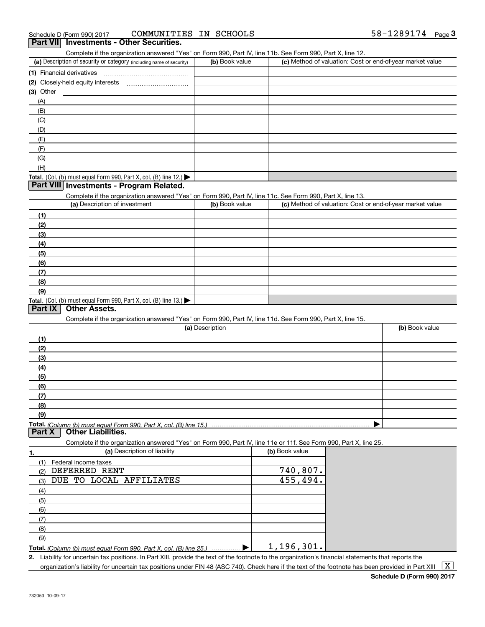| Schedule D (Form 990) 2017                                                                                        | COMMUNITIES IN SCHOOLS |                | $58 - 1289174$ Page 3                                     |
|-------------------------------------------------------------------------------------------------------------------|------------------------|----------------|-----------------------------------------------------------|
| Part VII Investments - Other Securities.                                                                          |                        |                |                                                           |
| Complete if the organization answered "Yes" on Form 990, Part IV, line 11b. See Form 990, Part X, line 12.        |                        |                |                                                           |
| (a) Description of security or category (including name of security)                                              | (b) Book value         |                | (c) Method of valuation: Cost or end-of-year market value |
|                                                                                                                   |                        |                |                                                           |
|                                                                                                                   |                        |                |                                                           |
|                                                                                                                   |                        |                |                                                           |
| $(3)$ Other                                                                                                       |                        |                |                                                           |
| (A)                                                                                                               |                        |                |                                                           |
| (B)                                                                                                               |                        |                |                                                           |
| (C)                                                                                                               |                        |                |                                                           |
| (D)                                                                                                               |                        |                |                                                           |
| (E)                                                                                                               |                        |                |                                                           |
| (F)                                                                                                               |                        |                |                                                           |
| (G)                                                                                                               |                        |                |                                                           |
| (H)                                                                                                               |                        |                |                                                           |
| Total. (Col. (b) must equal Form 990, Part X, col. (B) line 12.)                                                  |                        |                |                                                           |
| Part VIII Investments - Program Related.                                                                          |                        |                |                                                           |
| Complete if the organization answered "Yes" on Form 990, Part IV, line 11c. See Form 990, Part X, line 13.        |                        |                |                                                           |
| (a) Description of investment                                                                                     | (b) Book value         |                | (c) Method of valuation: Cost or end-of-year market value |
|                                                                                                                   |                        |                |                                                           |
| (1)                                                                                                               |                        |                |                                                           |
| (2)                                                                                                               |                        |                |                                                           |
| (3)                                                                                                               |                        |                |                                                           |
| (4)                                                                                                               |                        |                |                                                           |
| (5)                                                                                                               |                        |                |                                                           |
| (6)                                                                                                               |                        |                |                                                           |
| (7)                                                                                                               |                        |                |                                                           |
| (8)                                                                                                               |                        |                |                                                           |
| (9)                                                                                                               |                        |                |                                                           |
| Total. (Col. (b) must equal Form 990, Part X, col. (B) line 13.)                                                  |                        |                |                                                           |
| <b>Other Assets.</b><br>Part IX                                                                                   |                        |                |                                                           |
| Complete if the organization answered "Yes" on Form 990, Part IV, line 11d. See Form 990, Part X, line 15.        |                        |                |                                                           |
|                                                                                                                   | (a) Description        |                | (b) Book value                                            |
|                                                                                                                   |                        |                |                                                           |
| (1)                                                                                                               |                        |                |                                                           |
| (2)                                                                                                               |                        |                |                                                           |
| (3)                                                                                                               |                        |                |                                                           |
| (4)                                                                                                               |                        |                |                                                           |
| (5)                                                                                                               |                        |                |                                                           |
| (6)                                                                                                               |                        |                |                                                           |
| (7)                                                                                                               |                        |                |                                                           |
| (8)                                                                                                               |                        |                |                                                           |
| (9)                                                                                                               |                        |                |                                                           |
| <b>Total.</b> (Column (b) must equal Form 990. Part X, col. (B) line 15.)<br>Part X<br><b>Other Liabilities.</b>  |                        |                |                                                           |
| Complete if the organization answered "Yes" on Form 990, Part IV, line 11e or 11f. See Form 990, Part X, line 25. |                        |                |                                                           |
| (a) Description of liability<br>1.                                                                                |                        | (b) Book value |                                                           |
| (1)<br>Federal income taxes                                                                                       |                        |                |                                                           |
| DEFERRED RENT<br>(2)                                                                                              |                        | 740,807.       |                                                           |
| DUE TO LOCAL AFFILIATES                                                                                           |                        | 455,494.       |                                                           |
| (3)                                                                                                               |                        |                |                                                           |
| (4)                                                                                                               |                        |                |                                                           |
| (5)                                                                                                               |                        |                |                                                           |
| (6)                                                                                                               |                        |                |                                                           |
| (7)                                                                                                               |                        |                |                                                           |
| (8)                                                                                                               |                        |                |                                                           |
| (9)                                                                                                               |                        |                |                                                           |
|                                                                                                                   |                        | 105<br>201     |                                                           |

**Total.**  *(Column (b) must equal Form 990, Part X, col. (B) line 25.)* | 1,196,301.

**2.** Liability for uncertain tax positions. In Part XIII, provide the text of the footnote to the organization's financial statements that reports the organization's liability for uncertain tax positions under FIN 48 (ASC 740). Check here if the text of the footnote has been provided in Part XIII  $~\boxed{\rm X}$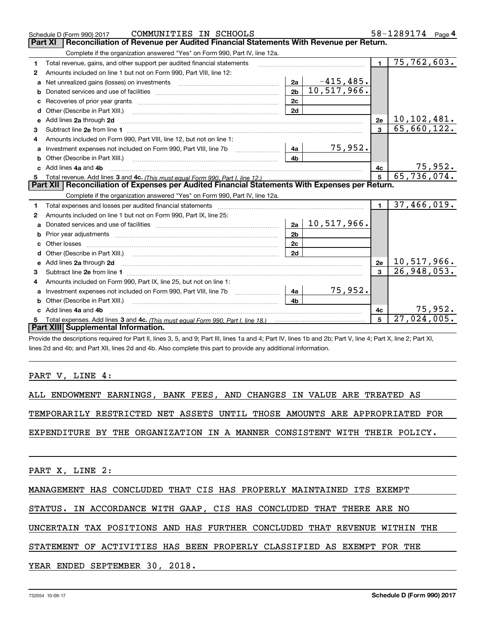|                                                                                                       | COMMUNITIES IN SCHOOLS<br>Schedule D (Form 990) 2017                                                                                                                                                                                |                 |                |                             | 58-1289174<br>Page $4$ |  |  |  |  |  |  |
|-------------------------------------------------------------------------------------------------------|-------------------------------------------------------------------------------------------------------------------------------------------------------------------------------------------------------------------------------------|-----------------|----------------|-----------------------------|------------------------|--|--|--|--|--|--|
| Reconciliation of Revenue per Audited Financial Statements With Revenue per Return.<br><b>Part XI</b> |                                                                                                                                                                                                                                     |                 |                |                             |                        |  |  |  |  |  |  |
| Complete if the organization answered "Yes" on Form 990, Part IV, line 12a.                           |                                                                                                                                                                                                                                     |                 |                |                             |                        |  |  |  |  |  |  |
| 1                                                                                                     | Total revenue, gains, and other support per audited financial statements                                                                                                                                                            |                 | $\blacksquare$ | $\overline{75}$ , 762, 603. |                        |  |  |  |  |  |  |
| 2                                                                                                     | Amounts included on line 1 but not on Form 990, Part VIII, line 12:                                                                                                                                                                 |                 |                |                             |                        |  |  |  |  |  |  |
| a                                                                                                     | Net unrealized gains (losses) on investments [11] matter contracts and the unrealized gains (losses) on investments                                                                                                                 | 2a              | $-415,485.$    |                             |                        |  |  |  |  |  |  |
| b                                                                                                     |                                                                                                                                                                                                                                     | 2 <sub>b</sub>  | 10,517,966.    |                             |                        |  |  |  |  |  |  |
|                                                                                                       |                                                                                                                                                                                                                                     | 2c              |                |                             |                        |  |  |  |  |  |  |
| d                                                                                                     | Other (Describe in Part XIII.) <b>2006</b> 2007 2010 2010 2010 2010 2011 2012 2013 2014 2014 2015 2016 2017 2018 2019 2016 2017 2018 2019 2016 2017 2018 2019 2016 2017 2018 2019 2018 2019 2019 2016 2017 2018 2019 2018 2019 2019 | 2d              |                |                             |                        |  |  |  |  |  |  |
| е                                                                                                     | Add lines 2a through 2d                                                                                                                                                                                                             |                 |                | 2e                          | 10, 102, 481.          |  |  |  |  |  |  |
| 3                                                                                                     |                                                                                                                                                                                                                                     |                 |                | $\overline{3}$              | 65,660,122.            |  |  |  |  |  |  |
| 4                                                                                                     | Amounts included on Form 990, Part VIII, line 12, but not on line 1:                                                                                                                                                                |                 |                |                             |                        |  |  |  |  |  |  |
| a                                                                                                     |                                                                                                                                                                                                                                     | 4a              | 75,952.        |                             |                        |  |  |  |  |  |  |
|                                                                                                       |                                                                                                                                                                                                                                     | 4 <sub>b</sub>  |                |                             |                        |  |  |  |  |  |  |
|                                                                                                       | c Add lines 4a and 4b                                                                                                                                                                                                               |                 |                | 4c                          | 75,952.                |  |  |  |  |  |  |
| 5                                                                                                     |                                                                                                                                                                                                                                     | $5\overline{)}$ | 65,736,074.    |                             |                        |  |  |  |  |  |  |
|                                                                                                       |                                                                                                                                                                                                                                     |                 |                |                             |                        |  |  |  |  |  |  |
|                                                                                                       | Part XII   Reconciliation of Expenses per Audited Financial Statements With Expenses per Return.                                                                                                                                    |                 |                |                             |                        |  |  |  |  |  |  |
|                                                                                                       | Complete if the organization answered "Yes" on Form 990, Part IV, line 12a.                                                                                                                                                         |                 |                |                             |                        |  |  |  |  |  |  |
| 1                                                                                                     |                                                                                                                                                                                                                                     |                 |                | $\blacksquare$              | 37,466,019.            |  |  |  |  |  |  |
| 2                                                                                                     | Amounts included on line 1 but not on Form 990, Part IX, line 25:                                                                                                                                                                   |                 |                |                             |                        |  |  |  |  |  |  |
| a                                                                                                     |                                                                                                                                                                                                                                     | 2a              | 10,517,966.    |                             |                        |  |  |  |  |  |  |
| b                                                                                                     |                                                                                                                                                                                                                                     | 2 <sub>b</sub>  |                |                             |                        |  |  |  |  |  |  |
| c.                                                                                                    | Other losses                                                                                                                                                                                                                        | 2c              |                |                             |                        |  |  |  |  |  |  |
| d                                                                                                     |                                                                                                                                                                                                                                     | 2d              |                |                             |                        |  |  |  |  |  |  |
|                                                                                                       |                                                                                                                                                                                                                                     |                 |                | 2e                          | 10,517,966.            |  |  |  |  |  |  |
| 3                                                                                                     | e Add lines 2a through 2d <b>contract and a contract and a contract a</b> contract a contract and a contract a contract a contract a contract a contract a contract a contract a contract a contract a contract a contract a contra |                 |                | $\overline{3}$              | 26,948,053.            |  |  |  |  |  |  |
| 4                                                                                                     | Amounts included on Form 990, Part IX, line 25, but not on line 1:                                                                                                                                                                  |                 |                |                             |                        |  |  |  |  |  |  |
| a                                                                                                     | Investment expenses not included on Form 990, Part VIII, line 7b                                                                                                                                                                    | 4a              | 75,952.        |                             |                        |  |  |  |  |  |  |
| b                                                                                                     | Other (Describe in Part XIII.)                                                                                                                                                                                                      | 4 <sub>b</sub>  |                |                             |                        |  |  |  |  |  |  |
|                                                                                                       | c Add lines 4a and 4b                                                                                                                                                                                                               |                 |                | 4c                          | 75, 952.               |  |  |  |  |  |  |
| 5                                                                                                     |                                                                                                                                                                                                                                     |                 |                | 5                           | 27,024,005.            |  |  |  |  |  |  |
|                                                                                                       | Part XIII Supplemental Information.                                                                                                                                                                                                 |                 |                |                             |                        |  |  |  |  |  |  |

Provide the descriptions required for Part II, lines 3, 5, and 9; Part III, lines 1a and 4; Part IV, lines 1b and 2b; Part V, line 4; Part X, line 2; Part XI, lines 2d and 4b; and Part XII, lines 2d and 4b. Also complete this part to provide any additional information.

### PART V, LINE 4:

ALL ENDOWMENT EARNINGS, BANK FEES, AND CHANGES IN VALUE ARE TREATED AS

TEMPORARILY RESTRICTED NET ASSETS UNTIL THOSE AMOUNTS ARE APPROPRIATED FOR

EXPENDITURE BY THE ORGANIZATION IN A MANNER CONSISTENT WITH THEIR POLICY.

PART X, LINE 2:

MANAGEMENT HAS CONCLUDED THAT CIS HAS PROPERLY MAINTAINED ITS EXEMPT

# STATUS. IN ACCORDANCE WITH GAAP, CIS HAS CONCLUDED THAT THERE ARE NO

UNCERTAIN TAX POSITIONS AND HAS FURTHER CONCLUDED THAT REVENUE WITHIN THE

## STATEMENT OF ACTIVITIES HAS BEEN PROPERLY CLASSIFIED AS EXEMPT FOR THE

YEAR ENDED SEPTEMBER 30, 2018.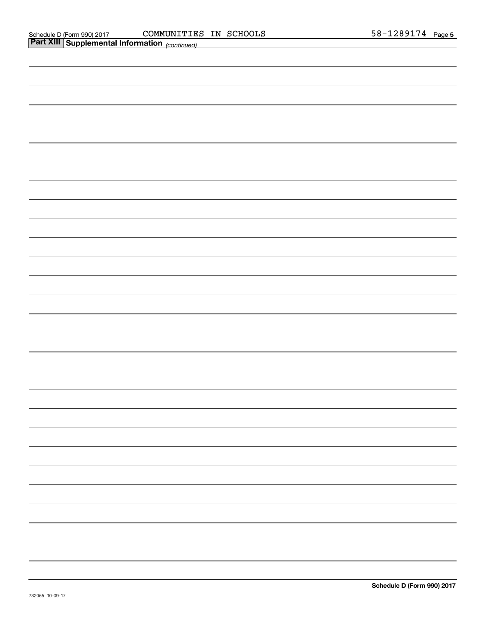| <b>Part XIII Supplemental Information</b> (continued) |
|-------------------------------------------------------|
|                                                       |
|                                                       |
|                                                       |
|                                                       |
|                                                       |
|                                                       |
|                                                       |
|                                                       |
|                                                       |
|                                                       |
|                                                       |
|                                                       |
|                                                       |
|                                                       |
|                                                       |
|                                                       |
|                                                       |
|                                                       |
|                                                       |
|                                                       |
|                                                       |
|                                                       |
|                                                       |
|                                                       |
|                                                       |
|                                                       |
|                                                       |
|                                                       |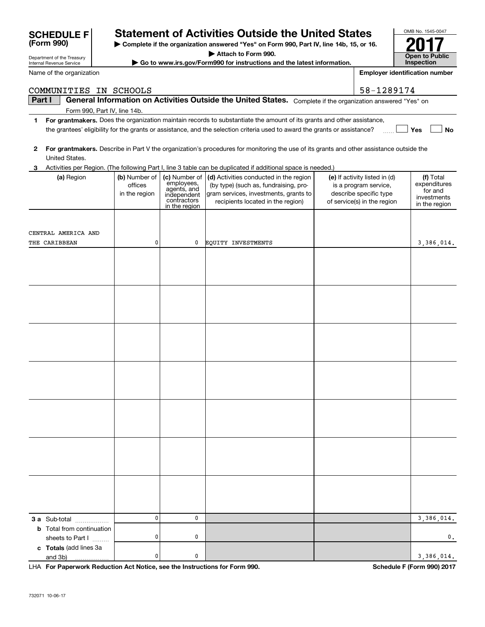|        | COMMUNITIES IN SCHOOLS           |                          |                             |                                                                                                                                         | 58-1289174                                      |                           |
|--------|----------------------------------|--------------------------|-----------------------------|-----------------------------------------------------------------------------------------------------------------------------------------|-------------------------------------------------|---------------------------|
| Part I |                                  |                          |                             | General Information on Activities Outside the United States. Complete if the organization answered "Yes" on                             |                                                 |                           |
|        | Form 990, Part IV, line 14b.     |                          |                             |                                                                                                                                         |                                                 |                           |
| 1      |                                  |                          |                             | For grantmakers. Does the organization maintain records to substantiate the amount of its grants and other assistance,                  |                                                 |                           |
|        |                                  |                          |                             | the grantees' eligibility for the grants or assistance, and the selection criteria used to award the grants or assistance?              |                                                 | Yes<br>No                 |
|        |                                  |                          |                             |                                                                                                                                         |                                                 |                           |
| 2      |                                  |                          |                             | For grantmakers. Describe in Part V the organization's procedures for monitoring the use of its grants and other assistance outside the |                                                 |                           |
|        | United States.                   |                          |                             |                                                                                                                                         |                                                 |                           |
| 3      |                                  |                          |                             | Activities per Region. (The following Part I, line 3 table can be duplicated if additional space is needed.)                            |                                                 |                           |
|        | (a) Region                       | (b) Number of            | (c) Number of<br>employees, | (d) Activities conducted in the region                                                                                                  | (e) If activity listed in (d)                   | (f) Total<br>expenditures |
|        |                                  | offices<br>in the region | agents, and                 | (by type) (such as, fundraising, pro-<br>gram services, investments, grants to                                                          | is a program service,<br>describe specific type | for and                   |
|        |                                  |                          | independent<br>contractors  | recipients located in the region)                                                                                                       | of service(s) in the region                     | investments               |
|        |                                  |                          | in the region               |                                                                                                                                         |                                                 | in the region             |
|        |                                  |                          |                             |                                                                                                                                         |                                                 |                           |
|        |                                  |                          |                             |                                                                                                                                         |                                                 |                           |
|        | CENTRAL AMERICA AND              |                          |                             |                                                                                                                                         |                                                 |                           |
|        | THE CARIBBEAN                    | 0                        | 0                           | <b>EQUITY INVESTMENTS</b>                                                                                                               |                                                 | 3,386,014.                |
|        |                                  |                          |                             |                                                                                                                                         |                                                 |                           |
|        |                                  |                          |                             |                                                                                                                                         |                                                 |                           |
|        |                                  |                          |                             |                                                                                                                                         |                                                 |                           |
|        |                                  |                          |                             |                                                                                                                                         |                                                 |                           |
|        |                                  |                          |                             |                                                                                                                                         |                                                 |                           |
|        |                                  |                          |                             |                                                                                                                                         |                                                 |                           |
|        |                                  |                          |                             |                                                                                                                                         |                                                 |                           |
|        |                                  |                          |                             |                                                                                                                                         |                                                 |                           |
|        |                                  |                          |                             |                                                                                                                                         |                                                 |                           |
|        |                                  |                          |                             |                                                                                                                                         |                                                 |                           |
|        |                                  |                          |                             |                                                                                                                                         |                                                 |                           |
|        |                                  |                          |                             |                                                                                                                                         |                                                 |                           |
|        |                                  |                          |                             |                                                                                                                                         |                                                 |                           |
|        |                                  |                          |                             |                                                                                                                                         |                                                 |                           |
|        |                                  |                          |                             |                                                                                                                                         |                                                 |                           |
|        |                                  |                          |                             |                                                                                                                                         |                                                 |                           |
|        |                                  |                          |                             |                                                                                                                                         |                                                 |                           |
|        |                                  |                          |                             |                                                                                                                                         |                                                 |                           |
|        |                                  |                          |                             |                                                                                                                                         |                                                 |                           |
|        |                                  |                          |                             |                                                                                                                                         |                                                 |                           |
|        |                                  |                          |                             |                                                                                                                                         |                                                 |                           |
|        |                                  |                          |                             |                                                                                                                                         |                                                 |                           |
|        |                                  |                          |                             |                                                                                                                                         |                                                 |                           |
|        |                                  |                          |                             |                                                                                                                                         |                                                 |                           |
|        |                                  |                          |                             |                                                                                                                                         |                                                 |                           |
|        |                                  |                          |                             |                                                                                                                                         |                                                 |                           |
|        |                                  |                          |                             |                                                                                                                                         |                                                 |                           |
|        |                                  |                          |                             |                                                                                                                                         |                                                 |                           |
|        | 3 a Sub-total                    | 0                        | 0                           |                                                                                                                                         |                                                 | 3,386,014.                |
|        | <b>b</b> Total from continuation |                          |                             |                                                                                                                                         |                                                 |                           |
|        | sheets to Part I                 | 0                        | 0                           |                                                                                                                                         |                                                 | $\mathbf{0}$ .            |
|        | c Totals (add lines 3a           |                          |                             |                                                                                                                                         |                                                 |                           |
|        | and 3b)                          | 0                        | 0                           |                                                                                                                                         |                                                 | 3,386,014.                |

**| Complete if the organization answered "Yes" on Form 990, Part IV, line 14b, 15, or 16. | Attach to Form 990. | Go to www.irs.gov/Form990 for instructions and the latest information.**

**Statement of Activities Outside the United States** 

**For Paperwork Reduction Act Notice, see the Instructions for Form 990. Schedule F (Form 990) 2017** LHA

OMB No. 1545-0047

**Open to Public Inspection**

**Employer identification number**

**2017**

Department of the Treasury Internal Revenue Service

**(Form 990)**

Name of the organization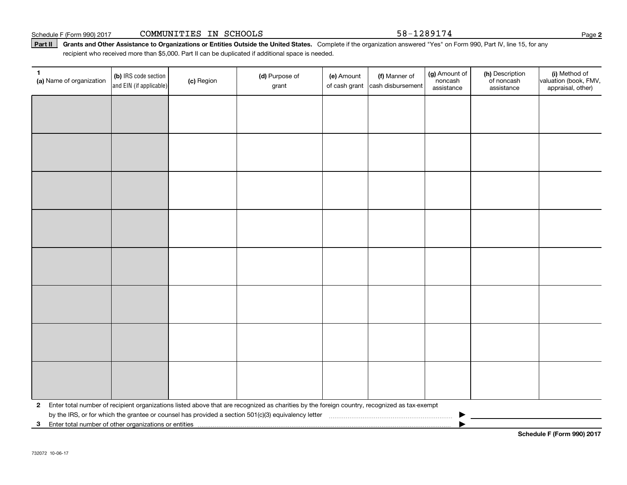Schedule F (Form 990) 2017 Page COMMUNITIES IN SCHOOLS 58-1289174

Part II | Grants and Other Assistance to Organizations or Entities Outside the United States. Complete if the organization answered "Yes" on Form 990, Part IV, line 15, for any recipient who received more than \$5,000. Part II can be duplicated if additional space is needed.

| $\mathbf{1}$<br>(a) Name of organization                | (b) IRS code section<br>and EIN (if applicable) | (c) Region | (d) Purpose of<br>grant                                                                                                                      | (e) Amount<br>of cash grant | (f) Manner of<br>cash disbursement | (g) Amount of<br>noncash<br>assistance | (h) Description<br>of noncash<br>assistance | (i) Method of<br>valuation (book, FMV,<br>appraisal, other) |
|---------------------------------------------------------|-------------------------------------------------|------------|----------------------------------------------------------------------------------------------------------------------------------------------|-----------------------------|------------------------------------|----------------------------------------|---------------------------------------------|-------------------------------------------------------------|
|                                                         |                                                 |            |                                                                                                                                              |                             |                                    |                                        |                                             |                                                             |
|                                                         |                                                 |            |                                                                                                                                              |                             |                                    |                                        |                                             |                                                             |
|                                                         |                                                 |            |                                                                                                                                              |                             |                                    |                                        |                                             |                                                             |
|                                                         |                                                 |            |                                                                                                                                              |                             |                                    |                                        |                                             |                                                             |
|                                                         |                                                 |            |                                                                                                                                              |                             |                                    |                                        |                                             |                                                             |
|                                                         |                                                 |            |                                                                                                                                              |                             |                                    |                                        |                                             |                                                             |
|                                                         |                                                 |            |                                                                                                                                              |                             |                                    |                                        |                                             |                                                             |
|                                                         |                                                 |            |                                                                                                                                              |                             |                                    |                                        |                                             |                                                             |
|                                                         |                                                 |            |                                                                                                                                              |                             |                                    |                                        |                                             |                                                             |
|                                                         |                                                 |            |                                                                                                                                              |                             |                                    |                                        |                                             |                                                             |
|                                                         |                                                 |            |                                                                                                                                              |                             |                                    |                                        |                                             |                                                             |
|                                                         |                                                 |            |                                                                                                                                              |                             |                                    |                                        |                                             |                                                             |
|                                                         |                                                 |            |                                                                                                                                              |                             |                                    |                                        |                                             |                                                             |
|                                                         |                                                 |            |                                                                                                                                              |                             |                                    |                                        |                                             |                                                             |
|                                                         |                                                 |            |                                                                                                                                              |                             |                                    |                                        |                                             |                                                             |
|                                                         |                                                 |            |                                                                                                                                              |                             |                                    |                                        |                                             |                                                             |
| $\mathbf{2}$                                            |                                                 |            | Enter total number of recipient organizations listed above that are recognized as charities by the foreign country, recognized as tax-exempt |                             |                                    |                                        |                                             |                                                             |
| 3 Enter total number of other organizations or entities |                                                 |            |                                                                                                                                              |                             |                                    |                                        |                                             |                                                             |

**Schedule F (Form 990) 2017**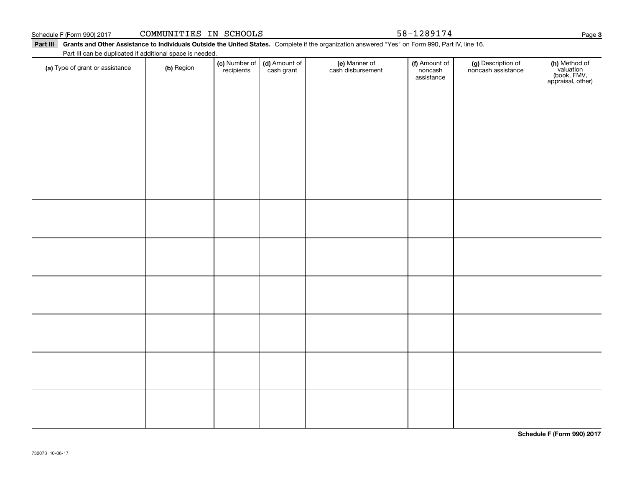732073 10-06-17

Part III Grants and Other Assistance to Individuals Outside the United States. Complete if the organization answered "Yes" on Form 990, Part IV, line 16. Part III can be duplicated if additional space is needed.

| (a) Type of grant or assistance | (b) Region | (c) Number of<br>recipients | (d) Amount of<br>cash grant | (e) Manner of<br>cash disbursement | (f) Amount of<br>noncash<br>assistance | (g) Description of<br>noncash assistance | (h) Method of<br>valuation<br>(book, FMV,<br>appraisal, other) |
|---------------------------------|------------|-----------------------------|-----------------------------|------------------------------------|----------------------------------------|------------------------------------------|----------------------------------------------------------------|
|                                 |            |                             |                             |                                    |                                        |                                          |                                                                |
|                                 |            |                             |                             |                                    |                                        |                                          |                                                                |
|                                 |            |                             |                             |                                    |                                        |                                          |                                                                |
|                                 |            |                             |                             |                                    |                                        |                                          |                                                                |
|                                 |            |                             |                             |                                    |                                        |                                          |                                                                |
|                                 |            |                             |                             |                                    |                                        |                                          |                                                                |
|                                 |            |                             |                             |                                    |                                        |                                          |                                                                |
|                                 |            |                             |                             |                                    |                                        |                                          |                                                                |
|                                 |            |                             |                             |                                    |                                        |                                          |                                                                |
|                                 |            |                             |                             |                                    |                                        |                                          |                                                                |
|                                 |            |                             |                             |                                    |                                        |                                          |                                                                |
|                                 |            |                             |                             |                                    |                                        |                                          |                                                                |
|                                 |            |                             |                             |                                    |                                        |                                          |                                                                |
|                                 |            |                             |                             |                                    |                                        |                                          |                                                                |
|                                 |            |                             |                             |                                    |                                        |                                          |                                                                |
|                                 |            |                             |                             |                                    |                                        |                                          |                                                                |
|                                 |            |                             |                             |                                    |                                        |                                          | Schedule F (Form 990) 2017                                     |

**3**

Schedule F (Form 990) 2017 **COMMUNITIES IN SCHOOLS 58**-1289174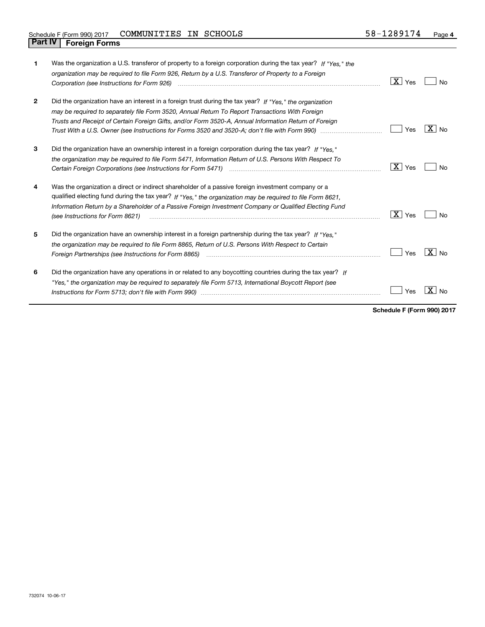| 1            | Was the organization a U.S. transferor of property to a foreign corporation during the tax year? If "Yes," the<br>organization may be required to file Form 926, Return by a U.S. Transferor of Property to a Foreign                                                                                                                                          | X<br>Yes   | N٥             |
|--------------|----------------------------------------------------------------------------------------------------------------------------------------------------------------------------------------------------------------------------------------------------------------------------------------------------------------------------------------------------------------|------------|----------------|
| $\mathbf{2}$ | Did the organization have an interest in a foreign trust during the tax year? If "Yes," the organization<br>may be required to separately file Form 3520, Annual Return To Report Transactions With Foreign<br>Trusts and Receipt of Certain Foreign Gifts, and/or Form 3520-A, Annual Information Return of Foreign                                           | Yes        | ∣X I No        |
| 3            | Did the organization have an ownership interest in a foreign corporation during the tax year? If "Yes."<br>the organization may be required to file Form 5471, Information Return of U.S. Persons With Respect To                                                                                                                                              | X  <br>Yes | N٥             |
| 4            | Was the organization a direct or indirect shareholder of a passive foreign investment company or a<br>qualified electing fund during the tax year? If "Yes," the organization may be required to file Form 8621,<br>Information Return by a Shareholder of a Passive Foreign Investment Company or Qualified Electing Fund<br>(see Instructions for Form 8621) | X  <br>Yes | No             |
| 5            | Did the organization have an ownership interest in a foreign partnership during the tax year? If "Yes."<br>the organization may be required to file Form 8865, Return of U.S. Persons With Respect to Certain<br>Foreign Partnerships (see Instructions for Form 8865)                                                                                         | Yes        | $X \mid N_{0}$ |
| 6            | Did the organization have any operations in or related to any boycotting countries during the tax year? If<br>"Yes," the organization may be required to separately file Form 5713, International Boycott Report (see                                                                                                                                          | Yes        |                |

**Schedule F (Form 990) 2017**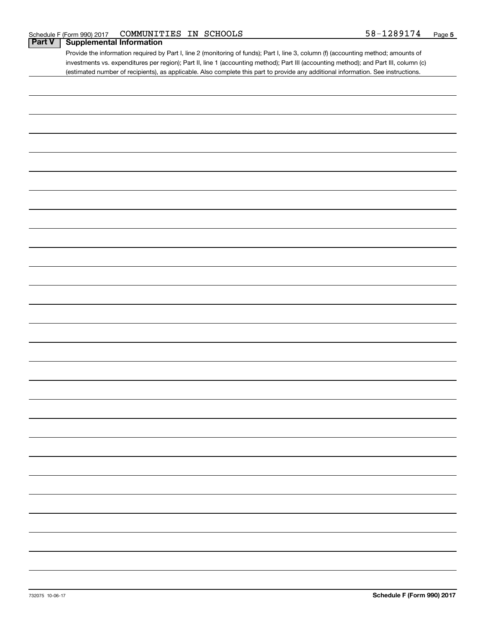# **Part V Supplemental Information**

Provide the information required by Part I, line 2 (monitoring of funds); Part I, line 3, column (f) (accounting method; amounts of investments vs. expenditures per region); Part II, line 1 (accounting method); Part III (accounting method); and Part III, column (c) (estimated number of recipients), as applicable. Also complete this part to provide any additional information. See instructions.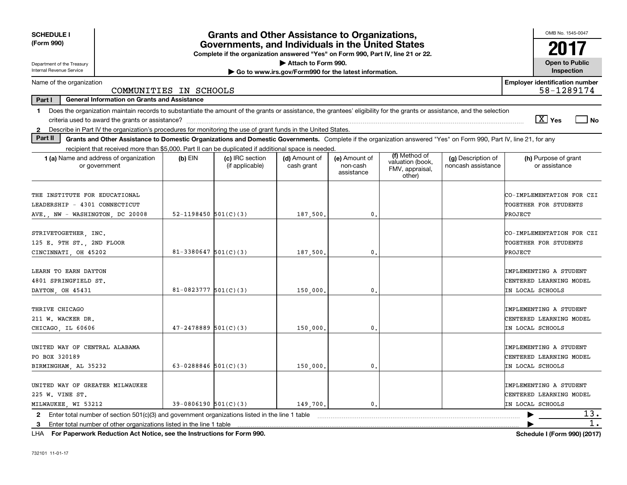| <b>SCHEDULE I</b><br>(Form 990)                                                                                                                                               |                                                                                                                                                                          | <b>Grants and Other Assistance to Organizations,</b>                                                                                  |                                                       |                                         |                                               |                                          | OMB No. 1545-0047                                                     |  |  |  |  |
|-------------------------------------------------------------------------------------------------------------------------------------------------------------------------------|--------------------------------------------------------------------------------------------------------------------------------------------------------------------------|---------------------------------------------------------------------------------------------------------------------------------------|-------------------------------------------------------|-----------------------------------------|-----------------------------------------------|------------------------------------------|-----------------------------------------------------------------------|--|--|--|--|
|                                                                                                                                                                               |                                                                                                                                                                          | Governments, and Individuals in the United States<br>Complete if the organization answered "Yes" on Form 990, Part IV, line 21 or 22. |                                                       |                                         |                                               |                                          | 2017                                                                  |  |  |  |  |
| Department of the Treasury                                                                                                                                                    |                                                                                                                                                                          |                                                                                                                                       | Attach to Form 990.                                   |                                         |                                               |                                          | <b>Open to Public</b>                                                 |  |  |  |  |
| <b>Internal Revenue Service</b>                                                                                                                                               |                                                                                                                                                                          |                                                                                                                                       | Go to www.irs.gov/Form990 for the latest information. |                                         |                                               |                                          | Inspection                                                            |  |  |  |  |
| Name of the organization                                                                                                                                                      | COMMUNITIES IN SCHOOLS                                                                                                                                                   |                                                                                                                                       |                                                       |                                         |                                               |                                          | <b>Employer identification number</b><br>58-1289174                   |  |  |  |  |
| Part I<br><b>General Information on Grants and Assistance</b>                                                                                                                 |                                                                                                                                                                          |                                                                                                                                       |                                                       |                                         |                                               |                                          |                                                                       |  |  |  |  |
| 1.                                                                                                                                                                            | Does the organization maintain records to substantiate the amount of the grants or assistance, the grantees' eligibility for the grants or assistance, and the selection |                                                                                                                                       |                                                       |                                         |                                               |                                          |                                                                       |  |  |  |  |
|                                                                                                                                                                               |                                                                                                                                                                          |                                                                                                                                       |                                                       |                                         |                                               |                                          | $\overline{X}$ Yes<br>l No                                            |  |  |  |  |
| Describe in Part IV the organization's procedures for monitoring the use of grant funds in the United States.<br>$\mathbf{2}$                                                 |                                                                                                                                                                          |                                                                                                                                       |                                                       |                                         |                                               |                                          |                                                                       |  |  |  |  |
| Part II<br>Grants and Other Assistance to Domestic Organizations and Domestic Governments. Complete if the organization answered "Yes" on Form 990, Part IV, line 21, for any |                                                                                                                                                                          |                                                                                                                                       |                                                       |                                         |                                               |                                          |                                                                       |  |  |  |  |
| recipient that received more than \$5,000. Part II can be duplicated if additional space is needed.                                                                           |                                                                                                                                                                          |                                                                                                                                       |                                                       |                                         | (f) Method of                                 |                                          |                                                                       |  |  |  |  |
| 1 (a) Name and address of organization<br>or government                                                                                                                       | $(b)$ EIN                                                                                                                                                                | (c) IRC section<br>(if applicable)                                                                                                    | (d) Amount of<br>cash grant                           | (e) Amount of<br>non-cash<br>assistance | valuation (book,<br>FMV, appraisal,<br>other) | (g) Description of<br>noncash assistance | (h) Purpose of grant<br>or assistance                                 |  |  |  |  |
| THE INSTITUTE FOR EDUCATIONAL                                                                                                                                                 |                                                                                                                                                                          |                                                                                                                                       |                                                       |                                         |                                               |                                          | CO-IMPLEMENTATION FOR CZI                                             |  |  |  |  |
| LEADERSHIP - 4301 CONNECTICUT                                                                                                                                                 |                                                                                                                                                                          |                                                                                                                                       |                                                       |                                         |                                               |                                          | TOGETHER FOR STUDENTS                                                 |  |  |  |  |
| AVE., NW - WASHINGTON, DC 20008                                                                                                                                               | 52-1198450 $501(C)(3)$                                                                                                                                                   |                                                                                                                                       | 187,500.                                              | 0.                                      |                                               |                                          | PROJECT                                                               |  |  |  |  |
| STRIVETOGETHER, INC.<br>125 E. 9TH ST., 2ND FLOOR                                                                                                                             |                                                                                                                                                                          |                                                                                                                                       |                                                       |                                         |                                               |                                          | CO-IMPLEMENTATION FOR CZI<br>TOGETHER FOR STUDENTS                    |  |  |  |  |
| CINCINNATI, OH 45202                                                                                                                                                          | $81-3380647$ 501(C)(3)                                                                                                                                                   |                                                                                                                                       | 187,500,                                              | $\mathbf 0$ .                           |                                               |                                          | PROJECT                                                               |  |  |  |  |
| LEARN TO EARN DAYTON<br>4801 SPRINGFIELD ST.<br>DAYTON, OH 45431                                                                                                              | 81-0823777 $501(C)(3)$                                                                                                                                                   |                                                                                                                                       | 150,000,                                              | 0.                                      |                                               |                                          | IMPLEMENTING A STUDENT<br>CENTERED LEARNING MODEL<br>IN LOCAL SCHOOLS |  |  |  |  |
| THRIVE CHICAGO<br>211 W. WACKER DR.<br>CHICAGO LL 60606                                                                                                                       | $47 - 2478889$ 501(C)(3)                                                                                                                                                 |                                                                                                                                       | 150,000                                               | $\mathbf{0}$ .                          |                                               |                                          | IMPLEMENTING A STUDENT<br>CENTERED LEARNING MODEL<br>IN LOCAL SCHOOLS |  |  |  |  |
| UNITED WAY OF CENTRAL ALABAMA<br>PO BOX 320189<br>BIRMINGHAM, AL 35232                                                                                                        | 63-0288846 $501(C)(3)$                                                                                                                                                   |                                                                                                                                       | 150,000,                                              | 0.                                      |                                               |                                          | IMPLEMENTING A STUDENT<br>CENTERED LEARNING MODEL<br>IN LOCAL SCHOOLS |  |  |  |  |
| UNITED WAY OF GREATER MILWAUKEE<br>225 W. VINE ST.<br>MILWAUKEE, WI 53212                                                                                                     | $39-0806190$ $501(C)(3)$                                                                                                                                                 |                                                                                                                                       | 149.700.                                              | 0.                                      |                                               |                                          | IMPLEMENTING A STUDENT<br>CENTERED LEARNING MODEL<br>IN LOCAL SCHOOLS |  |  |  |  |
| 2 Enter total number of section 501(c)(3) and government organizations listed in the line 1 table                                                                             |                                                                                                                                                                          |                                                                                                                                       |                                                       |                                         |                                               |                                          | 13.                                                                   |  |  |  |  |
| Enter total number of other organizations listed in the line 1 table<br>3                                                                                                     |                                                                                                                                                                          |                                                                                                                                       |                                                       |                                         |                                               |                                          | $\overline{1}$ .                                                      |  |  |  |  |

**For Paperwork Reduction Act Notice, see the Instructions for Form 990. Schedule I (Form 990) (2017)** LHA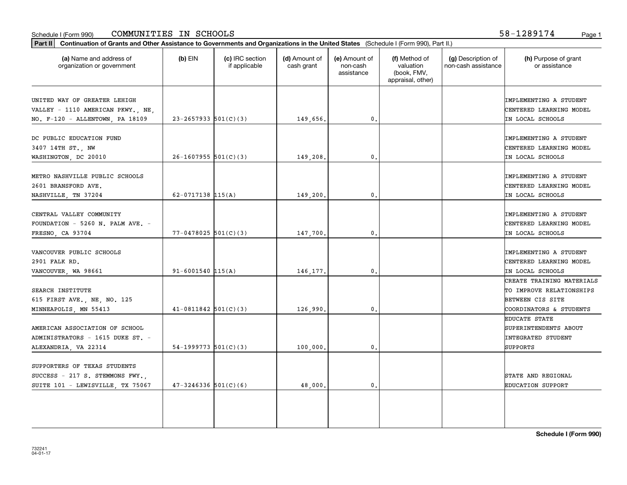#### Schedule I (Form 990) **COMMUNITIES IN SCHOOLS** 58-1289174 <sub>Page 1</sub>

58-1289174

| (a) Name and address of<br>organization or government                                                | $(b)$ EIN                | (c) IRC section<br>if applicable | (d) Amount of<br>cash grant | (e) Amount of<br>non-cash<br>assistance | (f) Method of<br>valuation<br>(book, FMV,<br>appraisal, other) | (g) Description of<br>non-cash assistance | (h) Purpose of grant<br>or assistance                                                                |
|------------------------------------------------------------------------------------------------------|--------------------------|----------------------------------|-----------------------------|-----------------------------------------|----------------------------------------------------------------|-------------------------------------------|------------------------------------------------------------------------------------------------------|
| UNITED WAY OF GREATER LEHIGH<br>VALLEY - 1110 AMERICAN PKWY., NE,<br>NO. F-120 - ALLENTOWN, PA 18109 | $23 - 2657933$ 501(C)(3) |                                  | 149,656.                    | $\mathbf{0}$ .                          |                                                                |                                           | IMPLEMENTING A STUDENT<br>CENTERED LEARNING MODEL<br>IN LOCAL SCHOOLS                                |
| DC PUBLIC EDUCATION FUND<br>3407 14TH ST., NW<br>WASHINGTON, DC 20010                                | $26-1607955$ 501(C)(3)   |                                  | 149,208                     | $\mathbf{0}$ .                          |                                                                |                                           | IMPLEMENTING A STUDENT<br>CENTERED LEARNING MODEL<br>IN LOCAL SCHOOLS                                |
| METRO NASHVILLE PUBLIC SCHOOLS<br>2601 BRANSFORD AVE.<br>NASHVILLE, TN 37204                         | 62-0717138 $115(A)$      |                                  | 149,200.                    | $\mathbf{0}$ .                          |                                                                |                                           | IMPLEMENTING A STUDENT<br>CENTERED LEARNING MODEL<br>IN LOCAL SCHOOLS                                |
| CENTRAL VALLEY COMMUNITY<br>FOUNDATION - 5260 N. PALM AVE. -<br>FRESNO, CA 93704                     | $77 - 0478025$ 501(C)(3) |                                  | 147,700.                    | $\mathbf{0}$ .                          |                                                                |                                           | IMPLEMENTING A STUDENT<br>CENTERED LEARNING MODEL<br>IN LOCAL SCHOOLS                                |
| VANCOUVER PUBLIC SCHOOLS<br>2901 FALK RD.<br>VANCOUVER, WA 98661                                     | $91 - 6001540$ 115(A)    |                                  | 146,177.                    | 0.                                      |                                                                |                                           | IMPLEMENTING A STUDENT<br>CENTERED LEARNING MODEL<br>IN LOCAL SCHOOLS                                |
| SEARCH INSTITUTE<br>615 FIRST AVE., NE, NO. 125<br>MINNEAPOLIS, MN 55413                             | $41-0811842$ 501(C)(3)   |                                  | 126,990                     | 0.                                      |                                                                |                                           | CREATE TRAINING MATERIALS<br>TO IMPROVE RELATIONSHIPS<br>BETWEEN CIS SITE<br>COORDINATORS & STUDENTS |
| AMERICAN ASSOCIATION OF SCHOOL<br>ADMINISTRATORS - 1615 DUKE ST. -<br>ALEXANDRIA, VA 22314           | 54-1999773 $501(C)(3)$   |                                  | 100,000                     | $\mathfrak o$ .                         |                                                                |                                           | <b>EDUCATE STATE</b><br>SUPERINTENDENTS ABOUT<br><b>INTEGRATED STUDENT</b><br><b>SUPPORTS</b>        |
| SUPPORTERS OF TEXAS STUDENTS<br>SUCCESS - 217 S. STEMMONS FWY.,<br>SUITE 101 - LEWISVILLE, TX 75067  | $47 - 3246336$ 501(C)(6) |                                  | 48,000.                     | 0.                                      |                                                                |                                           | STATE AND REGIONAL<br><b>EDUCATION SUPPORT</b>                                                       |
|                                                                                                      |                          |                                  |                             |                                         |                                                                |                                           |                                                                                                      |

**Schedule I (Form 990)**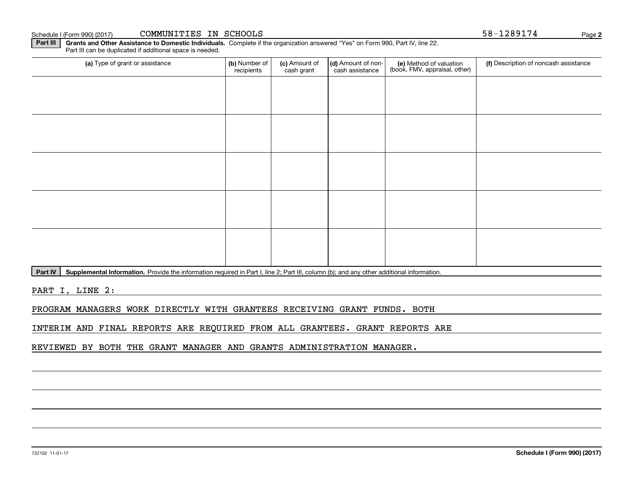732102 11-01-17

#### Schedule I (Form 990) (2017) CO**MMUNITIES IN SCHOOLS** 5 S-1289174 Page

**Part III | Grants and Other Assistance to Domestic Individuals. Complete if the organization answered "Yes" on Form 990, Part IV, line 22.** Part III can be duplicated if additional space is needed.

| (a) Type of grant or assistance | (b) Number of<br>recipients | (c) Amount of<br>cash grant | (d) Amount of non-<br>cash assistance | (e) Method of valuation<br>(book, FMV, appraisal, other) | (f) Description of noncash assistance |  |  |
|---------------------------------|-----------------------------|-----------------------------|---------------------------------------|----------------------------------------------------------|---------------------------------------|--|--|
|                                 |                             |                             |                                       |                                                          |                                       |  |  |
|                                 |                             |                             |                                       |                                                          |                                       |  |  |
|                                 |                             |                             |                                       |                                                          |                                       |  |  |
|                                 |                             |                             |                                       |                                                          |                                       |  |  |
|                                 |                             |                             |                                       |                                                          |                                       |  |  |
|                                 |                             |                             |                                       |                                                          |                                       |  |  |
|                                 |                             |                             |                                       |                                                          |                                       |  |  |
|                                 |                             |                             |                                       |                                                          |                                       |  |  |
|                                 |                             |                             |                                       |                                                          |                                       |  |  |
|                                 |                             |                             |                                       |                                                          |                                       |  |  |

Part IV | Supplemental Information. Provide the information required in Part I, line 2; Part III, column (b); and any other additional information.

PART I, LINE 2:

PROGRAM MANAGERS WORK DIRECTLY WITH GRANTEES RECEIVING GRANT FUNDS. BOTH

INTERIM AND FINAL REPORTS ARE REQUIRED FROM ALL GRANTEES. GRANT REPORTS ARE

REVIEWED BY BOTH THE GRANT MANAGER AND GRANTS ADMINISTRATION MANAGER.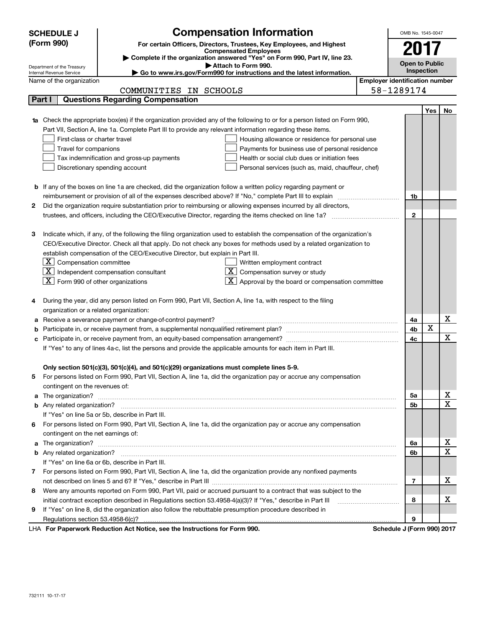| <b>SCHEDULE J</b> | OMB No. 1545-0047                                                                                               |                                                                                                                                                                                                               |                                       |                            |            |    |  |  |  |  |  |
|-------------------|-----------------------------------------------------------------------------------------------------------------|---------------------------------------------------------------------------------------------------------------------------------------------------------------------------------------------------------------|---------------------------------------|----------------------------|------------|----|--|--|--|--|--|
|                   | (Form 990)                                                                                                      | <b>Compensation Information</b><br>For certain Officers, Directors, Trustees, Key Employees, and Highest                                                                                                      |                                       |                            |            |    |  |  |  |  |  |
|                   |                                                                                                                 | <b>Compensated Employees</b>                                                                                                                                                                                  |                                       | 2017                       |            |    |  |  |  |  |  |
|                   |                                                                                                                 | Complete if the organization answered "Yes" on Form 990, Part IV, line 23.<br>Attach to Form 990.                                                                                                             |                                       | <b>Open to Public</b>      |            |    |  |  |  |  |  |
|                   | Department of the Treasury<br>Internal Revenue Service                                                          | Go to www.irs.gov/Form990 for instructions and the latest information.                                                                                                                                        |                                       |                            | Inspection |    |  |  |  |  |  |
|                   | Name of the organization                                                                                        |                                                                                                                                                                                                               | <b>Employer identification number</b> |                            |            |    |  |  |  |  |  |
|                   |                                                                                                                 | COMMUNITIES IN SCHOOLS                                                                                                                                                                                        |                                       | 58-1289174                 |            |    |  |  |  |  |  |
|                   | Part I                                                                                                          | <b>Questions Regarding Compensation</b>                                                                                                                                                                       |                                       |                            |            |    |  |  |  |  |  |
|                   |                                                                                                                 |                                                                                                                                                                                                               |                                       |                            | Yes        | No |  |  |  |  |  |
|                   |                                                                                                                 | 1a Check the appropriate box(es) if the organization provided any of the following to or for a person listed on Form 990,                                                                                     |                                       |                            |            |    |  |  |  |  |  |
|                   |                                                                                                                 | Part VII, Section A, line 1a. Complete Part III to provide any relevant information regarding these items.                                                                                                    |                                       |                            |            |    |  |  |  |  |  |
|                   | First-class or charter travel                                                                                   | Housing allowance or residence for personal use                                                                                                                                                               |                                       |                            |            |    |  |  |  |  |  |
|                   | Travel for companions                                                                                           | Payments for business use of personal residence                                                                                                                                                               |                                       |                            |            |    |  |  |  |  |  |
|                   |                                                                                                                 | Tax indemnification and gross-up payments<br>Health or social club dues or initiation fees                                                                                                                    |                                       |                            |            |    |  |  |  |  |  |
|                   | Discretionary spending account<br>Personal services (such as, maid, chauffeur, chef)                            |                                                                                                                                                                                                               |                                       |                            |            |    |  |  |  |  |  |
|                   |                                                                                                                 |                                                                                                                                                                                                               |                                       |                            |            |    |  |  |  |  |  |
|                   |                                                                                                                 | <b>b</b> If any of the boxes on line 1a are checked, did the organization follow a written policy regarding payment or                                                                                        |                                       |                            |            |    |  |  |  |  |  |
|                   |                                                                                                                 |                                                                                                                                                                                                               |                                       | 1b                         |            |    |  |  |  |  |  |
| 2                 |                                                                                                                 | Did the organization require substantiation prior to reimbursing or allowing expenses incurred by all directors,                                                                                              |                                       |                            |            |    |  |  |  |  |  |
|                   |                                                                                                                 |                                                                                                                                                                                                               |                                       |                            |            |    |  |  |  |  |  |
|                   |                                                                                                                 |                                                                                                                                                                                                               |                                       |                            |            |    |  |  |  |  |  |
| З                 |                                                                                                                 | Indicate which, if any, of the following the filing organization used to establish the compensation of the organization's                                                                                     |                                       |                            |            |    |  |  |  |  |  |
|                   |                                                                                                                 | CEO/Executive Director. Check all that apply. Do not check any boxes for methods used by a related organization to                                                                                            |                                       |                            |            |    |  |  |  |  |  |
|                   |                                                                                                                 | establish compensation of the CEO/Executive Director, but explain in Part III.                                                                                                                                |                                       |                            |            |    |  |  |  |  |  |
|                   | $X$ Compensation committee                                                                                      | Written employment contract                                                                                                                                                                                   |                                       |                            |            |    |  |  |  |  |  |
|                   |                                                                                                                 | $X$ Independent compensation consultant<br>$X$ Compensation survey or study                                                                                                                                   |                                       |                            |            |    |  |  |  |  |  |
|                   | $X$ Form 990 of other organizations                                                                             | $X$ Approval by the board or compensation committee                                                                                                                                                           |                                       |                            |            |    |  |  |  |  |  |
|                   |                                                                                                                 |                                                                                                                                                                                                               |                                       |                            |            |    |  |  |  |  |  |
| 4                 |                                                                                                                 | During the year, did any person listed on Form 990, Part VII, Section A, line 1a, with respect to the filing                                                                                                  |                                       |                            |            |    |  |  |  |  |  |
|                   | organization or a related organization:                                                                         |                                                                                                                                                                                                               |                                       |                            |            |    |  |  |  |  |  |
| а                 |                                                                                                                 | Receive a severance payment or change-of-control payment?                                                                                                                                                     |                                       | 4a                         | X          | х  |  |  |  |  |  |
| b                 |                                                                                                                 |                                                                                                                                                                                                               |                                       | 4b                         |            | X  |  |  |  |  |  |
| c                 |                                                                                                                 |                                                                                                                                                                                                               |                                       | 4с                         |            |    |  |  |  |  |  |
|                   |                                                                                                                 | If "Yes" to any of lines 4a-c, list the persons and provide the applicable amounts for each item in Part III.                                                                                                 |                                       |                            |            |    |  |  |  |  |  |
|                   |                                                                                                                 |                                                                                                                                                                                                               |                                       |                            |            |    |  |  |  |  |  |
|                   |                                                                                                                 | Only section 501(c)(3), 501(c)(4), and 501(c)(29) organizations must complete lines 5-9.<br>For persons listed on Form 990, Part VII, Section A, line 1a, did the organization pay or accrue any compensation |                                       |                            |            |    |  |  |  |  |  |
|                   | contingent on the revenues of:                                                                                  |                                                                                                                                                                                                               |                                       |                            |            |    |  |  |  |  |  |
|                   |                                                                                                                 |                                                                                                                                                                                                               |                                       | 5a                         |            | х  |  |  |  |  |  |
|                   |                                                                                                                 | a The organization? <b>Constitution</b> and the organization?                                                                                                                                                 |                                       | 5b                         |            | X  |  |  |  |  |  |
|                   |                                                                                                                 | If "Yes" on line 5a or 5b, describe in Part III.                                                                                                                                                              |                                       |                            |            |    |  |  |  |  |  |
| 6.                |                                                                                                                 | For persons listed on Form 990, Part VII, Section A, line 1a, did the organization pay or accrue any compensation                                                                                             |                                       |                            |            |    |  |  |  |  |  |
|                   | contingent on the net earnings of:                                                                              |                                                                                                                                                                                                               |                                       |                            |            |    |  |  |  |  |  |
|                   |                                                                                                                 | a The organization? <b>Manual Community Community</b> Community Community Community Community Community Community Community                                                                                   |                                       | 6a                         |            | х  |  |  |  |  |  |
|                   |                                                                                                                 |                                                                                                                                                                                                               |                                       |                            |            |    |  |  |  |  |  |
|                   |                                                                                                                 | If "Yes" on line 6a or 6b, describe in Part III.                                                                                                                                                              |                                       | 6b                         |            | X  |  |  |  |  |  |
|                   |                                                                                                                 | 7 For persons listed on Form 990, Part VII, Section A, line 1a, did the organization provide any nonfixed payments                                                                                            |                                       |                            |            |    |  |  |  |  |  |
|                   |                                                                                                                 |                                                                                                                                                                                                               |                                       |                            |            |    |  |  |  |  |  |
| 8                 | Were any amounts reported on Form 990, Part VII, paid or accrued pursuant to a contract that was subject to the |                                                                                                                                                                                                               |                                       |                            |            |    |  |  |  |  |  |
|                   |                                                                                                                 | initial contract exception described in Regulations section 53.4958-4(a)(3)? If "Yes," describe in Part III                                                                                                   |                                       | 8                          |            | х  |  |  |  |  |  |
| 9                 |                                                                                                                 | If "Yes" on line 8, did the organization also follow the rebuttable presumption procedure described in                                                                                                        |                                       |                            |            |    |  |  |  |  |  |
|                   | Regulations section 53.4958-6(c)?                                                                               |                                                                                                                                                                                                               |                                       | 9                          |            |    |  |  |  |  |  |
|                   |                                                                                                                 | For Departuarly Reduction Act Notice, and the Instructions for Form 000                                                                                                                                       |                                       | Cohodulo I (Form 000) 2017 |            |    |  |  |  |  |  |

LHA For Paperwork Reduction Act Notice, see the Instructions for Form 990. Schedule J (Form 990) 2017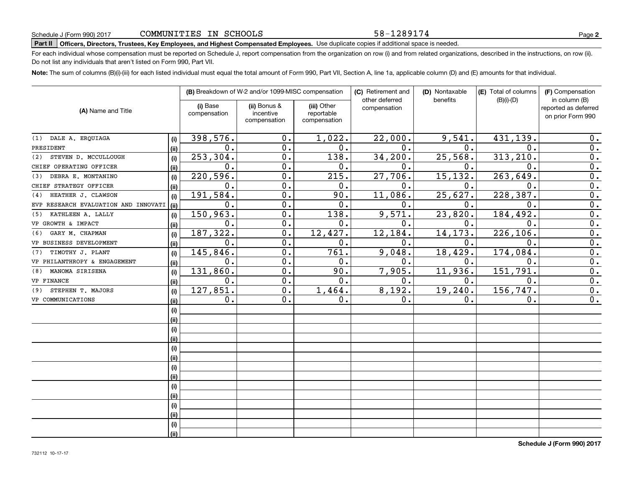# **Part II Officers, Directors, Trustees, Key Employees, and Highest Compensated Employees.**  Schedule J (Form 990) 2017 Page Use duplicate copies if additional space is needed.

For each individual whose compensation must be reported on Schedule J, report compensation from the organization on row (i) and from related organizations, described in the instructions, on row (ii). Do not list any individuals that aren't listed on Form 990, Part VII.

**Note:**  The sum of columns (B)(i)-(iii) for each listed individual must equal the total amount of Form 990, Part VII, Section A, line 1a, applicable column (D) and (E) amounts for that individual.

|                                      |      |                          | (B) Breakdown of W-2 and/or 1099-MISC compensation |                                           |                                | (D) Nontaxable | (E) Total of columns | (F) Compensation                                           |
|--------------------------------------|------|--------------------------|----------------------------------------------------|-------------------------------------------|--------------------------------|----------------|----------------------|------------------------------------------------------------|
| (A) Name and Title                   |      | (i) Base<br>compensation | (ii) Bonus &<br>incentive<br>compensation          | (iii) Other<br>reportable<br>compensation | other deferred<br>compensation | benefits       | $(B)(i)-(D)$         | in column (B)<br>reported as deferred<br>on prior Form 990 |
| DALE A. ERQUIAGA<br>(1)              | (i)  | 398,576.                 | 0.                                                 | 1,022.                                    | 22,000.                        | 9,541.         | 431,139.             | 0.                                                         |
| PRESIDENT                            | (ii) | $\mathbf 0$ .            | $\overline{0}$ .                                   | 0.                                        | $\mathbf{0}$ .                 | $\mathbf{0}$ . | $\Omega$ .           | $\overline{0}$ .                                           |
| STEVEN D. MCCULLOUGH<br>(2)          | (i)  | 253,304.                 | $\overline{0}$ .                                   | 138.                                      | 34, 200.                       | 25,568.        | 313, 210.            | $\overline{0}$ .                                           |
| CHIEF OPERATING OFFICER              | (ii) | $\mathbf 0$ .            | $\overline{0}$ .                                   | 0.                                        | $\mathbf{0}$ .                 | 0.             | $\mathbf 0$ .        | $\overline{0}$ .                                           |
| DEBRA E. MONTANINO<br>(3)            | (i)  | 220,596.                 | 0.                                                 | 215.                                      | 27,706.                        | 15,132.        | 263, 649             | $\overline{0}$ .                                           |
| CHIEF STRATEGY OFFICER               | (ii) | $\mathbf 0$ .            | 0.                                                 | 0.                                        | $\mathbf{0}$ .                 | $\mathbf 0$ .  | $\mathbf 0$          | $\overline{0}$ .                                           |
| HEATHER J. CLAWSON<br>(4)            | (i)  | 191,584.                 | 0.                                                 | 90.                                       | 11,086.                        | 25,627.        | 228, 387.            | 0.                                                         |
| EVP RESEARCH EVALUATION AND INNOVATI | (ii) | $\mathbf 0$ .            | 0.                                                 | 0.                                        | $0$ .                          | 0.             | 0.                   | 0.                                                         |
| KATHLEEN A. LALLY<br>(5)             | (i)  | 150,963.                 | $\overline{0}$ .                                   | 138.                                      | 9,571.                         | 23,820.        | 184, 492.            | $\overline{0}$ .                                           |
| VP GROWTH & IMPACT                   | (ii) | $\mathbf 0$ .            | $\overline{0}$ .                                   | 0.                                        | 0.                             | $\mathbf 0$ .  | $\mathbf 0$ .        | 0.                                                         |
| GARY M. CHAPMAN<br>(6)               | (i)  | 187,322.                 | $\overline{0}$ .                                   | 12, 427.                                  | 12, 184.                       | 14, 173.       | 226, 106.            | $\overline{0}$ .                                           |
| VP BUSINESS DEVELOPMENT              | (ii) | $\mathbf 0$ .            | $\mathbf 0$ .                                      | 0.                                        | 0.                             | 0.             | $\mathbf 0$ .        | $\overline{0}$ .                                           |
| TIMOTHY J. PLANT<br>(7)              | (i)  | 145,846.                 | $\mathbf 0$ .                                      | 761.                                      | 9,048.                         | 18,429.        | 174,084              | $\mathbf 0$ .                                              |
| VP PHILANTHROPY & ENGAGEMENT         | (ii) | $\mathbf 0$ .            | 0.                                                 | 0.                                        | $\mathbf 0$ .                  | 0.             | 0.                   | 0.                                                         |
| MANOMA SIRISENA<br>(8)               | (i)  | 131,860.                 | $\overline{0}$ .                                   | 90.                                       | 7,905.                         | 11,936.        | 151, 791.            | $\overline{0}$ .                                           |
| VP FINANCE                           | (ii) | 0.                       | $\overline{0}$ .                                   | 0.                                        | 0.                             | 0.             | 0.                   | $\overline{0}$ .                                           |
| STEPHEN T. MAJORS<br>(9)             | (i)  | 127,851.                 | $\overline{0}$ .                                   | 1,464.                                    | 8,192.                         | 19,240.        | 156, 747.            | $\overline{0}$ .                                           |
| VP COMMUNICATIONS                    | (ii) | 0.                       | 0.                                                 | 0.                                        | 0.                             | 0.             | 0.                   | 0.                                                         |
|                                      | (i)  |                          |                                                    |                                           |                                |                |                      |                                                            |
|                                      | (i)  |                          |                                                    |                                           |                                |                |                      |                                                            |
|                                      | (i)  |                          |                                                    |                                           |                                |                |                      |                                                            |
|                                      | (ii) |                          |                                                    |                                           |                                |                |                      |                                                            |
|                                      | (i)  |                          |                                                    |                                           |                                |                |                      |                                                            |
|                                      | (ii) |                          |                                                    |                                           |                                |                |                      |                                                            |
|                                      | (i)  |                          |                                                    |                                           |                                |                |                      |                                                            |
|                                      | (ii) |                          |                                                    |                                           |                                |                |                      |                                                            |
|                                      | (i)  |                          |                                                    |                                           |                                |                |                      |                                                            |
|                                      | (ii) |                          |                                                    |                                           |                                |                |                      |                                                            |
|                                      | (i)  |                          |                                                    |                                           |                                |                |                      |                                                            |
|                                      | (ii) |                          |                                                    |                                           |                                |                |                      |                                                            |
|                                      | (i)  |                          |                                                    |                                           |                                |                |                      |                                                            |
|                                      | (ii) |                          |                                                    |                                           |                                |                |                      |                                                            |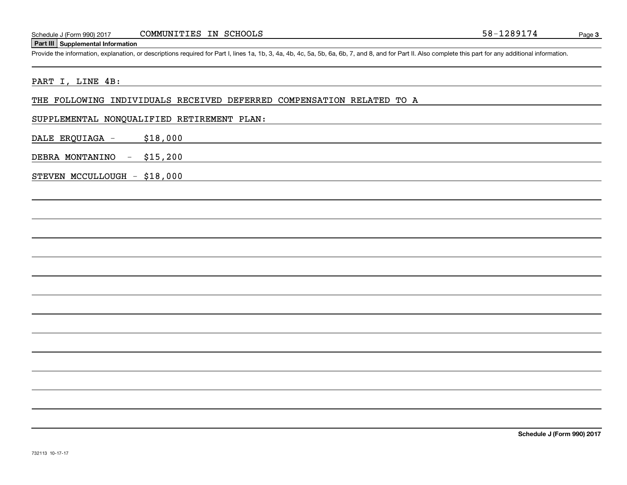#### **Part III Supplemental Information**

Schedule J (Form 990) 2017 COMMUNITIES IN SCHOOLS 58-1289174<br>
Part III Supplemental Information<br>
Provide the information, explanation, or descriptions required for Part I, lines 1a, 1b, 3, 4a, 4b, 4c, 5a, 5b, 6a, 6b, 7, an

#### PART I, LINE 4B:

#### THE FOLLOWING INDIVIDUALS RECEIVED DEFERRED COMPENSATION RELATED TO A

#### SUPPLEMENTAL NONQUALIFIED RETIREMENT PLAN:

DALE ERQUIAGA - \$18,000

DEBRA MONTANINO - \$15,200

STEVEN MCCULLOUGH - \$18,000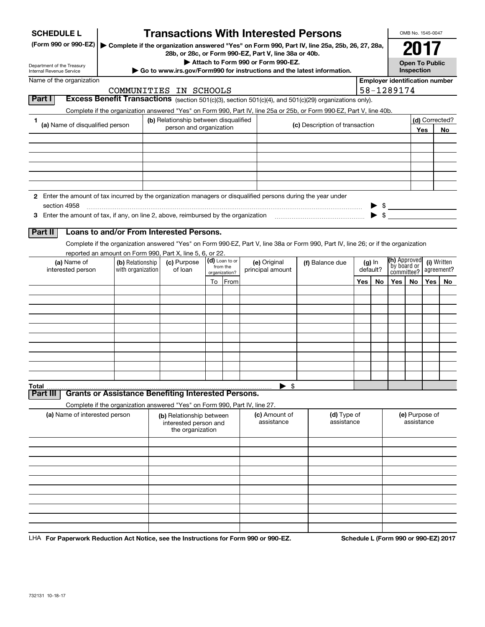| <b>SCHEDULE L</b><br>(Form 990 or 990-EZ)                                                                     |                                                                                                                                    |                                                                  | <b>Transactions With Interested Persons</b>                                         |  |                                             |  |                                    |  | Complete if the organization answered "Yes" on Form 990, Part IV, line 25a, 25b, 26, 27, 28a, |          |          |                                       | OMB No. 1545-0047<br>2017                                                     |     |                      |
|---------------------------------------------------------------------------------------------------------------|------------------------------------------------------------------------------------------------------------------------------------|------------------------------------------------------------------|-------------------------------------------------------------------------------------|--|---------------------------------------------|--|------------------------------------|--|-----------------------------------------------------------------------------------------------|----------|----------|---------------------------------------|-------------------------------------------------------------------------------|-----|----------------------|
| Department of the Treasury<br>Internal Revenue Service                                                        |                                                                                                                                    |                                                                  | 28b, or 28c, or Form 990-EZ, Part V, line 38a or 40b.                               |  |                                             |  | Attach to Form 990 or Form 990-EZ. |  | Go to www.irs.gov/Form990 for instructions and the latest information.                        |          |          |                                       | <b>Open To Public</b><br>Inspection                                           |     |                      |
| Name of the organization                                                                                      |                                                                                                                                    |                                                                  |                                                                                     |  |                                             |  |                                    |  |                                                                                               |          |          | <b>Employer identification number</b> |                                                                               |     |                      |
| Part I                                                                                                        | Excess Benefit Transactions (section 501(c)(3), section 501(c)(4), and 501(c)(29) organizations only).                             |                                                                  | COMMUNITIES IN SCHOOLS                                                              |  |                                             |  |                                    |  |                                                                                               |          |          | 58-1289174                            |                                                                               |     |                      |
|                                                                                                               | Complete if the organization answered "Yes" on Form 990, Part IV, line 25a or 25b, or Form 990-EZ, Part V, line 40b.               |                                                                  |                                                                                     |  |                                             |  |                                    |  |                                                                                               |          |          |                                       |                                                                               |     |                      |
| 1<br>(a) Name of disqualified person                                                                          |                                                                                                                                    | (b) Relationship between disqualified<br>person and organization |                                                                                     |  |                                             |  | (c) Description of transaction     |  |                                                                                               |          |          |                                       |                                                                               | Yes | (d) Corrected?<br>No |
|                                                                                                               |                                                                                                                                    |                                                                  |                                                                                     |  |                                             |  |                                    |  |                                                                                               |          |          |                                       |                                                                               |     |                      |
|                                                                                                               |                                                                                                                                    |                                                                  |                                                                                     |  |                                             |  |                                    |  |                                                                                               |          |          |                                       |                                                                               |     |                      |
|                                                                                                               |                                                                                                                                    |                                                                  |                                                                                     |  |                                             |  |                                    |  |                                                                                               |          |          |                                       |                                                                               |     |                      |
| 2 Enter the amount of tax incurred by the organization managers or disqualified persons during the year under |                                                                                                                                    |                                                                  |                                                                                     |  |                                             |  |                                    |  |                                                                                               |          |          |                                       |                                                                               |     |                      |
| section 4958                                                                                                  |                                                                                                                                    |                                                                  |                                                                                     |  |                                             |  |                                    |  |                                                                                               |          |          | $\blacktriangleright$ \$              |                                                                               |     |                      |
| Part II                                                                                                       | Loans to and/or From Interested Persons.                                                                                           |                                                                  |                                                                                     |  |                                             |  |                                    |  |                                                                                               |          |          |                                       |                                                                               |     |                      |
|                                                                                                               | Complete if the organization answered "Yes" on Form 990-EZ, Part V, line 38a or Form 990, Part IV, line 26; or if the organization |                                                                  |                                                                                     |  |                                             |  |                                    |  |                                                                                               |          |          |                                       |                                                                               |     |                      |
| (a) Name of<br>interested person                                                                              | (b) Relationship<br>with organization                                                                                              |                                                                  | reported an amount on Form 990, Part X, line 5, 6, or 22.<br>(c) Purpose<br>of loan |  | (d) Loan to or<br>from the<br>organization? |  | (e) Original<br>principal amount   |  | (f) Balance due                                                                               | default? | $(g)$ In |                                       | <b>(h)</b> Approved<br>(i) Written<br>by board or<br>agreement?<br>committee? |     |                      |
|                                                                                                               |                                                                                                                                    |                                                                  |                                                                                     |  | To From                                     |  |                                    |  |                                                                                               | Yes      | No       | Yes                                   | No                                                                            | Yes | No.                  |
|                                                                                                               |                                                                                                                                    |                                                                  |                                                                                     |  |                                             |  |                                    |  |                                                                                               |          |          |                                       |                                                                               |     |                      |
|                                                                                                               |                                                                                                                                    |                                                                  |                                                                                     |  |                                             |  |                                    |  |                                                                                               |          |          |                                       |                                                                               |     |                      |
|                                                                                                               |                                                                                                                                    |                                                                  |                                                                                     |  |                                             |  |                                    |  |                                                                                               |          |          |                                       |                                                                               |     |                      |
|                                                                                                               |                                                                                                                                    |                                                                  |                                                                                     |  |                                             |  |                                    |  |                                                                                               |          |          |                                       |                                                                               |     |                      |
|                                                                                                               |                                                                                                                                    |                                                                  |                                                                                     |  |                                             |  |                                    |  |                                                                                               |          |          |                                       |                                                                               |     |                      |
|                                                                                                               |                                                                                                                                    |                                                                  |                                                                                     |  |                                             |  |                                    |  |                                                                                               |          |          |                                       |                                                                               |     |                      |
| Total<br>Part II                                                                                              | <b>Grants or Assistance Benefiting Interested Persons.</b>                                                                         |                                                                  |                                                                                     |  |                                             |  | -\$                                |  |                                                                                               |          |          |                                       |                                                                               |     |                      |
|                                                                                                               | Complete if the organization answered "Yes" on Form 990, Part IV, line 27.                                                         |                                                                  |                                                                                     |  |                                             |  |                                    |  |                                                                                               |          |          |                                       |                                                                               |     |                      |
| (a) Name of interested person                                                                                 |                                                                                                                                    |                                                                  | (b) Relationship between<br>interested person and<br>the organization               |  |                                             |  | (c) Amount of<br>assistance        |  | (d) Type of<br>assistance                                                                     |          |          |                                       | (e) Purpose of<br>assistance                                                  |     |                      |
|                                                                                                               |                                                                                                                                    |                                                                  |                                                                                     |  |                                             |  |                                    |  |                                                                                               |          |          |                                       |                                                                               |     |                      |
|                                                                                                               |                                                                                                                                    |                                                                  |                                                                                     |  |                                             |  |                                    |  |                                                                                               |          |          |                                       |                                                                               |     |                      |
|                                                                                                               |                                                                                                                                    |                                                                  |                                                                                     |  |                                             |  |                                    |  |                                                                                               |          |          |                                       |                                                                               |     |                      |
|                                                                                                               |                                                                                                                                    |                                                                  |                                                                                     |  |                                             |  |                                    |  |                                                                                               |          |          |                                       |                                                                               |     |                      |
|                                                                                                               |                                                                                                                                    |                                                                  |                                                                                     |  |                                             |  |                                    |  |                                                                                               |          |          |                                       |                                                                               |     |                      |
|                                                                                                               |                                                                                                                                    |                                                                  |                                                                                     |  |                                             |  |                                    |  |                                                                                               |          |          |                                       |                                                                               |     |                      |
|                                                                                                               |                                                                                                                                    |                                                                  |                                                                                     |  |                                             |  |                                    |  |                                                                                               |          |          |                                       |                                                                               |     |                      |

LHA For Paperwork Reduction Act Notice, see the Instructions for Form 990 or 990-EZ. Schedule L (Form 990 or 990-EZ) 2017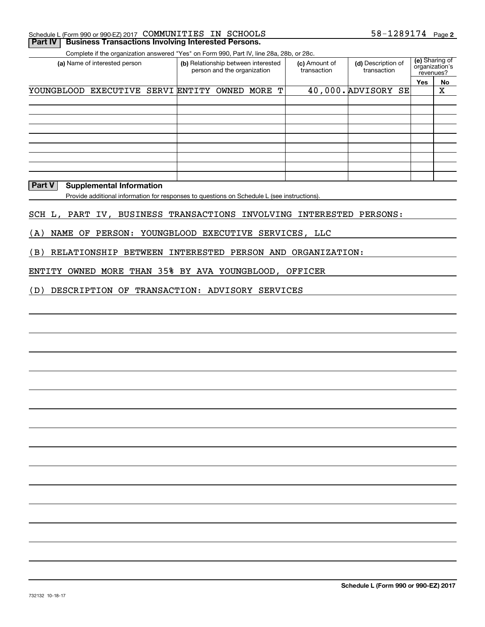|  | Schedule L (Form 990 or 990-EZ) 2017 COMMUNITIES IN SCHOOLS          |  | $58 - 1289174$ Page 2 |  |
|--|----------------------------------------------------------------------|--|-----------------------|--|
|  | <b>Part IV   Business Transactions Involving Interested Persons.</b> |  |                       |  |

Complete if the organization answered "Yes" on Form 990, Part IV, line 28a, 28b, or 28c.

| (a) Name of interested person    |  |  | (b) Relationship between interested<br>person and the organization |  | (d) Description of<br>(c) Amount of<br>transaction<br>transaction |  | (e) Sharing of<br>organization's<br>revenues? |     |    |
|----------------------------------|--|--|--------------------------------------------------------------------|--|-------------------------------------------------------------------|--|-----------------------------------------------|-----|----|
|                                  |  |  |                                                                    |  |                                                                   |  |                                               | Yes | No |
| YOUNGBLOOD EXECUTIVE SERVIENTITY |  |  |                                                                    |  | OWNED MORE T                                                      |  | 40,000. ADVISORY SE                           |     | х  |
|                                  |  |  |                                                                    |  |                                                                   |  |                                               |     |    |
|                                  |  |  |                                                                    |  |                                                                   |  |                                               |     |    |
|                                  |  |  |                                                                    |  |                                                                   |  |                                               |     |    |
|                                  |  |  |                                                                    |  |                                                                   |  |                                               |     |    |
|                                  |  |  |                                                                    |  |                                                                   |  |                                               |     |    |
|                                  |  |  |                                                                    |  |                                                                   |  |                                               |     |    |
|                                  |  |  |                                                                    |  |                                                                   |  |                                               |     |    |
|                                  |  |  |                                                                    |  |                                                                   |  |                                               |     |    |
|                                  |  |  |                                                                    |  |                                                                   |  |                                               |     |    |

# **Part V** Supplemental Information

Provide additional information for responses to questions on Schedule L (see instructions).

## SCH L, PART IV, BUSINESS TRANSACTIONS INVOLVING INTERESTED PERSONS:

(A) NAME OF PERSON: YOUNGBLOOD EXECUTIVE SERVICES, LLC

(B) RELATIONSHIP BETWEEN INTERESTED PERSON AND ORGANIZATION:

# ENTITY OWNED MORE THAN 35% BY AVA YOUNGBLOOD, OFFICER

(D) DESCRIPTION OF TRANSACTION: ADVISORY SERVICES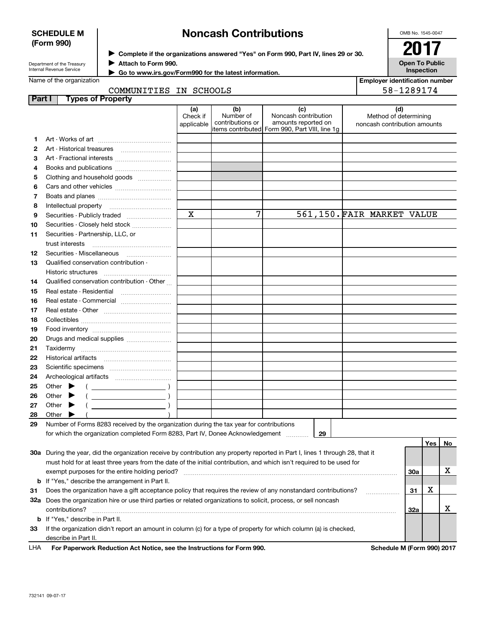| Department of the Treasury<br>Internal Revenue Service |  |
|--------------------------------------------------------|--|
| Name of the organization                               |  |

**SCHEDULE M (Form 990)**

# **Noncash Contributions**

 $\blacktriangleright$  Complete if the organizations answered "Yes" on Form 990, Part IV, lines 29 or 30.  $\vert$   $\vert$   $\rm{2017}$ **Attach to Form 990.** J

 **Go to www.irs.gov/Form990 for the latest information.** J

COMMUNITIES IN SCHOOLS

| Part I |                                                                                                                | <b>Types of Property</b>                                                                                                            |                               |                                      |                                                                                                       |                                                              |     |     |           |
|--------|----------------------------------------------------------------------------------------------------------------|-------------------------------------------------------------------------------------------------------------------------------------|-------------------------------|--------------------------------------|-------------------------------------------------------------------------------------------------------|--------------------------------------------------------------|-----|-----|-----------|
|        |                                                                                                                |                                                                                                                                     | (a)<br>Check if<br>applicable | (b)<br>Number of<br>contributions or | (c)<br>Noncash contribution<br>amounts reported on<br>litems contributed Form 990, Part VIII, line 1g | (d)<br>Method of determining<br>noncash contribution amounts |     |     |           |
| 1      |                                                                                                                |                                                                                                                                     |                               |                                      |                                                                                                       |                                                              |     |     |           |
| 2      |                                                                                                                |                                                                                                                                     |                               |                                      |                                                                                                       |                                                              |     |     |           |
| з      |                                                                                                                | Art - Fractional interests                                                                                                          |                               |                                      |                                                                                                       |                                                              |     |     |           |
| 4      |                                                                                                                | Books and publications                                                                                                              |                               |                                      |                                                                                                       |                                                              |     |     |           |
| 5      |                                                                                                                | Clothing and household goods                                                                                                        |                               |                                      |                                                                                                       |                                                              |     |     |           |
| 6      |                                                                                                                |                                                                                                                                     |                               |                                      |                                                                                                       |                                                              |     |     |           |
| 7      |                                                                                                                |                                                                                                                                     |                               |                                      |                                                                                                       |                                                              |     |     |           |
| 8      |                                                                                                                | Intellectual property                                                                                                               |                               |                                      |                                                                                                       |                                                              |     |     |           |
| 9      |                                                                                                                | Securities - Publicly traded                                                                                                        | $\mathbf x$                   | 7                                    |                                                                                                       | 561,150. FAIR MARKET VALUE                                   |     |     |           |
|        |                                                                                                                |                                                                                                                                     |                               |                                      |                                                                                                       |                                                              |     |     |           |
| 10     |                                                                                                                | Securities - Closely held stock                                                                                                     |                               |                                      |                                                                                                       |                                                              |     |     |           |
| 11     |                                                                                                                | Securities - Partnership, LLC, or                                                                                                   |                               |                                      |                                                                                                       |                                                              |     |     |           |
|        |                                                                                                                | trust interests<br>Securities - Miscellaneous                                                                                       |                               |                                      |                                                                                                       |                                                              |     |     |           |
| 12     |                                                                                                                | Qualified conservation contribution -                                                                                               |                               |                                      |                                                                                                       |                                                              |     |     |           |
| 13     |                                                                                                                | Historic structures                                                                                                                 |                               |                                      |                                                                                                       |                                                              |     |     |           |
|        |                                                                                                                | Qualified conservation contribution - Other                                                                                         |                               |                                      |                                                                                                       |                                                              |     |     |           |
| 14     |                                                                                                                |                                                                                                                                     |                               |                                      |                                                                                                       |                                                              |     |     |           |
| 15     |                                                                                                                | Real estate - Residential                                                                                                           |                               |                                      |                                                                                                       |                                                              |     |     |           |
| 16     |                                                                                                                | Real estate - Commercial                                                                                                            |                               |                                      |                                                                                                       |                                                              |     |     |           |
| 17     |                                                                                                                |                                                                                                                                     |                               |                                      |                                                                                                       |                                                              |     |     |           |
| 18     |                                                                                                                |                                                                                                                                     |                               |                                      |                                                                                                       |                                                              |     |     |           |
| 19     |                                                                                                                |                                                                                                                                     |                               |                                      |                                                                                                       |                                                              |     |     |           |
| 20     |                                                                                                                | Drugs and medical supplies                                                                                                          |                               |                                      |                                                                                                       |                                                              |     |     |           |
| 21     |                                                                                                                |                                                                                                                                     |                               |                                      |                                                                                                       |                                                              |     |     |           |
| 22     |                                                                                                                |                                                                                                                                     |                               |                                      |                                                                                                       |                                                              |     |     |           |
| 23     |                                                                                                                |                                                                                                                                     |                               |                                      |                                                                                                       |                                                              |     |     |           |
| 24     |                                                                                                                |                                                                                                                                     |                               |                                      |                                                                                                       |                                                              |     |     |           |
| 25     | Other                                                                                                          |                                                                                                                                     |                               |                                      |                                                                                                       |                                                              |     |     |           |
| 26     | Other                                                                                                          |                                                                                                                                     |                               |                                      |                                                                                                       |                                                              |     |     |           |
| 27     | Other                                                                                                          |                                                                                                                                     |                               |                                      |                                                                                                       |                                                              |     |     |           |
| 28     | Other                                                                                                          |                                                                                                                                     |                               |                                      |                                                                                                       |                                                              |     |     |           |
| 29     |                                                                                                                | Number of Forms 8283 received by the organization during the tax year for contributions                                             |                               |                                      |                                                                                                       |                                                              |     |     |           |
|        |                                                                                                                | for which the organization completed Form 8283, Part IV, Donee Acknowledgement                                                      |                               |                                      | 29                                                                                                    |                                                              |     |     |           |
|        |                                                                                                                |                                                                                                                                     |                               |                                      |                                                                                                       |                                                              |     | Yes | No        |
|        |                                                                                                                | 30a During the year, did the organization receive by contribution any property reported in Part I, lines 1 through 28, that it      |                               |                                      |                                                                                                       |                                                              |     |     |           |
|        |                                                                                                                | must hold for at least three years from the date of the initial contribution, and which isn't required to be used for               |                               |                                      |                                                                                                       |                                                              |     |     |           |
|        |                                                                                                                | exempt purposes for the entire holding period?                                                                                      |                               |                                      |                                                                                                       |                                                              | 30a |     | х         |
|        |                                                                                                                | <b>b</b> If "Yes," describe the arrangement in Part II.                                                                             |                               |                                      |                                                                                                       |                                                              |     |     |           |
| 31     | Does the organization have a gift acceptance policy that requires the review of any nonstandard contributions? |                                                                                                                                     |                               |                                      |                                                                                                       | 31                                                           | х   |     |           |
|        |                                                                                                                | 32a Does the organization hire or use third parties or related organizations to solicit, process, or sell noncash<br>contributions? |                               |                                      |                                                                                                       |                                                              | 32a |     | x         |
|        |                                                                                                                | <b>b</b> If "Yes," describe in Part II.                                                                                             |                               |                                      |                                                                                                       |                                                              |     |     |           |
| 33     |                                                                                                                | If the organization didn't report an amount in column (c) for a type of property for which column (a) is checked,                   |                               |                                      |                                                                                                       |                                                              |     |     |           |
|        |                                                                                                                | describe in Part II.                                                                                                                |                               |                                      |                                                                                                       |                                                              |     |     |           |
|        |                                                                                                                |                                                                                                                                     |                               |                                      |                                                                                                       |                                                              | BA  |     | 0.0010047 |

**For Paperwork Reduction Act Notice, see the Instructions for Form 990. Schedule M (Form 990) 2017** LHA

OMB No. 1545-0047

**Inspection**

|                       | ZU 17 |  |
|-----------------------|-------|--|
| <b>Open To Public</b> |       |  |

**Employer identification number**

58-1289174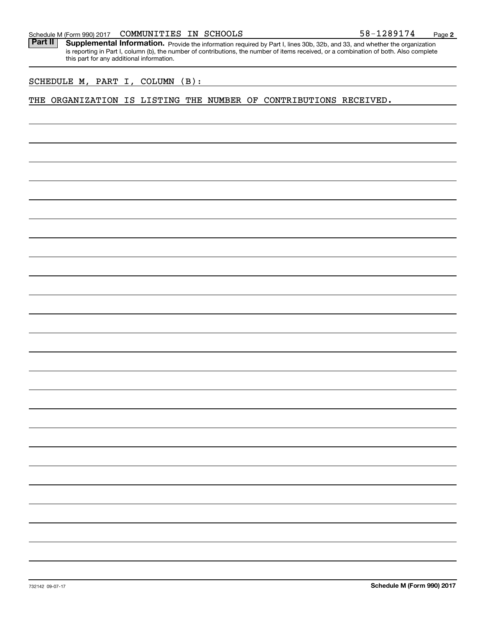Part II | Supplemental Information. Provide the information required by Part I, lines 30b, 32b, and 33, and whether the organization is reporting in Part I, column (b), the number of contributions, the number of items received, or a combination of both. Also complete this part for any additional information.

SCHEDULE M, PART I, COLUMN (B):

THE ORGANIZATION IS LISTING THE NUMBER OF CONTRIBUTIONS RECEIVED.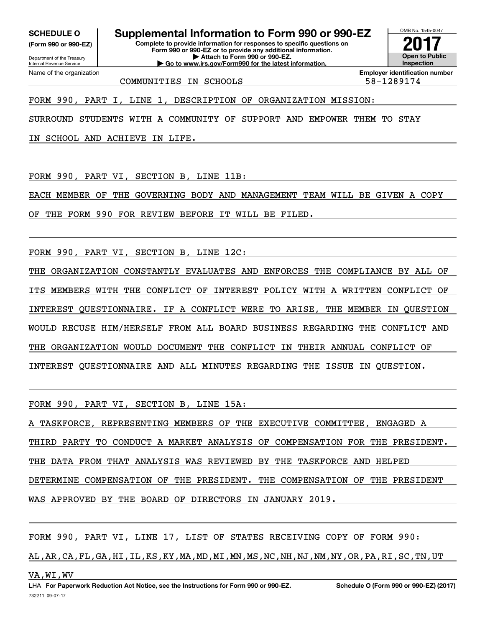Internal Revenue Service

Department of the Treasury **(Form 990 or 990-EZ)**

Name of the organization

**Complete to provide information for responses to specific questions on Form 990 or 990-EZ or to provide any additional information. | Attach to Form 990 or 990-EZ. | Go to www.irs.gov/Form990 for the latest information. SCHEDULE O Supplemental Information to Form 990 or 990-EZ**

OMB No. 1545-0047 **Open to Public InspectionEmployer identification number 2017**

COMMUNITIES IN SCHOOLS 58-1289174

FORM 990, PART I, LINE 1, DESCRIPTION OF ORGANIZATION MISSION:

SURROUND STUDENTS WITH A COMMUNITY OF SUPPORT AND EMPOWER THEM TO STAY

IN SCHOOL AND ACHIEVE IN LIFE.

FORM 990, PART VI, SECTION B, LINE 11B:

EACH MEMBER OF THE GOVERNING BODY AND MANAGEMENT TEAM WILL BE GIVEN A COPY

OF THE FORM 990 FOR REVIEW BEFORE IT WILL BE FILED.

FORM 990, PART VI, SECTION B, LINE 12C:

THE ORGANIZATION CONSTANTLY EVALUATES AND ENFORCES THE COMPLIANCE BY ALL OF ITS MEMBERS WITH THE CONFLICT OF INTEREST POLICY WITH A WRITTEN CONFLICT OF INTEREST QUESTIONNAIRE. IF A CONFLICT WERE TO ARISE, THE MEMBER IN QUESTION WOULD RECUSE HIM/HERSELF FROM ALL BOARD BUSINESS REGARDING THE CONFLICT AND THE ORGANIZATION WOULD DOCUMENT THE CONFLICT IN THEIR ANNUAL CONFLICT OF INTEREST QUESTIONNAIRE AND ALL MINUTES REGARDING THE ISSUE IN QUESTION.

FORM 990, PART VI, SECTION B, LINE 15A:

A TASKFORCE, REPRESENTING MEMBERS OF THE EXECUTIVE COMMITTEE, ENGAGED A THIRD PARTY TO CONDUCT A MARKET ANALYSIS OF COMPENSATION FOR THE PRESIDENT. THE DATA FROM THAT ANALYSIS WAS REVIEWED BY THE TASKFORCE AND HELPED DETERMINE COMPENSATION OF THE PRESIDENT. THE COMPENSATION OF THE PRESIDENT WAS APPROVED BY THE BOARD OF DIRECTORS IN JANUARY 2019.

FORM 990, PART VI, LINE 17, LIST OF STATES RECEIVING COPY OF FORM 990:

AL,AR,CA,FL,GA,HI,IL,KS,KY,MA,MD,MI,MN,MS,NC,NH,NJ,NM,NY,OR,PA,RI,SC,TN,UT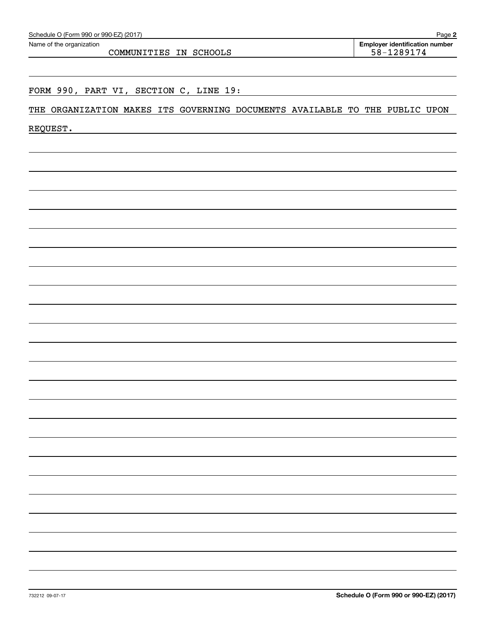| Schedule O (Form 990 or 990-EZ) (2017) |  |  |  |
|----------------------------------------|--|--|--|
|----------------------------------------|--|--|--|

COMMUNITIES IN SCHOOLS 58-1289174

# FORM 990, PART VI, SECTION C, LINE 19:

# THE ORGANIZATION MAKES ITS GOVERNING DOCUMENTS AVAILABLE TO THE PUBLIC UPON

REQUEST.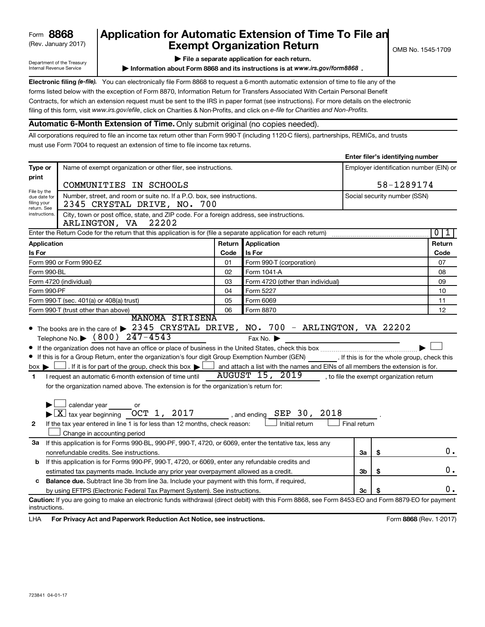# (Rev. January 2017) **Exempt Organization Return** and  $\overline{\text{C}}$  OMB No. 1545-1709 **8868 Application for Automatic Extension of Time To File an**

**| File a separate application for each return.**

**Information about Form 8868 and its instructions is at www.irs.gov/form8868.** 

**Enter filer's identifying number**

Department of the Treasury Internal Revenue Service

Electronic filing (e-file). You can electronically file Form 8868 to request a 6-month automatic extension of time to file any of the filing of this form, visit www.irs.gov/efile, click on Charities & Non-Profits, and click on e-file for Charities and Non-Profits. forms listed below with the exception of Form 8870, Information Return for Transfers Associated With Certain Personal Benefit Contracts, for which an extension request must be sent to the IRS in paper format (see instructions). For more details on the electronic

# **Automatic 6-Month Extension of Time.** Only submit original (no copies needed).

All corporations required to file an income tax return other than Form 990-T (including 1120-C filers), partnerships, REMICs, and trusts must use Form 7004 to request an extension of time to file income tax returns.

|                                                |                                                                                                                                                                                                                                                                                                                                                                                                                                                                                                                                                                                                                    |      |                                                                                            |              | Enter mer 3 identifying number          |                              |
|------------------------------------------------|--------------------------------------------------------------------------------------------------------------------------------------------------------------------------------------------------------------------------------------------------------------------------------------------------------------------------------------------------------------------------------------------------------------------------------------------------------------------------------------------------------------------------------------------------------------------------------------------------------------------|------|--------------------------------------------------------------------------------------------|--------------|-----------------------------------------|------------------------------|
| Type or                                        | Name of exempt organization or other filer, see instructions.                                                                                                                                                                                                                                                                                                                                                                                                                                                                                                                                                      |      |                                                                                            |              | Employer identification number (EIN) or |                              |
| print                                          |                                                                                                                                                                                                                                                                                                                                                                                                                                                                                                                                                                                                                    |      |                                                                                            |              |                                         |                              |
| File by the                                    | COMMUNITIES IN SCHOOLS                                                                                                                                                                                                                                                                                                                                                                                                                                                                                                                                                                                             |      | 58-1289174                                                                                 |              |                                         |                              |
| due date for<br>filing your<br>return. See     | Number, street, and room or suite no. If a P.O. box, see instructions.<br>2345 CRYSTAL DRIVE, NO. 700                                                                                                                                                                                                                                                                                                                                                                                                                                                                                                              |      |                                                                                            |              |                                         | Social security number (SSN) |
| instructions.                                  | City, town or post office, state, and ZIP code. For a foreign address, see instructions.<br>ARLINGTON, VA 22202                                                                                                                                                                                                                                                                                                                                                                                                                                                                                                    |      |                                                                                            |              |                                         |                              |
|                                                | Enter the Return Code for the return that this application is for (file a separate application for each return)                                                                                                                                                                                                                                                                                                                                                                                                                                                                                                    |      |                                                                                            |              |                                         | 0 <sup>1</sup><br>ı          |
| Application                                    |                                                                                                                                                                                                                                                                                                                                                                                                                                                                                                                                                                                                                    |      | Return Application                                                                         |              |                                         | Return                       |
| Is For                                         |                                                                                                                                                                                                                                                                                                                                                                                                                                                                                                                                                                                                                    | Code | Is For                                                                                     |              |                                         | Code                         |
|                                                | Form 990 or Form 990-EZ                                                                                                                                                                                                                                                                                                                                                                                                                                                                                                                                                                                            | 01   | Form 990-T (corporation)                                                                   |              |                                         | 07                           |
| Form 990-BL                                    |                                                                                                                                                                                                                                                                                                                                                                                                                                                                                                                                                                                                                    | 02   | Form 1041 A                                                                                |              |                                         | 08                           |
|                                                | Form 4720 (individual)                                                                                                                                                                                                                                                                                                                                                                                                                                                                                                                                                                                             | 03   | Form 4720 (other than individual)                                                          |              |                                         | 09                           |
| Form 990-PF                                    |                                                                                                                                                                                                                                                                                                                                                                                                                                                                                                                                                                                                                    | 04   | Form 5227                                                                                  |              |                                         | 10                           |
|                                                | Form 990-T (sec. 401(a) or 408(a) trust)                                                                                                                                                                                                                                                                                                                                                                                                                                                                                                                                                                           | 05   | Form 6069                                                                                  |              |                                         | 11                           |
|                                                | 06<br>Form 990-T (trust other than above)<br>Form 8870                                                                                                                                                                                                                                                                                                                                                                                                                                                                                                                                                             |      |                                                                                            |              | 12                                      |                              |
| $box \blacktriangleright$<br>1<br>$\mathbf{2}$ | If this is for a Group Return, enter the organization's four digit Group Exemption Number (GEN) [16] . If this is for the whole group, check this<br>I and attach a list with the names and EINs of all members the extension is for.<br>I request an automatic 6-month extension of time until<br>for the organization named above. The extension is for the organization's return for:<br>$\Box$ calendar year $\_\_$ or<br>$\blacktriangleright$ $\boxed{\text{X}}$ tax year beginning $\boxed{\text{OCT}}$ 1, 2017 , and ending<br>If the tax year entered in line 1 is for less than 12 months, check reason: |      | AUGUST 15, 2019 , to file the exempt organization return<br>SEP 30, 2018<br>Initial return | Final return |                                         |                              |
|                                                | Change in accounting period                                                                                                                                                                                                                                                                                                                                                                                                                                                                                                                                                                                        |      |                                                                                            |              |                                         |                              |
| 3a                                             | If this application is for Forms 990-BL, 990-PF, 990-T, 4720, or 6069, enter the tentative tax, less any                                                                                                                                                                                                                                                                                                                                                                                                                                                                                                           |      |                                                                                            |              |                                         |                              |
|                                                | nonrefundable credits. See instructions.                                                                                                                                                                                                                                                                                                                                                                                                                                                                                                                                                                           |      |                                                                                            | За           | \$                                      | 0.                           |
| b                                              | If this application is for Forms 990-PF, 990-T, 4720, or 6069, enter any refundable credits and                                                                                                                                                                                                                                                                                                                                                                                                                                                                                                                    |      |                                                                                            |              |                                         |                              |
|                                                | estimated tax payments made. Include any prior year overpayment allowed as a credit.                                                                                                                                                                                                                                                                                                                                                                                                                                                                                                                               |      |                                                                                            | 3b           | \$                                      | 0.                           |
| c                                              | Balance due. Subtract line 3b from line 3a. Include your payment with this form, if required,                                                                                                                                                                                                                                                                                                                                                                                                                                                                                                                      |      |                                                                                            |              |                                         |                              |
|                                                | by using EFTPS (Electronic Federal Tax Payment System). See instructions.                                                                                                                                                                                                                                                                                                                                                                                                                                                                                                                                          |      |                                                                                            | Зс           |                                         | 0.                           |
| instructions.                                  | Caution: If you are going to make an electronic funds withdrawal (direct debit) with this Form 8868, see Form 8453-EO and Form 8879-EO for payment                                                                                                                                                                                                                                                                                                                                                                                                                                                                 |      |                                                                                            |              |                                         |                              |
| LHA                                            | For Privacy Act and Paperwork Reduction Act Notice, see instructions.                                                                                                                                                                                                                                                                                                                                                                                                                                                                                                                                              |      |                                                                                            |              |                                         | Form 8868 (Rev. 1-2017)      |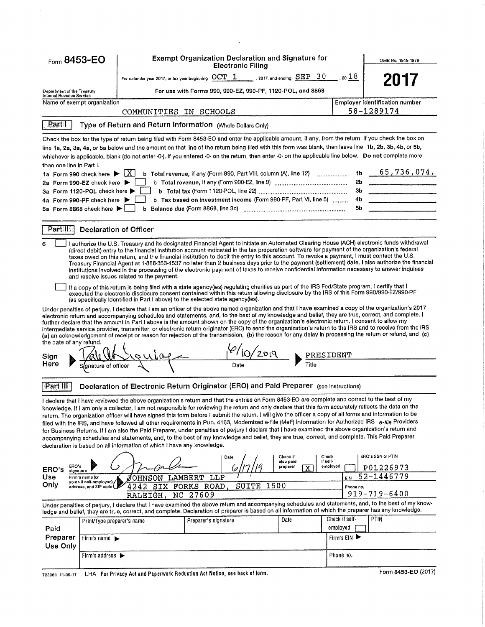| <b>Exempt Organization Declaration and Signature for</b><br>Form 8453-EO<br>OMB No. 1545-1879<br><b>Electronic Filing</b><br>For calendar year 2017, or tax year beginning $OCT-1$ , 2017, and ending $SEP-30$<br>$_{.20}$ 18<br>2017<br>For use with Forms 990, 990-EZ, 990-PF, 1120-POL, and 8868<br>Department of the Treasury<br>Internal Revenue Service<br><b>Employer identification number</b><br>Name of exempt organization<br>58-1289174<br>COMMUNITIES IN SCHOOLS<br><b>Part</b><br>Type of Return and Return Information (Whole Dollars Only)<br>Check the box for the type of return being filed with Form 8453-EO and enter the applicable amount, if any, from the return. If you check the box on<br>line 1a, 2a, 3a, 4a, or 5a below and the amount on that line of the return being filed with this form was blank, then leave line 1b, 2b, 3b, 4b, or 5b,<br>whichever is applicable, blank (do not enter -0-). If you entered -0- on the return, then enter -0- on the applicable line below. Do not complete more<br>than one line in Part I.<br> X <br>b Total revenue, if any (Form 990, Part VIII, column (A), line 12)<br>1b<br>1a Form 990 check here ▶<br>2b<br>2a Form 990-EZ check here ▶<br>3 <sub>b</sub><br>3a Form 1120-POL check here<br>b Tax based on investment income (Form 990-PF, Part VI, line 5)<br>4b<br>4a Form 990-PF check here ▶<br>5b<br>b<br>5a Form 8868 check here ▶<br>Part II<br>Declaration of Officer<br>I authorize the U.S. Treasury and its designated Financial Agent to initiate an Automated Clearing House (ACH) electronic funds withdrawal<br>(direct debit) entry to the financial institution account indicated in the tax preparation software for payment of the organization's federal<br>taxes owed on this return, and the financial institution to debit the entry to this account. To revoke a payment, I must contact the U.S.<br>Treasury Financial Agent at 1 888 353 4537 no later than 2 business days prior to the payment (settlement) date. I also authorize the financial<br>institutions involved in the processing of the electronic payment of taxes to receive confidential information necessary to answer inquiries<br>and resolve issues related to the payment.<br>If a copy of this return is being filed with a state agency(ies) regulating charities as part of the IRS Fed/State program, I certify that I<br>executed the electronic disclosure consent contained within this return allowing disclosure by the IRS of this Form 990/990 EZ/990 PF<br>(as specifically identified in Part I above) to the selected state agency (ies).<br>Under penalties of perjury, I declare that I am an officer of the above named organization and that I have examined a copy of the organization's 2017<br>electronic return and accompanying schedules and statements, and, to the best of my knowledge and belief, they are true, correct, and complete. I<br>further declare that the amount in Part I above is the amount shown on the copy of the organization's electronic return. I consent to allow my<br>intermediate service provider, transmitter, or electronic return originator (ERO) to send the organization's return to the IRS and to receive from the IRS<br>(a) an acknowledgement of receipt or reason for rejection of the transmission. (b) the reason for any delay in processing the return or refund, and (c)<br>the date of any refund.<br>$\frac{10}{200}$<br>$Q(\lambda)$<br>PRESIDENT<br>Sign<br>Here<br>Title<br>Date<br>gnature of officer<br>Declaration of Electronic Return Originator (ERO) and Paid Preparer (see instructions)<br>Part III<br>I declare that I have reviewed the above organization's return and that the entries on Form 8453-EO are complete and correct to the best of my<br>knowledge. If I am only a collector, I am not responsible for reviewing the return and only declare that this form accurately reflects the data on the<br>return. The organization officer will have signed this form before I submit the return. I will give the officer a copy of all forms and information to be<br>filed with the IRS, and have followed all other requirements in Pub. 4163, Modernized e File (MeF) Information for Authorized IRS e-file Providers<br>for Business Returns. If I am also the Paid Preparer, under penalties of perjury I declare that I have examined the above organization's return and<br>accompanying schedules and statements, and, to the best of my knowledge and belief, they are true, correct, and complete. This Paid Preparer<br>declaration is based on all information of which I have any knowledge.<br>ERO's SSN or PTIN<br>Check<br>Check if<br>Date<br>if self-<br>also paid<br>ERO's<br>employed<br>preparer<br>P01226973<br>$\mathbf{x}$<br>ERO's<br>signature<br>52-1446779<br>Use<br>LAMBERT<br>LLP<br>Firm's name (or<br>JOHNSON<br>EIN<br>yours if self-employed),<br>Only<br>SUITE<br>1500<br>SIX FORKS ROAD,<br>4242<br>address, and ZIP code (<br>Phone no.<br>919-719-6400<br>NC 27609<br><b>RALEIGH</b><br>Under penalties of perjury, I declare that I have examined the above return and accompanying schedules and statements, and, to the best of my know-<br>ledge and belief, they are true, correct, and complete. Declaration of preparer is based on all information of which the preparer has any knowledge.<br>Check if self-<br><b>PTIN</b><br>Date<br>Preparer's signature<br>Print/Type preparer's name<br>employed<br>Paid<br>Preparer<br>Firm's EIN<br>Firm's name $\blacktriangleright$<br>Use Only<br>Firm's address $\blacktriangleright$<br>Phone no.<br>LHA For Privacy Act and Paperwork Reduction Act Notice, see back of form.<br>723061 11-09-17 |  |  |  |                     |
|------------------------------------------------------------------------------------------------------------------------------------------------------------------------------------------------------------------------------------------------------------------------------------------------------------------------------------------------------------------------------------------------------------------------------------------------------------------------------------------------------------------------------------------------------------------------------------------------------------------------------------------------------------------------------------------------------------------------------------------------------------------------------------------------------------------------------------------------------------------------------------------------------------------------------------------------------------------------------------------------------------------------------------------------------------------------------------------------------------------------------------------------------------------------------------------------------------------------------------------------------------------------------------------------------------------------------------------------------------------------------------------------------------------------------------------------------------------------------------------------------------------------------------------------------------------------------------------------------------------------------------------------------------------------------------------------------------------------------------------------------------------------------------------------------------------------------------------------------------------------------------------------------------------------------------------------------------------------------------------------------------------------------------------------------------------------------------------------------------------------------------------------------------------------------------------------------------------------------------------------------------------------------------------------------------------------------------------------------------------------------------------------------------------------------------------------------------------------------------------------------------------------------------------------------------------------------------------------------------------------------------------------------------------------------------------------------------------------------------------------------------------------------------------------------------------------------------------------------------------------------------------------------------------------------------------------------------------------------------------------------------------------------------------------------------------------------------------------------------------------------------------------------------------------------------------------------------------------------------------------------------------------------------------------------------------------------------------------------------------------------------------------------------------------------------------------------------------------------------------------------------------------------------------------------------------------------------------------------------------------------------------------------------------------------------------------------------------------------------------------------------------------------------------------------------------------------------------------------------------------------------------------------------------------------------------------------------------------------------------------------------------------------------------------------------------------------------------------------------------------------------------------------------------------------------------------------------------------------------------------------------------------------------------------------------------------------------------------------------------------------------------------------------------------------------------------------------------------------------------------------------------------------------------------------------------------------------------------------------------------------------------------------------------------------------------------------------------------------------------------------------------------------------------------------------------------------------------------------------------------------------------------------------------------------------------------------------------------------------------------------------------------------------------------------------------------------------------------------------------------------------------------------------------------------------------------------------------------------------------------------------------------------------------------------------------------------------------------------------------------------------------------------------------------------------------------------------------------------------------------------------------------------------------------------------------------------------------------------------------------------------------------------------------------------------------------------------------------------------------------------------------------------|--|--|--|---------------------|
|                                                                                                                                                                                                                                                                                                                                                                                                                                                                                                                                                                                                                                                                                                                                                                                                                                                                                                                                                                                                                                                                                                                                                                                                                                                                                                                                                                                                                                                                                                                                                                                                                                                                                                                                                                                                                                                                                                                                                                                                                                                                                                                                                                                                                                                                                                                                                                                                                                                                                                                                                                                                                                                                                                                                                                                                                                                                                                                                                                                                                                                                                                                                                                                                                                                                                                                                                                                                                                                                                                                                                                                                                                                                                                                                                                                                                                                                                                                                                                                                                                                                                                                                                                                                                                                                                                                                                                                                                                                                                                                                                                                                                                                                                                                                                                                                                                                                                                                                                                                                                                                                                                                                                                                                                                                                                                                                                                                                                                                                                                                                                                                                                                                                                                                                                                              |  |  |  |                     |
|                                                                                                                                                                                                                                                                                                                                                                                                                                                                                                                                                                                                                                                                                                                                                                                                                                                                                                                                                                                                                                                                                                                                                                                                                                                                                                                                                                                                                                                                                                                                                                                                                                                                                                                                                                                                                                                                                                                                                                                                                                                                                                                                                                                                                                                                                                                                                                                                                                                                                                                                                                                                                                                                                                                                                                                                                                                                                                                                                                                                                                                                                                                                                                                                                                                                                                                                                                                                                                                                                                                                                                                                                                                                                                                                                                                                                                                                                                                                                                                                                                                                                                                                                                                                                                                                                                                                                                                                                                                                                                                                                                                                                                                                                                                                                                                                                                                                                                                                                                                                                                                                                                                                                                                                                                                                                                                                                                                                                                                                                                                                                                                                                                                                                                                                                                              |  |  |  |                     |
|                                                                                                                                                                                                                                                                                                                                                                                                                                                                                                                                                                                                                                                                                                                                                                                                                                                                                                                                                                                                                                                                                                                                                                                                                                                                                                                                                                                                                                                                                                                                                                                                                                                                                                                                                                                                                                                                                                                                                                                                                                                                                                                                                                                                                                                                                                                                                                                                                                                                                                                                                                                                                                                                                                                                                                                                                                                                                                                                                                                                                                                                                                                                                                                                                                                                                                                                                                                                                                                                                                                                                                                                                                                                                                                                                                                                                                                                                                                                                                                                                                                                                                                                                                                                                                                                                                                                                                                                                                                                                                                                                                                                                                                                                                                                                                                                                                                                                                                                                                                                                                                                                                                                                                                                                                                                                                                                                                                                                                                                                                                                                                                                                                                                                                                                                                              |  |  |  |                     |
|                                                                                                                                                                                                                                                                                                                                                                                                                                                                                                                                                                                                                                                                                                                                                                                                                                                                                                                                                                                                                                                                                                                                                                                                                                                                                                                                                                                                                                                                                                                                                                                                                                                                                                                                                                                                                                                                                                                                                                                                                                                                                                                                                                                                                                                                                                                                                                                                                                                                                                                                                                                                                                                                                                                                                                                                                                                                                                                                                                                                                                                                                                                                                                                                                                                                                                                                                                                                                                                                                                                                                                                                                                                                                                                                                                                                                                                                                                                                                                                                                                                                                                                                                                                                                                                                                                                                                                                                                                                                                                                                                                                                                                                                                                                                                                                                                                                                                                                                                                                                                                                                                                                                                                                                                                                                                                                                                                                                                                                                                                                                                                                                                                                                                                                                                                              |  |  |  |                     |
|                                                                                                                                                                                                                                                                                                                                                                                                                                                                                                                                                                                                                                                                                                                                                                                                                                                                                                                                                                                                                                                                                                                                                                                                                                                                                                                                                                                                                                                                                                                                                                                                                                                                                                                                                                                                                                                                                                                                                                                                                                                                                                                                                                                                                                                                                                                                                                                                                                                                                                                                                                                                                                                                                                                                                                                                                                                                                                                                                                                                                                                                                                                                                                                                                                                                                                                                                                                                                                                                                                                                                                                                                                                                                                                                                                                                                                                                                                                                                                                                                                                                                                                                                                                                                                                                                                                                                                                                                                                                                                                                                                                                                                                                                                                                                                                                                                                                                                                                                                                                                                                                                                                                                                                                                                                                                                                                                                                                                                                                                                                                                                                                                                                                                                                                                                              |  |  |  |                     |
|                                                                                                                                                                                                                                                                                                                                                                                                                                                                                                                                                                                                                                                                                                                                                                                                                                                                                                                                                                                                                                                                                                                                                                                                                                                                                                                                                                                                                                                                                                                                                                                                                                                                                                                                                                                                                                                                                                                                                                                                                                                                                                                                                                                                                                                                                                                                                                                                                                                                                                                                                                                                                                                                                                                                                                                                                                                                                                                                                                                                                                                                                                                                                                                                                                                                                                                                                                                                                                                                                                                                                                                                                                                                                                                                                                                                                                                                                                                                                                                                                                                                                                                                                                                                                                                                                                                                                                                                                                                                                                                                                                                                                                                                                                                                                                                                                                                                                                                                                                                                                                                                                                                                                                                                                                                                                                                                                                                                                                                                                                                                                                                                                                                                                                                                                                              |  |  |  |                     |
|                                                                                                                                                                                                                                                                                                                                                                                                                                                                                                                                                                                                                                                                                                                                                                                                                                                                                                                                                                                                                                                                                                                                                                                                                                                                                                                                                                                                                                                                                                                                                                                                                                                                                                                                                                                                                                                                                                                                                                                                                                                                                                                                                                                                                                                                                                                                                                                                                                                                                                                                                                                                                                                                                                                                                                                                                                                                                                                                                                                                                                                                                                                                                                                                                                                                                                                                                                                                                                                                                                                                                                                                                                                                                                                                                                                                                                                                                                                                                                                                                                                                                                                                                                                                                                                                                                                                                                                                                                                                                                                                                                                                                                                                                                                                                                                                                                                                                                                                                                                                                                                                                                                                                                                                                                                                                                                                                                                                                                                                                                                                                                                                                                                                                                                                                                              |  |  |  |                     |
|                                                                                                                                                                                                                                                                                                                                                                                                                                                                                                                                                                                                                                                                                                                                                                                                                                                                                                                                                                                                                                                                                                                                                                                                                                                                                                                                                                                                                                                                                                                                                                                                                                                                                                                                                                                                                                                                                                                                                                                                                                                                                                                                                                                                                                                                                                                                                                                                                                                                                                                                                                                                                                                                                                                                                                                                                                                                                                                                                                                                                                                                                                                                                                                                                                                                                                                                                                                                                                                                                                                                                                                                                                                                                                                                                                                                                                                                                                                                                                                                                                                                                                                                                                                                                                                                                                                                                                                                                                                                                                                                                                                                                                                                                                                                                                                                                                                                                                                                                                                                                                                                                                                                                                                                                                                                                                                                                                                                                                                                                                                                                                                                                                                                                                                                                                              |  |  |  | 65,736,074.         |
|                                                                                                                                                                                                                                                                                                                                                                                                                                                                                                                                                                                                                                                                                                                                                                                                                                                                                                                                                                                                                                                                                                                                                                                                                                                                                                                                                                                                                                                                                                                                                                                                                                                                                                                                                                                                                                                                                                                                                                                                                                                                                                                                                                                                                                                                                                                                                                                                                                                                                                                                                                                                                                                                                                                                                                                                                                                                                                                                                                                                                                                                                                                                                                                                                                                                                                                                                                                                                                                                                                                                                                                                                                                                                                                                                                                                                                                                                                                                                                                                                                                                                                                                                                                                                                                                                                                                                                                                                                                                                                                                                                                                                                                                                                                                                                                                                                                                                                                                                                                                                                                                                                                                                                                                                                                                                                                                                                                                                                                                                                                                                                                                                                                                                                                                                                              |  |  |  |                     |
|                                                                                                                                                                                                                                                                                                                                                                                                                                                                                                                                                                                                                                                                                                                                                                                                                                                                                                                                                                                                                                                                                                                                                                                                                                                                                                                                                                                                                                                                                                                                                                                                                                                                                                                                                                                                                                                                                                                                                                                                                                                                                                                                                                                                                                                                                                                                                                                                                                                                                                                                                                                                                                                                                                                                                                                                                                                                                                                                                                                                                                                                                                                                                                                                                                                                                                                                                                                                                                                                                                                                                                                                                                                                                                                                                                                                                                                                                                                                                                                                                                                                                                                                                                                                                                                                                                                                                                                                                                                                                                                                                                                                                                                                                                                                                                                                                                                                                                                                                                                                                                                                                                                                                                                                                                                                                                                                                                                                                                                                                                                                                                                                                                                                                                                                                                              |  |  |  |                     |
|                                                                                                                                                                                                                                                                                                                                                                                                                                                                                                                                                                                                                                                                                                                                                                                                                                                                                                                                                                                                                                                                                                                                                                                                                                                                                                                                                                                                                                                                                                                                                                                                                                                                                                                                                                                                                                                                                                                                                                                                                                                                                                                                                                                                                                                                                                                                                                                                                                                                                                                                                                                                                                                                                                                                                                                                                                                                                                                                                                                                                                                                                                                                                                                                                                                                                                                                                                                                                                                                                                                                                                                                                                                                                                                                                                                                                                                                                                                                                                                                                                                                                                                                                                                                                                                                                                                                                                                                                                                                                                                                                                                                                                                                                                                                                                                                                                                                                                                                                                                                                                                                                                                                                                                                                                                                                                                                                                                                                                                                                                                                                                                                                                                                                                                                                                              |  |  |  |                     |
|                                                                                                                                                                                                                                                                                                                                                                                                                                                                                                                                                                                                                                                                                                                                                                                                                                                                                                                                                                                                                                                                                                                                                                                                                                                                                                                                                                                                                                                                                                                                                                                                                                                                                                                                                                                                                                                                                                                                                                                                                                                                                                                                                                                                                                                                                                                                                                                                                                                                                                                                                                                                                                                                                                                                                                                                                                                                                                                                                                                                                                                                                                                                                                                                                                                                                                                                                                                                                                                                                                                                                                                                                                                                                                                                                                                                                                                                                                                                                                                                                                                                                                                                                                                                                                                                                                                                                                                                                                                                                                                                                                                                                                                                                                                                                                                                                                                                                                                                                                                                                                                                                                                                                                                                                                                                                                                                                                                                                                                                                                                                                                                                                                                                                                                                                                              |  |  |  |                     |
|                                                                                                                                                                                                                                                                                                                                                                                                                                                                                                                                                                                                                                                                                                                                                                                                                                                                                                                                                                                                                                                                                                                                                                                                                                                                                                                                                                                                                                                                                                                                                                                                                                                                                                                                                                                                                                                                                                                                                                                                                                                                                                                                                                                                                                                                                                                                                                                                                                                                                                                                                                                                                                                                                                                                                                                                                                                                                                                                                                                                                                                                                                                                                                                                                                                                                                                                                                                                                                                                                                                                                                                                                                                                                                                                                                                                                                                                                                                                                                                                                                                                                                                                                                                                                                                                                                                                                                                                                                                                                                                                                                                                                                                                                                                                                                                                                                                                                                                                                                                                                                                                                                                                                                                                                                                                                                                                                                                                                                                                                                                                                                                                                                                                                                                                                                              |  |  |  |                     |
|                                                                                                                                                                                                                                                                                                                                                                                                                                                                                                                                                                                                                                                                                                                                                                                                                                                                                                                                                                                                                                                                                                                                                                                                                                                                                                                                                                                                                                                                                                                                                                                                                                                                                                                                                                                                                                                                                                                                                                                                                                                                                                                                                                                                                                                                                                                                                                                                                                                                                                                                                                                                                                                                                                                                                                                                                                                                                                                                                                                                                                                                                                                                                                                                                                                                                                                                                                                                                                                                                                                                                                                                                                                                                                                                                                                                                                                                                                                                                                                                                                                                                                                                                                                                                                                                                                                                                                                                                                                                                                                                                                                                                                                                                                                                                                                                                                                                                                                                                                                                                                                                                                                                                                                                                                                                                                                                                                                                                                                                                                                                                                                                                                                                                                                                                                              |  |  |  |                     |
|                                                                                                                                                                                                                                                                                                                                                                                                                                                                                                                                                                                                                                                                                                                                                                                                                                                                                                                                                                                                                                                                                                                                                                                                                                                                                                                                                                                                                                                                                                                                                                                                                                                                                                                                                                                                                                                                                                                                                                                                                                                                                                                                                                                                                                                                                                                                                                                                                                                                                                                                                                                                                                                                                                                                                                                                                                                                                                                                                                                                                                                                                                                                                                                                                                                                                                                                                                                                                                                                                                                                                                                                                                                                                                                                                                                                                                                                                                                                                                                                                                                                                                                                                                                                                                                                                                                                                                                                                                                                                                                                                                                                                                                                                                                                                                                                                                                                                                                                                                                                                                                                                                                                                                                                                                                                                                                                                                                                                                                                                                                                                                                                                                                                                                                                                                              |  |  |  |                     |
|                                                                                                                                                                                                                                                                                                                                                                                                                                                                                                                                                                                                                                                                                                                                                                                                                                                                                                                                                                                                                                                                                                                                                                                                                                                                                                                                                                                                                                                                                                                                                                                                                                                                                                                                                                                                                                                                                                                                                                                                                                                                                                                                                                                                                                                                                                                                                                                                                                                                                                                                                                                                                                                                                                                                                                                                                                                                                                                                                                                                                                                                                                                                                                                                                                                                                                                                                                                                                                                                                                                                                                                                                                                                                                                                                                                                                                                                                                                                                                                                                                                                                                                                                                                                                                                                                                                                                                                                                                                                                                                                                                                                                                                                                                                                                                                                                                                                                                                                                                                                                                                                                                                                                                                                                                                                                                                                                                                                                                                                                                                                                                                                                                                                                                                                                                              |  |  |  |                     |
|                                                                                                                                                                                                                                                                                                                                                                                                                                                                                                                                                                                                                                                                                                                                                                                                                                                                                                                                                                                                                                                                                                                                                                                                                                                                                                                                                                                                                                                                                                                                                                                                                                                                                                                                                                                                                                                                                                                                                                                                                                                                                                                                                                                                                                                                                                                                                                                                                                                                                                                                                                                                                                                                                                                                                                                                                                                                                                                                                                                                                                                                                                                                                                                                                                                                                                                                                                                                                                                                                                                                                                                                                                                                                                                                                                                                                                                                                                                                                                                                                                                                                                                                                                                                                                                                                                                                                                                                                                                                                                                                                                                                                                                                                                                                                                                                                                                                                                                                                                                                                                                                                                                                                                                                                                                                                                                                                                                                                                                                                                                                                                                                                                                                                                                                                                              |  |  |  |                     |
|                                                                                                                                                                                                                                                                                                                                                                                                                                                                                                                                                                                                                                                                                                                                                                                                                                                                                                                                                                                                                                                                                                                                                                                                                                                                                                                                                                                                                                                                                                                                                                                                                                                                                                                                                                                                                                                                                                                                                                                                                                                                                                                                                                                                                                                                                                                                                                                                                                                                                                                                                                                                                                                                                                                                                                                                                                                                                                                                                                                                                                                                                                                                                                                                                                                                                                                                                                                                                                                                                                                                                                                                                                                                                                                                                                                                                                                                                                                                                                                                                                                                                                                                                                                                                                                                                                                                                                                                                                                                                                                                                                                                                                                                                                                                                                                                                                                                                                                                                                                                                                                                                                                                                                                                                                                                                                                                                                                                                                                                                                                                                                                                                                                                                                                                                                              |  |  |  |                     |
|                                                                                                                                                                                                                                                                                                                                                                                                                                                                                                                                                                                                                                                                                                                                                                                                                                                                                                                                                                                                                                                                                                                                                                                                                                                                                                                                                                                                                                                                                                                                                                                                                                                                                                                                                                                                                                                                                                                                                                                                                                                                                                                                                                                                                                                                                                                                                                                                                                                                                                                                                                                                                                                                                                                                                                                                                                                                                                                                                                                                                                                                                                                                                                                                                                                                                                                                                                                                                                                                                                                                                                                                                                                                                                                                                                                                                                                                                                                                                                                                                                                                                                                                                                                                                                                                                                                                                                                                                                                                                                                                                                                                                                                                                                                                                                                                                                                                                                                                                                                                                                                                                                                                                                                                                                                                                                                                                                                                                                                                                                                                                                                                                                                                                                                                                                              |  |  |  |                     |
|                                                                                                                                                                                                                                                                                                                                                                                                                                                                                                                                                                                                                                                                                                                                                                                                                                                                                                                                                                                                                                                                                                                                                                                                                                                                                                                                                                                                                                                                                                                                                                                                                                                                                                                                                                                                                                                                                                                                                                                                                                                                                                                                                                                                                                                                                                                                                                                                                                                                                                                                                                                                                                                                                                                                                                                                                                                                                                                                                                                                                                                                                                                                                                                                                                                                                                                                                                                                                                                                                                                                                                                                                                                                                                                                                                                                                                                                                                                                                                                                                                                                                                                                                                                                                                                                                                                                                                                                                                                                                                                                                                                                                                                                                                                                                                                                                                                                                                                                                                                                                                                                                                                                                                                                                                                                                                                                                                                                                                                                                                                                                                                                                                                                                                                                                                              |  |  |  |                     |
|                                                                                                                                                                                                                                                                                                                                                                                                                                                                                                                                                                                                                                                                                                                                                                                                                                                                                                                                                                                                                                                                                                                                                                                                                                                                                                                                                                                                                                                                                                                                                                                                                                                                                                                                                                                                                                                                                                                                                                                                                                                                                                                                                                                                                                                                                                                                                                                                                                                                                                                                                                                                                                                                                                                                                                                                                                                                                                                                                                                                                                                                                                                                                                                                                                                                                                                                                                                                                                                                                                                                                                                                                                                                                                                                                                                                                                                                                                                                                                                                                                                                                                                                                                                                                                                                                                                                                                                                                                                                                                                                                                                                                                                                                                                                                                                                                                                                                                                                                                                                                                                                                                                                                                                                                                                                                                                                                                                                                                                                                                                                                                                                                                                                                                                                                                              |  |  |  |                     |
|                                                                                                                                                                                                                                                                                                                                                                                                                                                                                                                                                                                                                                                                                                                                                                                                                                                                                                                                                                                                                                                                                                                                                                                                                                                                                                                                                                                                                                                                                                                                                                                                                                                                                                                                                                                                                                                                                                                                                                                                                                                                                                                                                                                                                                                                                                                                                                                                                                                                                                                                                                                                                                                                                                                                                                                                                                                                                                                                                                                                                                                                                                                                                                                                                                                                                                                                                                                                                                                                                                                                                                                                                                                                                                                                                                                                                                                                                                                                                                                                                                                                                                                                                                                                                                                                                                                                                                                                                                                                                                                                                                                                                                                                                                                                                                                                                                                                                                                                                                                                                                                                                                                                                                                                                                                                                                                                                                                                                                                                                                                                                                                                                                                                                                                                                                              |  |  |  |                     |
|                                                                                                                                                                                                                                                                                                                                                                                                                                                                                                                                                                                                                                                                                                                                                                                                                                                                                                                                                                                                                                                                                                                                                                                                                                                                                                                                                                                                                                                                                                                                                                                                                                                                                                                                                                                                                                                                                                                                                                                                                                                                                                                                                                                                                                                                                                                                                                                                                                                                                                                                                                                                                                                                                                                                                                                                                                                                                                                                                                                                                                                                                                                                                                                                                                                                                                                                                                                                                                                                                                                                                                                                                                                                                                                                                                                                                                                                                                                                                                                                                                                                                                                                                                                                                                                                                                                                                                                                                                                                                                                                                                                                                                                                                                                                                                                                                                                                                                                                                                                                                                                                                                                                                                                                                                                                                                                                                                                                                                                                                                                                                                                                                                                                                                                                                                              |  |  |  |                     |
|                                                                                                                                                                                                                                                                                                                                                                                                                                                                                                                                                                                                                                                                                                                                                                                                                                                                                                                                                                                                                                                                                                                                                                                                                                                                                                                                                                                                                                                                                                                                                                                                                                                                                                                                                                                                                                                                                                                                                                                                                                                                                                                                                                                                                                                                                                                                                                                                                                                                                                                                                                                                                                                                                                                                                                                                                                                                                                                                                                                                                                                                                                                                                                                                                                                                                                                                                                                                                                                                                                                                                                                                                                                                                                                                                                                                                                                                                                                                                                                                                                                                                                                                                                                                                                                                                                                                                                                                                                                                                                                                                                                                                                                                                                                                                                                                                                                                                                                                                                                                                                                                                                                                                                                                                                                                                                                                                                                                                                                                                                                                                                                                                                                                                                                                                                              |  |  |  |                     |
|                                                                                                                                                                                                                                                                                                                                                                                                                                                                                                                                                                                                                                                                                                                                                                                                                                                                                                                                                                                                                                                                                                                                                                                                                                                                                                                                                                                                                                                                                                                                                                                                                                                                                                                                                                                                                                                                                                                                                                                                                                                                                                                                                                                                                                                                                                                                                                                                                                                                                                                                                                                                                                                                                                                                                                                                                                                                                                                                                                                                                                                                                                                                                                                                                                                                                                                                                                                                                                                                                                                                                                                                                                                                                                                                                                                                                                                                                                                                                                                                                                                                                                                                                                                                                                                                                                                                                                                                                                                                                                                                                                                                                                                                                                                                                                                                                                                                                                                                                                                                                                                                                                                                                                                                                                                                                                                                                                                                                                                                                                                                                                                                                                                                                                                                                                              |  |  |  |                     |
|                                                                                                                                                                                                                                                                                                                                                                                                                                                                                                                                                                                                                                                                                                                                                                                                                                                                                                                                                                                                                                                                                                                                                                                                                                                                                                                                                                                                                                                                                                                                                                                                                                                                                                                                                                                                                                                                                                                                                                                                                                                                                                                                                                                                                                                                                                                                                                                                                                                                                                                                                                                                                                                                                                                                                                                                                                                                                                                                                                                                                                                                                                                                                                                                                                                                                                                                                                                                                                                                                                                                                                                                                                                                                                                                                                                                                                                                                                                                                                                                                                                                                                                                                                                                                                                                                                                                                                                                                                                                                                                                                                                                                                                                                                                                                                                                                                                                                                                                                                                                                                                                                                                                                                                                                                                                                                                                                                                                                                                                                                                                                                                                                                                                                                                                                                              |  |  |  |                     |
|                                                                                                                                                                                                                                                                                                                                                                                                                                                                                                                                                                                                                                                                                                                                                                                                                                                                                                                                                                                                                                                                                                                                                                                                                                                                                                                                                                                                                                                                                                                                                                                                                                                                                                                                                                                                                                                                                                                                                                                                                                                                                                                                                                                                                                                                                                                                                                                                                                                                                                                                                                                                                                                                                                                                                                                                                                                                                                                                                                                                                                                                                                                                                                                                                                                                                                                                                                                                                                                                                                                                                                                                                                                                                                                                                                                                                                                                                                                                                                                                                                                                                                                                                                                                                                                                                                                                                                                                                                                                                                                                                                                                                                                                                                                                                                                                                                                                                                                                                                                                                                                                                                                                                                                                                                                                                                                                                                                                                                                                                                                                                                                                                                                                                                                                                                              |  |  |  |                     |
|                                                                                                                                                                                                                                                                                                                                                                                                                                                                                                                                                                                                                                                                                                                                                                                                                                                                                                                                                                                                                                                                                                                                                                                                                                                                                                                                                                                                                                                                                                                                                                                                                                                                                                                                                                                                                                                                                                                                                                                                                                                                                                                                                                                                                                                                                                                                                                                                                                                                                                                                                                                                                                                                                                                                                                                                                                                                                                                                                                                                                                                                                                                                                                                                                                                                                                                                                                                                                                                                                                                                                                                                                                                                                                                                                                                                                                                                                                                                                                                                                                                                                                                                                                                                                                                                                                                                                                                                                                                                                                                                                                                                                                                                                                                                                                                                                                                                                                                                                                                                                                                                                                                                                                                                                                                                                                                                                                                                                                                                                                                                                                                                                                                                                                                                                                              |  |  |  |                     |
|                                                                                                                                                                                                                                                                                                                                                                                                                                                                                                                                                                                                                                                                                                                                                                                                                                                                                                                                                                                                                                                                                                                                                                                                                                                                                                                                                                                                                                                                                                                                                                                                                                                                                                                                                                                                                                                                                                                                                                                                                                                                                                                                                                                                                                                                                                                                                                                                                                                                                                                                                                                                                                                                                                                                                                                                                                                                                                                                                                                                                                                                                                                                                                                                                                                                                                                                                                                                                                                                                                                                                                                                                                                                                                                                                                                                                                                                                                                                                                                                                                                                                                                                                                                                                                                                                                                                                                                                                                                                                                                                                                                                                                                                                                                                                                                                                                                                                                                                                                                                                                                                                                                                                                                                                                                                                                                                                                                                                                                                                                                                                                                                                                                                                                                                                                              |  |  |  |                     |
|                                                                                                                                                                                                                                                                                                                                                                                                                                                                                                                                                                                                                                                                                                                                                                                                                                                                                                                                                                                                                                                                                                                                                                                                                                                                                                                                                                                                                                                                                                                                                                                                                                                                                                                                                                                                                                                                                                                                                                                                                                                                                                                                                                                                                                                                                                                                                                                                                                                                                                                                                                                                                                                                                                                                                                                                                                                                                                                                                                                                                                                                                                                                                                                                                                                                                                                                                                                                                                                                                                                                                                                                                                                                                                                                                                                                                                                                                                                                                                                                                                                                                                                                                                                                                                                                                                                                                                                                                                                                                                                                                                                                                                                                                                                                                                                                                                                                                                                                                                                                                                                                                                                                                                                                                                                                                                                                                                                                                                                                                                                                                                                                                                                                                                                                                                              |  |  |  | Form 8453-EO (2017) |